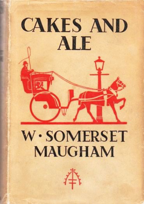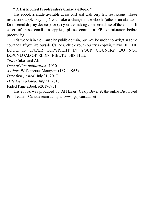#### **\* A Distributed Proofreaders Canada eBook \***

This ebook is made available at no cost and with very few restrictions. These restrictions apply only if (1) you make a change in the ebook (other than alteration for different display devices), or (2) you are making commercial use of the ebook. If either of these conditions applies, please contact a FP administrator before proceeding.

This work is in the Canadian public domain, but may be under copyright in some countries. If you live outside Canada, check your country's copyright laws. IF THE BOOK IS UNDER COPYRIGHT IN YOUR COUNTRY, DO NOT DOWNLOAD OR REDISTRIBUTE THIS FILE.

*Title:* Cakes and Ale

*Date of first publication:* 1930

*Author:* W. Somerset Maugham (1874-1965)

*Date first posted:* July 31, 2017

*Date last updated:* July 31, 2017

Faded Page eBook #20170731

This ebook was produced by: Al Haines, Cindy Beyer & the online Distributed Proofreaders Canada team at http://www.pgdpcanada.net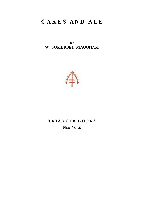## **C A K E S A N D A L E**

**BY W. SOMERSET MAUGHAM**



### **T R I A N G LE B O O K S NEW YORK**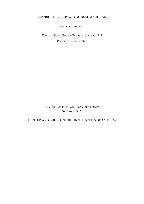#### COPYRIGHT, 1930, BYW. SOMERSET MAUGHAM

*All rights reserved*

TRIANGLE BOOKS EDITION PUBLISHED JANUARY 1941 REPRINTED JANUARY 1941

TRIANGLE BOOKS, 14 West Forty-ninth Street, New York, N. Y.

#### PRINTED AND BOUND IN THE UNITED STATES OF AMERICA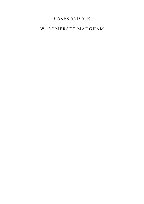### CAKES AND ALE

### W. SOMERSET MAUGHAM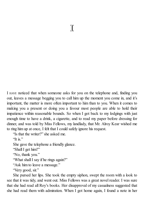I HAVE noticed that when someone asks for you on the telephone and, finding you out, leaves a message begging you to call him up the moment you come in, and it's important, the matter is more often important to him than to you. When it comes to making you a present or doing you a favour most people are able to hold their impatience within reasonable bounds. So when I got back to my lodgings with just enough time to have a drink, a cigarette, and to read my paper before dressing for dinner, and was told by Miss Fellows, my landlady, that Mr. Alroy Kear wished me to ring him up at once, I felt that I could safely ignore his request.

"Is that the writer?" she asked me.

"It is."

She gave the telephone a friendly glance.

"Shall I get him?"

"No, thank you."

"What shall I say if he rings again?"

"Ask him to leave a message."

"Very good, sir."

She pursed her lips. She took the empty siphon, swept the room with a look to see that it was tidy, and went out. Miss Fellows was a great novel reader. I was sure that she had read all Roy's books. Her disapproval of my casualness suggested that she had read them with admiration. When I got home again, I found a note in her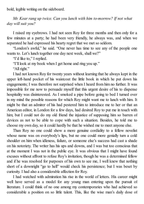bold, legible writing on the sideboard.

*Mr. Kear rang up twice. Can you lunch with him to-morrow? If not what day will suit you?*

I raised my eyebrows. I had not seen Roy for three months and then only for a few minutes at a party; he had been very friendly, he always was, and when we separated he had expressed his hearty regret that we met so seldom.

"London's awful," he said. "One never has time to see any of the people one wants to. Let's lunch together one day next week, shall we?"

"I'd like to," I replied.

"I'll look at my book when I get home and ring you up."

"All right."

I had not known Roy for twenty years without learning that he always kept in the upper left-hand pocket of his waistcoat the little book in which he put down his engagements; I was therefore not surprised when I heard from him no further. It was impossible for me now to persuade myself that this urgent desire of his to dispense hospitality was disinterested. As I smoked a pipe before going to bed I turned over in my mind the possible reasons for which Roy might want me to lunch with him. It might be that an admirer of his had pestered him to introduce me to her or that an American editor, in London for a few days, had desired Roy to put me in touch with him; but I could not do my old friend the injustice of supposing him so barren of devices as not to be able to cope with such a situation. Besides, he told me to choose my own day, so it could hardly be that he wished me to meet anyone else.

Than Roy no one could show a more genuine cordiality to a fellow novelist whose name was on everybody's lips, but no one could more genially turn a cold shoulder on him when idleness, failure, or someone else's success had cast a shade on his notoriety. The writer has his ups and downs, and I was but too conscious that at the moment I was not in the public eye. It was obvious that I might have found excuses without affront to refuse Roy's invitation, though he was a determined fellow and if he was resolved for purposes of his own to see me, I well knew that nothing short of a downright "go to hell" would check his persistence; but I was beset by curiosity. I had also a considerable affection for Roy.

I had watched with admiration his rise in the world of letters. His career might well have served as a model for any young man entering upon the pursuit of literature. I could think of no one among my contemporaries who had achieved so considerable a position on so little talent. This, like the wise man's daily dose of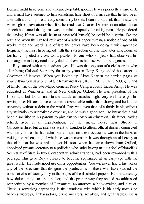Bemax, might have gone into a heaped-up tablespoon. He was perfectly aware of it, and it must have seemed to him sometimes little short of a miracle that he had been able with it to compose already some thirty books. I cannot but think that he saw the white light of revelation when first he read that Charles Dickens in an after-dinner speech had stated that genius was an infinite capacity for taking pains. He pondered the saying. If that was all, he must have told himself, he could be a genius like the rest; and when the excited reviewer of a lady's paper, writing a notice of one of his works, used the word (and of late the critics have been doing it with agreeable frequency) he must have sighed with the satisfaction of one who after long hours of toil has completed a cross-word puzzle. No one who for years had observed his indefatigable industry could deny that at all events he deserved to be a genius.

Roy started with certain advantages. He was the only son of a civil servant who after being Colonial Secretary for many years in Hong-Kong ended his career as Governor of Jamaica. When you looked up Alroy Kear in the serried pages of *Who's Who* you saw *o. s.* of Sir Raymond Kear, K. C. M. G., K.C.V.O. *q.v.* and of Emily, *y.d.* of the late Major General Percy Camperdown, Indian Army. He was educated at Winchester and at New College, Oxford. He was president of the Union and but for an unfortunate attack of measles might very well have got his rowing blue. His academic career was respectable rather than showy, and he left the university without a debt in the world. Roy was even then of a thrifty habit, without any inclination to unprofitable expense, and he was a good son. He knew that it had been a sacrifice to his parents to give him so costly an education. His father, having retired, lived in an unpretentious, but not mean, house near Stroud in Gloucestershire, but at intervals went to London to attend official dinners connected with the colonies he had administered, and on these occasions was in the habit of visiting the Athenæum, of which he was a member. It was through an old crony at this club that he was able to get his son, when he came down from Oxford, appointed private secretary to a politician who, after having made a fool of himself as Secretary of State in two Conservative administrations, had been rewarded with a peerage. This gave Roy a chance to become acquainted at an early age with the great world. He made good use of his opportunities. You will never find in his works any of the solecisms that disfigure the productions of those who have studied the upper circles of society only in the pages of the illustrated papers. He knew exactly how dukes spoke to one another, and the proper way they should be addressed respectively by a member of Parliament, an attorney, a book-maker, and a valet. There is something captivating in the jauntiness with which in his early novels he handles viceroys, ambassadors, prime ministers, royalties, and great ladies. He is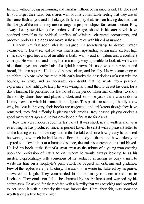friendly without being patronizing and familiar without being impertinent. He does not let you forget their rank, but shares with you his comfortable feeling that they are of the same flesh as you and I. I always think it a pity that, fashion having decided that the doings of the aristocracy are no longer a proper subject for serious fiction, Roy, always keenly sensitive to the tendency of the age, should in his later novels have confined himself to the spiritual conflicts of solicitors, chartered accountants, and produce brokers. He does not move in these circles with his old assurance.

I knew him first soon after he resigned his secretaryship to devote himself exclusively to literature, and he was then a fine, upstanding young man, six feet high in his stockinged feet and of an athletic build, with broad shoulders and a confident carriage. He was not handsome, but in a manly way agreeable to look at, with wide blue frank eyes and curly hair of a lightish brown; his nose was rather short and broad, his chin square. He looked honest, clean, and healthy. He was something of an athlete. No one who has read in his early books the descriptions of a run with the hounds, so vivid, and so accurate, can doubt that he wrote from personal experience; and until quite lately he was willing now and then to desert his desk for a day's hunting. He published his first novel at the period when men of letters, to show their virility, drank beer and played cricket, and for some years there was seldom a literary eleven in which his name did not figure. This particular school, I hardly know why, has lost its bravery, their books are neglected, and cricketers though they have remained, they find difficulty in placing their articles. Roy ceased playing cricket a good many years ago and he has developed a fine taste for claret.

Roy was very modest about his first novel. It was short, neatly written, and, as is everything he has produced since, in perfect taste. He sent it with a pleasant letter to all the leading writers of the day, and in this he told each one how greatly he admired his works, how much he had learned from his study of them, and how ardently he aspired to follow, albeit at a humble distance, the trail his correspondent had blazed. He laid his book at the feet of a great artist as the tribute of a young man entering upon the profession of letters to one whom he would always look up to as his master. Deprecatingly, fully conscious of his audacity in asking so busy a man to waste his time on a neophyte's puny effort, he begged for criticism and guidance. Few of the replies were perfunctory. The authors he wrote to, flattered by his praise, answered at length. They commended his book; many of them asked him to luncheon. They could not fail to be charmed by his frankness and warmed by his enthusiasm. He asked for their advice with a humility that was touching and promised to act upon it with a sincerity that was impressive. Here, they felt, was someone worth taking a little trouble over.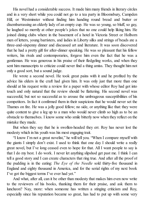His novel had a considerable success. It made him many friends in literary circles and in a very short while you could not go to a tea party in Bloomsbury, Campden Hill, or Westminster without finding him handing round bread and butter or disembarrassing an elderly lady of an empty cup. He was so young, so bluff, so gay, he laughed so merrily at other people's jokes that no one could help liking him. He joined dining clubs where in the basement of a hotel in Victoria Street or Holborn men of letters, young barristers, and ladies in Liberty silks and strings of beads ate a three-and-sixpenny dinner and discussed art and literature. It was soon discovered that he had a pretty gift for after-dinner speaking. He was so pleasant that his fellow writers, his rivals and contemporaries, forgave him even the fact that he was a gentleman. He was generous in his praise of their fledgeling works, and when they sent him manuscripts to criticize could never find a thing amiss. They thought him not only a good sort, but a sound judge.

He wrote a second novel. He took great pains with it and he profited by the advice his elders in the craft had given him. It was only just that more than one should at his request write a review for a paper with whose editor Roy had got into touch and only natural that the review should be flattering. His second novel was successful, but not so successful as to arouse the umbrageous susceptibilities of his competitors. In fact it confirmed them in their suspicions that he would never set the Thames on fire. He was a jolly good fellow; no side, or anything like that: they were quite content to give a leg up to a man who would never climb so high as to be an obstacle to themselves. I know some who smile bitterly now when they reflect on the mistake they made.

But when they say that he is swollen-headed they err. Roy has never lost the modesty which in his youth was his most engaging trait.

"I know I'm not a great novelist," he will tell you. "When I compare myself with the giants I simply don't exist. I used to think that one day I should write a really great novel, but I've long ceased even to hope for that. All I want people to say is that I do my best. I do work. I never let anything slipshod get past me. I think I can tell a good story and I can create characters that ring true. And after all the proof of the pudding is in the eating: *The Eye of the Needle* sold thirty-five thousand in England and eighty thousand in America, and for the serial rights of my next book I've got the biggest terms I've ever had yet."

And what, after all, can it be other than modesty that makes him even now write to the reviewers of his books, thanking them for their praise, and ask them to luncheon? Nay, more: when someone has written a stinging criticism and Roy, especially since his reputation became so great, has had to put up with some very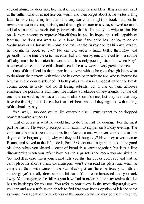virulent abuse, he does not, like most of us, shrug his shoulders, fling a mental insult at the ruffian who does not like our work, and then forget about it; he writes a long letter to his critic, telling him that he is very sorry he thought his book bad, but his review was so interesting in itself, and if he might venture to say so, showed so much critical sense and so much feeling for words, that he felt bound to write to him. No one is more anxious to improve himself than he and he hopes he is still capable of learning. He does not want to be a bore, but if the critic has nothing to do on Wednesday or Friday will he come and lunch at the Savoy and tell him why exactly he thought his book so bad? No one can order a lunch better than Roy, and generally by the time the critic has eaten half a dozen oysters and a cut from a saddle of baby lamb, he has eaten his words too. It is only poetic justice that when Roy's next novel comes out the critic should see in the new work a very great advance.

One of the difficulties that a man has to cope with as he goes through life is what to do about the persons with whom he has once been intimate and whose interest for him has in due course subsided. If both parties remain in a modest station the break comes about naturally, and no ill feeling subsists, but if one of them achieves eminence the position is awkward. He makes a multitude of new friends, but the old ones are inexorable; he has a thousand claims on his time, but they feel that they have the first right to it. Unless he is at their beck and call they sigh and with a shrug of the shoulders say:

"Ah, well, I suppose you're like everyone else. I must expect to be dropped now that you're a success."

That of course is what he would like to do if he had the courage. For the most part he hasn't. He weakly accepts an invitation to supper on Sunday evening. The cold roast beef is frozen and comes from Australia and was over-cooked at middle day; and the burgundy—ah, why will they call it burgundy? Have they never been to Beaune and stayed at the Hôtel de la Poste? Of course it is grand to talk of the good old days when you shared a crust of bread in a garret together, but it is a little disconcerting when you reflect how near to a garret is the room you are sitting in. You feel ill at ease when your friend tells you that his books don't sell and that he can't place his short stories; the managers won't even read his plays, and when he compares them with some of the stuff that's put on (here he fixes you with an accusing eye) it really does seem a bit hard. You are embarrassed and you look away. You exaggerate the failures you have had in order that he may realize that life has its hardships for you too. You refer to your work in the most disparaging way you can and are a trifle taken aback to find that your host's opinion of it is the same as yours. You speak of the fickleness of the public so that he may comfort himself by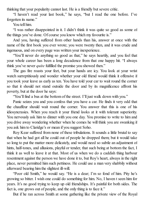thinking that your popularity cannot last. He is a friendly but severe critic.

"I haven't read your last book," he says, "but I read the one before. I've forgotten its name."

You tell him.

"I was rather disappointed in it. I didn't think it was quite so good as some of the things you've done. Of course you know which my favourite is."

And you, having suffered from other hands than his, answer at once with the name of the first book you ever wrote; you were twenty then, and it was crude and ingenuous, and on every page was written your inexperience.

"You'll never do anything so good as that," he says heartily, and you feel that your whole career has been a long decadence from that one happy hit. "I always think you've never *quite* fulfilled the promise you showed then."

The gas fire roasts your feet, but your hands are icy. You look at your wrist watch surreptitiously and wonder whether your old friend would think it offensive if you took your leave as early as ten. You have told your car to wait round the corner so that it should not stand outside the door and by its magnificence affront his poverty, but at the door he says:

"You'll find a bus at the bottom of the street. I'll just walk down with you."

Panic seizes you and you confess that you have a car. He finds it very odd that the chauffeur should wait round the corner. You answer that this is one of his idiosyncrasies. When you reach it your friend looks at it with tolerant superiority. You nervously ask him to dinner with you one day. You promise to write to him and you drive away wondering whether when he comes he will think you are swanking if you ask him to Claridge's or mean if you suggest Soho.

Roy Kear suffered from none of these tribulations. It sounds a little brutal to say that when he had got all he could out of people he dropped them; but it would take so long to put the matter more delicately, and would need so subtle an adjustment of hints, half-tones, and allusions, playful or tender, that such being at bottom the fact, I think it as well to leave it at that. Most of us when we do a caddish thing harbour resentment against the person we have done it to, but Roy's heart, always in the right place, never permitted him such pettiness. He could use a man very shabbily without afterward bearing him the slightest ill-will.

"Poor old Smith," he would say. "He is a dear; I'm so fond of him. Pity he's growing so bitter. I wish one could do something for him. No, I haven t seen him for years. It's no good trying to keep up old friendships. It's painful for both sides. The fact is, one grows out of people, and the only thing is to face it."

But if he ran across Smith at some gathering like the private view of the Royal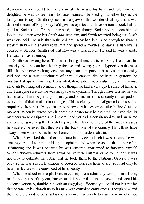Academy no one could be more cordial. He wrung his hand and told him how delighted he was to see him. His face beamed. He shed good fellowship as the kindly sun its rays. Smith rejoiced in the glow of this wonderful vitality and it was damned decent of Roy to say he'd give his eye-teeth to have written a book half as good as Smith's last. On the other hand, if Roy thought Smith had not seen him, he looked the other way; but Smith *had* seen him, and Smith resented being cut. Smith was very acid. He said that in the old days Roy had been glad enough to share a steak with him in a shabby restaurant and spend a month's holiday in a fisherman's cottage at St. Ives. Smith said that Roy was a time server. He said he was a snob. He said he was a humbug.

Smith was wrong here. The most shining characteristic of Alroy Kear was his sincerity. No one can be a humbug for five-and-twenty years. Hypocrisy is the most difficult and nerve-racking vice that any man can pursue; it needs an unceasing vigilance and a rare detachment of spirit. It cannot, like adultery or gluttony, be practised at spare moments; it is a whole-time job. It needs also a cynical humour; although Roy laughed so much I never thought he had a very quick sense of humour, and I am quite sure that he was incapable of cynicism. Though I have finished few of his novels, I have begun a good many, and to my mind his sincerity is stamped on every one of their multitudinous pages. This is clearly the chief ground of his stable popularity. Roy has always sincerely believed what everyone else believed at the moment. When he wrote novels about the aristocracy he sincerely believed that its members were dissipated and immoral, and yet had a certain nobility and an innate aptitude for governing the British Empire; when later he wrote of the middle classes he sincerely believed that they were the backbone of the country. His villains have always been villainous, his heroes heroic, and his maidens chaste.

When Roy asked the author of a flattering review to lunch it was because he was sincerely grateful to him for his good opinion, and when he asked the author of an unflattering one it was because he was sincerely concerned to improve himself. When unknown admirers from Texas or western Australia came to London it was not only to cultivate his public that he took them to the National Gallery, it was because he was sincerely anxious to observe their reactions to art. You had only to hear him lecture to be convinced of his sincerity.

When he stood on the platform, in evening dress admirably worn, or in a loose, much used but perfectly cut, lounge suit if it better fitted the occasion, and faced his audience seriously, frankly, but with an engaging diffidence you could not but realize that he was giving himself up to his task with complete earnestness. Though now and then he pretended to be at a loss for a word, it was only to make it more effective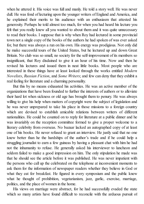when he uttered it. His voice was full and manly. He told a story well. He was never dull. He was fond of lecturing upon the younger writers of England and America, and he explained their merits to his audience with an enthusiasm that attested his generosity. Perhaps he told almost too much, for when you had heard his lecture you felt that you really knew all you wanted to about them and it was quite unnecessary to read their books. I suppose that is why when Roy had lectured in some provincial town not a single copy of the books of the authors he had spoken of was ever asked for, but there was always a run on his own. His energy was prodigious. Not only did he make successful tours of the United States, but he lectured up and down Great Britain. No club was so small, no society for the self-improvement of its members so insignificant, that Roy disdained to give it an hour of his time. Now and then he revised his lectures and issued them in neat little books. Most people who are interested in these things have at least looked through the works entitled *Modern Novelists*, *Russian Fiction*, and *Some Writers*; and few can deny that they exhibit a real feeling for literature and a charming personality.

But this by no means exhausted his activities. He was an active member of the organizations that have been founded to further the interests of authors or to alleviate their hard lot when sickness or old age has brought them to penury. He was always willing to give his help when matters of copyright were the subject of legislation and he was never unprepared to take his place in those missions to a foreign country which are devised to establish amicable relations between writers of different nationalities. He could be counted on to reply for literature at a public dinner and he was invariably on the reception committee formed to give a proper welcome to a literary celebrity from overseas. No bazaar lacked an autographed copy of at least one of his books. He never refused to grant an interview. He justly said that no one knew better than he the hardships of the author's trade and if he could help a struggling journalist to earn a few guineas by having a pleasant chat with him he had not the inhumanity to refuse. He generally asked his interviewer to luncheon and seldom failed to make a good impression on him. The only stipulation he made was that he should see the article before it was published. He was never impatient with the persons who call up the celebrated on the telephone at inconvenient moments to ask them for the information of newspaper readers whether they believe in God or what they eat for breakfast. He figured in every symposium and the public knew what he thought of prohibition, vegetarianism, jazz, garlic, exercise, marriage, politics, and the place of women in the home.

His views on marriage were abstract, for he had successfully evaded the state which so many artists have found difficult to reconcile with the arduous pursuit of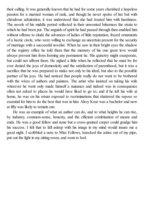their calling. It was generally known that he had for some years cherished a hopeless passion for a married woman of rank, and though he never spoke of her but with chivalrous admiration, it was understood that she had treated him with harshness. The novels of his middle period reflected in their unwonted bitterness the strain to which he had been put. The anguish of spirit he had passed through then enabled him without offense to elude the advances of ladies of little reputation, frayed ornaments of a hectic circle, who were willing to exchange an uncertain present for the security of marriage with a successful novelist. When he saw in their bright eyes the shadow of the registry office he told them that the memory of his one great love would always prevent him from forming any permanent tie. His quixotry might exasperate, but could not affront them. He sighed a little when he reflected that he must be for ever denied the joys of domesticity and the satisfaction of parenthood, but it was a sacrifice that he was prepared to make not only to his ideal, but also to the possible partner of his joys. He had noticed that people really do not want to be bothered with the wives of authors and painters. The artist who insisted on taking his wife wherever he went only made himself a nuisance and indeed was in consequence often not asked to places he would have liked to go to; and if he left his wife at home, he was on his return exposed to recriminations that shattered the repose so essential for him to do the best that was in him. Alroy Kear was a bachelor and now at fifty was likely to remain one.

He was an example of what an author can do, and to what heights he can rise, by industry, common-sense, honesty, and the efficient combination of means and ends. He was a good fellow and none but a cross-grained carper could grudge him his success. I felt that to fall asleep with his image in my mind would insure me a good night. I scribbled a note to Miss Fellows, knocked the ashes out of my pipe, put out the light in my sitting room, and went to bed.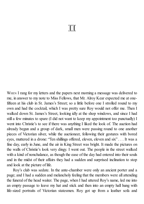# II

WHEN I rang for my letters and the papers next morning a message was delivered to me, in answer to my note to Miss Fellows, that Mr. Alroy Kear expected me at onefifteen at his club in St. James's Street; so a little before one I strolled round to my own and had the cocktail, which I was pretty sure Roy would not offer me. Then I walked down St. James's Street, looking idly at the shop windows, and since I had still a few minutes to spare (I did not want to keep my appointment too punctually) I went into Christie's to see if there was anything I liked the look of. The auction had already begun and a group of dark, small men were passing round to one another pieces of Victorian silver, while the auctioneer, following their gestures with bored eyes, muttered in a drone: "Ten shillings offered, eleven, eleven and six" . . . It was a fine day, early in June, and the air in King Street was bright. It made the pictures on the walls of Christie's look very dingy. I went out. The people in the street walked with a kind of nonchalance, as though the ease of the day had entered into their souls and in the midst of their affairs they had a sudden and surprised inclination to stop and look at the picture of life.

Roy's club was sedate. In the ante-chamber were only an ancient porter and a page; and I had a sudden and melancholy feeling that the members were all attending the funeral of the head waiter. The page, when I had uttered Roy's name, led me into an empty passage to leave my hat and stick and then into an empty hall hung with life-sized portraits of Victorian statesmen. Roy got up from a leather sofa and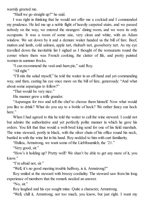warmly greeted me.

"Shall we go straight up?" he said.

I was right in thinking that he would not offer me a cocktail and I commended my prudence. He led me up a noble flight of heavily carpeted stairs, and we passed nobody on the way; we entered the strangers' dining room, and we were its only occupants. It was a room of some size, very clean and white, with an Adam window. We sat down by it and a demure waiter handed us the bill of fare. Beef, mutton and lamb, cold salmon, apple tart, rhubarb tart, gooseberry tart. As my eye travelled down the inevitable list I sighed as I thought of the restaurants round the corner where there was French cooking, the clatter of life, and pretty painted women in summer frocks.

"I can recommend the veal-and-ham pie," said Roy.

"All right."

"I'll mix the salad myself," he told the waiter in an off-hand and yet commanding way, and then, casting his eye once more on the bill of fare, generously: "And what about some asparagus to follow?"

"That would be very nice."

His manner grew a trifle grander.

"Asparagus for two and tell the chef to choose them himself. Now what would you like to drink? What do you say to a bottle of hock? We rather fancy our hock here."

When I had agreed to this he told the waiter to call the wine steward. I could not but admire the authoritative and yet perfectly polite manner in which he gave his orders. You felt that thus would a well-bred king send for one of his field marshals. The wine steward, portly in black, with the silver chain of his office round his neck, bustled in with the wine list in his hand. Roy nodded to him with curt familiarity.

"Hulloa, Armstrong, we want some of the Liebfraumilch, the '21."

"Very good, sir."

"How's it holding up? Pretty well? We shan't be able to get any more of it, you  $k$ now"

"I'm afraid not, sir."

"Well, it's no good meeting trouble halfway, is it, Armstrong?"

Roy smiled at the steward with breezy cordiality. The steward saw from his long experience of members that the remark needed an answer.

"No, sir."

Roy laughed and his eye sought mine. Quite a character, Armstrong.

"Well, chill it, Armstrong; not too much, you know, but just right. I want my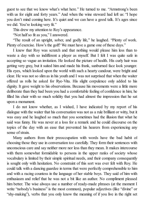guest to see that we know what's what here." He turned to me. "Armstrong's been with us for eight and forty years." And when the wine steward had left us: "I hope you don't mind coming here. It's quiet and we can have a good talk. It's ages since we did. You're looking very fit."

This drew my attention to Roy's appearance.

"Not halfso fit as you," I answered.

"The result of an upright, sober, and godly life," he laughed. "Plenty of work. Plenty of exercise. How's the golf? We must have a game one of these days."

I knew that Roy was scratch and that nothing would please him less than to waste a day with so indifferent a player as myself. But I felt I was quite safe in accepting so vague an invitation. He looked the picture of health. His curly hair was getting very gray, but it suited him and made his frank, sunburned face look younger. His eyes, which looked upon the world with such a hearty candour, were bright and clear. He was not so slim as in his youth and I was not surprised that when the waiter offered us rolls he asked for Rye-Vita. His slight corpulence only added to his dignity. It gave weight to his observations. Because his movements were a little more deliberate than they had been you had a comfortable feeling of confidence in him; he filled his chair with so much solidity that you had almost the impression that he sat upon a monument.

I do not know whether, as I wished, I have indicated by my report of his dialogue with the waiter that his conversation was not as a rule brilliant or witty, but it was easy and he laughed so much that you sometimes had the illusion that what he said was funny. He was never at a loss for a remark and he could discourse on the topics of the day with an ease that prevented his hearers from experiencing any sense of strain.

Many authors from their preoccupation with words have the bad habit of choosing those they use in conversation too carefully. They form their sentences with unconscious care and say neither more nor less than they mean. It makes intercourse with them somewhat formidable to persons in the upper ranks of society whose vocabulary is limited by their simple spiritual needs, and their company consequently is sought only with hesitation. No constraint of this sort was ever felt with Roy. He could talk with a dancing guardee in terms that were perfectly comprehensible to him and with a racing countess in the language of her stable boys. They said of him with enthusiasm and relief that he was not a bit like an author. No compliment pleased him better. The wise always use a number of ready-made phrases (at the moment I write "nobody's business" is the most common), popular adjectives (like "divine" or "shy-making"), verbs that you only know the meaning of if you live in the right set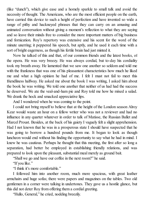(like "dunch"), which give ease and a homely sparkle to small talk and avoid the necessity of thought. The Americans, who are the most efficient people on the earth, have carried this device to such a height of perfection and have invented so wide a range of pithy and hackneyed phrases that they can carry on an amusing and animated conversation without giving a moment's reflection to what they are saying and so leave their minds free to consider the more important matters of big business and fornication. Roy's repertory was extensive and his scent for the word of the minute unerring; it peppered his speech, but aptly, and he used it each time with a sort of bright eagerness, as though his fertile brain had just minted it.

Now he talked of this and that, of our common friends and the latest books, of the opera. He was very breezy. He was always cordial, but to-day his cordiality took my breath away. He lamented that we saw one another so seldom and told me with the frankness that was one of his pleasantest characteristics how much he liked me and what a high opinion he had of me. I felt I must not fail to meet this friendliness halfway. He asked me about the book I was writing, I asked him about the book he was writing. We told one another that neither of us had had the success he deserved. We ate the veal-and-ham pie and Roy told me how he mixed a salad. We drank the hock and smacked appreciative lips.

And I wondered when he was coming to the point.

I could not bring myself to believe that at the height of the London season Alroy Kear would waste an hour on a fellow writer who was not a reviewer and had no influence in any quarter whatever in order to talk of Matisse, the Russian Ballet and Marcel Proust. Besides, at the back of his gaiety I vaguely felt a slight apprehension. Had I not known that he was in a prosperous state I should have suspected that he was going to borrow a hundred pounds from me. It began to look as though luncheon would end without his finding the opportunity to say what he had in mind. I knew he was cautious. Perhaps he thought that this meeting, the first after so long a separation, had better be employed in establishing friendly relations, and was prepared to look upon the pleasant, substantial meal merely as ground bait.

"Shall we go and have our coffee in the next room?" he said.

"If you like."

"I think it's more comfortable."

I followed him into another room, much more spacious, with great leather armchairs and huge sofas; there were papers and magazines on the tables. Two old gentlemen in a corner were talking in undertones. They gave us a hostile glance, but this did not deter Roy from offering them a cordial greeting.

"Hullo, General," he cried, nodding breezily.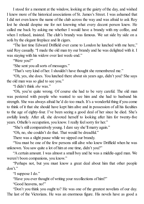I stood for a moment at the window, looking at the gaiety of the day, and wished I knew more of the historical associations of St. James's Street. I was ashamed that I did not even know the name of the club across the way and was afraid to ask Roy lest he should despise me for not knowing what every decent person knew. He called me back by asking me whether I would have a brandy with my coffee, and when I refused, insisted. The club's brandy was famous. We sat side by side on a sofa by the elegant fireplace and lit cigars.

"The last time Edward Driffield ever came to London he lunched with me here," said Roy casually. "I made the old man try our brandy and he was delighted with it. I was staying with his widow over last week-end."

"Were you?"

"She sent you all sorts of messages."

"That's very kind of her. I shouldn't have thought she remembered me."

"Oh, yes, she does. You lunched there about six years ago, didn't you? She says the old man was so glad to see you."

"I didn't think *she* was."

"Oh, you're quite wrong. Of course she had to be very careful. The old man was pestered with people who wanted to see him and she had to husband his strength. She was always afraid he'd do too much. It's a wonderful thing if you come to think of it that she should have kept him alive and in possession of all his faculties to the age of eighty-four. I've been seeing a good deal of her since he died. She's awfully lonely. After all, she devoted herself to looking after him for twenty-five years. Othello's occupation, you know. I really feel sorry for her."

"She's still comparatively young. I dare say she'll marry again."

"Oh, no, she couldn't do that. That would be dreadful."

There was a slight pause while we sipped our brandy.

"You must be one of the few persons still alive who knew Driffield when he was unknown. You saw quite a lot of him at one time, didn't you?"

"A certain amount. I was almost a small boy and he was a middle-aged man. We weren't boon companions, you know."

"Perhaps not, but you must know a great deal about him that other people don't."

"I suppose I do."

"Have you ever thought of writing your recollections of him?"

"Good heavens, no!"

"Don't you think you ought to? He was one of the greatest novelists of our day. The last of the Victorians. He was an enormous figure. His novels have as good a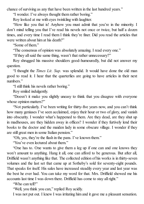chance of surviving as any that have been written in the last hundred years."

"I wonder. I've always thought them rather boring."

Roy looked at me with eyes twinkling with laughter.

"How like you that is! Anyhow you must admit that you're in the minority. I don't mind telling you that I've read his novels not once or twice, but half a dozen times, and every time I read them I think they're finer. Did you read the articles that were written about him at his death?"

"Some of them."

"The consensus of opinion was absolutely amazing. I read every one."

"If they allsaid the same thing, wasn't that rather unnecessary?"

Roy shrugged his massive shoulders good-humouredly, but did not answer my question.

"I thought the *Times Lit. Sup.* was splendid. It would have done the old man good to read it. I hear that the quarterlies are going to have articles in their next numbers."

"I still think his novels rather boring."

Roy smiled indulgently.

"Doesn't it make you slightly uneasy to think that you disagree with everyone whose opinion matters?"

"Not particularly. I've been writing for thirty-five years now, and you can't think how many geniuses I've seen acclaimed, enjoy their hour or two of glory, and vanish into obscurity. I wonder what's happened to them. Are they dead, are they shut up in madhouses, are they hidden away in offices? I wonder if they furtively lend their books to the doctor and the maiden lady in some obscure village. I wonder if they are still great men in some Italian pension."

"Oh, yes, they're the flash in the pans. I've known them."

"You've even lectured about them."

"One has to. One wants to give them a leg up if one can and one knows they won't amount to anything. Hang it all, one can afford to be generous. But after all, Driffield wasn't anything like that. The collected edition of his works is in thirty-seven volumes and the last set that came up at Sotheby's sold for seventy-eight pounds. That speaks for itself. His sales have increased steadily every year and last year was the best he ever had. You can take my word for that. Mrs. Driffield showed me his accounts last time I was down there. Driffield has come to stay allright."

"Who can tell?"

"Well, you think you can," replied Roy acidly.

I was not put out. I knew I was irritating him and it gave me a pleasant sensation.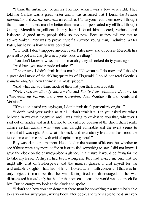"I think the instinctive judgments I formed when I was a boy were right. They told me Carlyle was a great writer and I was ashamed that I found the *French Revolution* and *Sartor Resartus* unreadable. Can anyone read them now? I thought the opinions of others must be better than mine and I persuaded myself that I thought George Meredith magnificent. In my heart I found him affected, verbose, and insincere. A good many people think so too now. Because they told me that to admire Walter Pater was to prove myself a cultured young man, I admired Walter Pater, but heavens how Marius bored me!"

"Oh, well, I don't suppose anyone reads Pater now, and of course Meredith has gone all to pot and Carlyle was a pretentious windbag."

"You don't know how secure of immortality they all looked thirty years ago."

"And have you never made mistakes?"

"One or two. I didn't think half as much of Newman as I do now, and I thought a great deal more of the tinkling quatrains of Fitzgerald. I could not read Goethe's *Wilhelm Meister*; now I think it his masterpiece."

"And what did you think much of then that you think much of still?"

"Well, *Tristram Shandy* and *Amelia* and *Vanity Fair*. *Madame Bovary*, *La Chartreuse de Parme*, and *Anna Karenina*. And Wordsworth and Keats and Verlaine."

"If you don't mind my saying so, I don't think that's particularly original."

"I don't mind your saying so at all. I don't think it is. But you asked me why I believed in my own judgment, and I was trying to explain to you that, whatever I said out of timidity and in deference to the cultured opinion of the day, I didn't really admire certain authors who were then thought admirable and the event seems to show that I was right. And what I honestly and instinctively liked then has stood the test of time with me and with critical opinion in general."

Roy was silent for a moment. He looked in the bottom of his cup, but whether to see if there were any more coffee in it or to find something to say, I did not know. I gave the clock on the chimney-piece a glance. In a minute it would be fitting for me to take my leave. Perhaps I had been wrong and Roy had invited me only that we might idly chat of Shakespeare and the musical glasses. I chid myself for the uncharitable thoughts I had had of him. I looked at him with concern. If that was his only object it must be that he was feeling tired or discouraged. If he was disinterested it could only be that for the moment at least the world was too much for him. But he caught my look at the clock and spoke.

"I don't see how you can deny that there must be something in a man who's able to carry on for sixty years, writing book after book, and who's able to hold an ever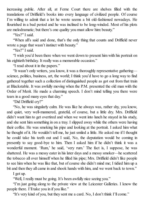increasing public. After all, at Ferne Court there are shelves filled with the translations of Driffield's books into every language of civilized people. Of course I'm willing to admit that a lot he wrote seems a bit old-fashioned nowadays. He flourished in a bad period and he was inclined to be long-winded. Most of his plots are melodramatic; but there's one quality you must allow him: beauty."

"Yes?" I said.

"When all's said and done, that's the only thing that counts and Driffield never wrote a page that wasn't instinct with beauty."

"Yes?" I said.

"I wish you'd been there when we went down to present him with his portrait on his eightieth birthday. It really was a memorable occasion."

"I read about it in the papers."

"It wasn't only writers, you know, it was a thoroughly representative gathering science, politics, business, art, the world; I think you'd have to go a long way to find gathered together such a collection of distinguished people as got out from that train at Blackstable. It was awfully moving when the P.M. presented the old man with the Order of Merit. He made a charming speech. I don't mind telling you there were tears in a good many eyes that day."

"Did Driffield cry?"

"No, he was singularly calm. He was like he always was, rather shy, you know, and quiet, very well-mannered, grateful, of course, but a little dry. Mrs. Driffield didn't want him to get overtired and when we went into lunch he stayed in his study, and she sent him something in on a tray. I slipped away while the others were having their coffee. He was smoking his pipe and looking at the portrait. I asked him what he thought of it. He wouldn't tell me, he just smiled a little. He asked me if I thought he could take his teeth out and I said, No, the deputation would be coming in presently to say good-bye to him. Then I asked him if he didn't think it was a wonderful moment. 'Rum,' he said, 'very rum.' The fact is, I suppose, he was shattered. He was a messy eater in his later days and a messy smoker—he scattered the tobacco all over himself when he filled his pipe; Mrs. Driffield didn't like people to see him when he was like that, but of course she didn't mind me; I tidied him up a bit and then they all came in and shook hands with him, and we went back to town."

I got up.

"Well, I really must be going. It's been awfully nice seeing you."

"I'm just going along to the private view at the Leicester Galleries. I know the people there. I'll take you in if you like."

"It's very kind of you, but they sent me a card. No, I don't think I'll come."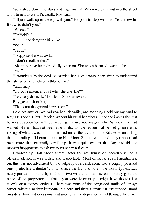We walked down the stairs and I got my hat. When we came out into the street and I turned to ward Piccadilly, Roy said:

"I'll just walk up to the top with you." He got into step with me. "You knew his first wife, didn't you?"

"Whose?"

"Driffield's."

"Oh!" I had forgotten him. "Yes."

"Well?"

"Fairly."

"I suppose she was awful."

"I don't recollect that."

"She must have been dreadfully common. She was a barmaid, wasn't she?" "Yes."

"I wonder why the devil he married her. I've always been given to understand that she was extremely unfaithful to him."

"Extremely."

"Do you remember at all what she was like?"

"Yes, very distinctly," I smiled. "She was sweet."

Roy gave a short laugh.

"That's not the general impression."

I did not answer. We had reached Piccadilly, and stopping I held out my hand to Roy. He shook it, but I fancied without his usual heartiness. I had the impression that he was disappointed with our meeting. I could not imagine why. Whatever he had wanted of me I had not been able to do, for the reason that he had given me no inkling of what it was, and as I strolled under the arcade of the Ritz Hotel and along the park railings till I came opposite Half Moon Street I wondered if my manner had been more than ordinarily forbidding. It was quite evident that Roy had felt the moment inopportune to ask me to grant him a favour.

I walked up Half Moon Street. After the gay tumult of Piccadilly it had a pleasant silence. It was sedate and respectable. Most of the houses let apartments, but this was not advertised by the vulgarity of a card; some had a brightly polished brass plate, like a doctor's, to announce the fact and others the word *Apartments* neatly painted on the fanlight. One or two with an added discretion merely gave the name of the proprietor, so that if you were ignorant you might have thought it a tailor's or a money lender's. There was none of the congested traffic of Jermyn Street, where also they let rooms, but here and there a smart car, unattended, stood outside a door and occasionally at another a taxi deposited a middle-aged lady. You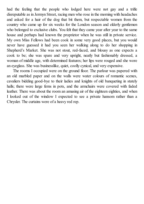had the feeling that the people who lodged here were not gay and a trifle disreputable as in Jermyn Street, racing men who rose in the morning with headaches and asked for a hair of the dog that bit them, but respectable women from the country who came up for six weeks for the London season and elderly gentlemen who belonged to exclusive clubs. You felt that they came year after year to the same house and perhaps had known the proprietor when he was still in private service. My own Miss Fellows had been cook in some very good places, but you would never have guessed it had you seen her walking along to do her shopping in Shepherd's Market. She was not stout, red-faced, and blousy as one expects a cook to be; she was spare and very upright, neatly but fashionably dressed, a woman of middle age, with determined features; her lips were rouged and she wore an eyeglass. She was businesslike, quiet, coolly cynical, and very expensive.

The rooms I occupied were on the ground floor. The parlour was papered with an old marbled paper and on the walls were water colours of romantic scenes, cavaliers bidding good-bye to their ladies and knights of old banqueting in stately halls; there were large ferns in pots, and the armchairs were covered with faded leather. There was about the room an amusing air of the eighteen eighties, and when I looked out of the window I expected to see a private hansom rather than a Chrysler. The curtains were of a heavy red rep.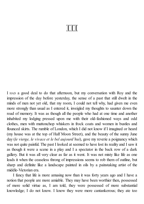## **TIII**

I HAD a good deal to do that afternoon, but my conversation with Roy and the impression of the day before yesterday, the sense of a past that still dwelt in the minds of men not yet old, that my room, I could not tell why, had given me even more strongly than usual as I entered it, inveigled my thoughts to saunter down the road of memory. It was as though all the people who had at one time and another inhabited my lodging pressed upon me with their old-fashioned ways and odd clothes, men with muttonchop whiskers in frock coats and women in bustles and flounced skirts. The rumble of London, which I did not know if I imagined or heard (my house was at the top of Half Moon Street), and the beauty of the sunny June day (*le vierge, le vivace et le bel aujourd'hui*), gave my reverie a poignancy which was not quite painful. The past I looked at seemed to have lost its reality and I saw it as though it were a scene in a play and I a spectator in the back row of a dark gallery. But it was all very clear as far as it went. It was not misty like life as one leads it when the ceaseless throng of impressions seems to rob them of outline, but sharp and definite like a landscape painted in oils by a painstaking artist of the middle-Victorian era.

I fancy that life is more amusing now than it was forty years ago and I have a notion that people are more amiable. They may have been worthier then, possessed of more solid virtue as, I am told, they were possessed of more substantial knowledge; I do not know. I know they were more cantankerous; they ate too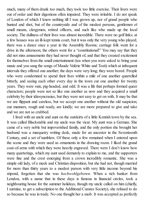much, many of them drank too much, they took too little exercise. Their livers were out of order and their digestions often impaired. They were irritable. I do not speak of London of which I knew nothing till I was grown up, nor of grand people who hunted and shot, but of the countryside and of the modest persons, gentlemen of small means, clergymen, retired officers, and such like who made up the local society. The dullness of their lives was almost incredible. There were no golf links; at a few houses was an ill-kept tennis court, but it was only the very young who played; there was a dance once a year in the Assembly Rooms; carriage folk went for a drive in the afternoon; the others went for a "constitutional!" You may say that they did not miss amusements they had never thought of, and that they created excitement for themselves from the small entertainment (tea when you were asked to bring your music and you sang the songs of Maude Valérie White and Tosti) which at infrequent intervals they offered one another; the days were very long; they were bored. People who were condemned to spend their lives within a mile of one another quarrelled bitterly, and seeing each other every day in the town cut one another for twenty years. They were vain, pig-headed, and odd. It was a life that perhaps formed queer characters; people were not so like one another as now and they acquired a small celebrity by their idiosyncrasies, but they were not easy to get on with. It may be that we are flippant and careless, but we accept one another without the old suspicion; our manners, rough and ready, are kindly; we are more prepared to give and take and we are not so crabbed.

I lived with an uncle and aunt on the outskirts of a little Kentish town by the sea. It was called Blackstable and my uncle was the vicar. My aunt was a German. She came of a very noble but impoverished family, and the only portion she brought her husband was a marquetry writing desk, made for an ancestor in the Seventeenth Century, and a set of tumblers. Of these only a few remained when I entered upon the scene and they were used as ornaments in the drawing room. I liked the grand coat-of-arms with which they were heavily engraved. There were I don't know how many quarterings, which my aunt used demurely to explain to me, and the supporters were fine and the crest emerging from a crown incredibly romantic. She was a simple old lady, of a meek and Christian disposition, but she had not, though married for more than thirty years to a modest parson with very little income beyond his stipend, forgotten that she was *hochwohlgeboren*. When a rich banker from London, with a name that in these days is famous in financial circles, took a neighbouring house for the summer holidays, though my uncle called on him (chiefly, I surmise, to get a subscription to the Additional Curates Society), she refused to do so because he was in trade. No one thought her a snob. It was accepted as perfectly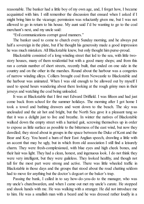reasonable. The banker had a little boy of my own age, and, I forget how, I became acquainted with him. I still remember the discussion that ensued when I asked if I might bring him to the vicarage; permission was reluctantly given me, but I was not allowed to go in return to his house. My aunt said I'd be wanting to go to the coal merchant's next, and my uncle said:

"Evil communications corrupt good manners."

The banker used to come to church every Sunday morning, and he always put half a sovereign in the plate, but if he thought his generosity made a good impression he was much mistaken. AllBlackstable knew, but only thought him purse-proud.

Blackstable consisted of a long winding street that led to the sea, with little twostory houses, many of them residential but with a good many shops; and from this ran a certain number of short streets, recently built, that ended on one side in the country and on the other in the marshes. Round about the harbour was a congeries of narrow winding alleys. Colliers brought coal from Newcastle to Blackstable and the harbour was animated. When I was old enough to be allowed out by myself I used to spend hours wandering about there looking at the rough grimy men in their jerseys and watching the coal being unloaded.

It was at Blackstable that I first met Edward Driffield. I was fifteen and had just come back from school for the summer holidays. The morning after I got home I took a towel and bathing drawers and went down to the beach. The sky was unclouded and the air hot and bright, but the North Sea gave it a pleasant tang so that it was a delight just to live and breathe. In winter the natives of Blackstable walked down the empty street with a hurried gait, screwing themselves up in order to expose as little surface as possible to the bitterness of the east wind, but now they dawdled; they stood about in groups in the space between the Duke of Kent and the Bear and Key. You heard a hum of their East Anglian speech, drawling a little with an accent that may be ugly, but in which from old association I still find a leisurely charm. They were fresh-complexioned, with blue eyes and high cheek bones, and their hair was light. They had a clean, honest, and ingenuous look. I do not think they were very intelligent, but they were guileless. They looked healthy, and though not tall for the most part were strong and active. There was little wheeled traffic in Blackstable in those days and the groups that stood about the road chatting seldom had to move for anything but the doctor's dogcart or the baker's trap.

Passing the bank, I called in to say how-do-you-do to the manager, who was my uncle's churchwarden, and when I came out met my uncle's curate. He stopped and shook hands with me. He was walking with a stranger. He did not introduce me to him. He was a smallish man with a beard and he was dressed rather loudly in a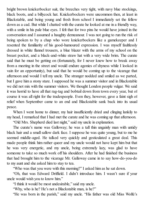bright brown knickerbocker suit, the breeches very tight, with navy blue stockings, black boots, and a billycock hat. Knickerbockers were uncommon then, at least in Blackstable, and being young and fresh from school I immediately set the fellow down as a cad. But while I chatted with the curate he looked at me in a friendly way, with a smile in his pale blue eyes. I felt that for two pins he would have joined in the conversation and I assumed a haughty demeanour. I was not going to run the risk of being spoken to by a chap who wore knickerbockers like a gamekeeper and I resented the familiarity of his good-humoured expression. I was myself faultlessly dressed in white flannel trousers, a blue blazer with the arms of my school on the breast pocket, and a black-and-white straw hat with a very wide brim. The curate said that he must be getting on (fortunately, for I never knew how to break away from a meeting in the street and would endure agonies of shyness while I looked in vain for an opportunity), but said that he would be coming up to the vicarage that afternoon and would I tell my uncle. The stranger nodded and smiled as we parted, but I gave him a stony stare. I supposed he was a summer visitor and in Blackstable we did not mix with the summer visitors. We thought London people vulgar. We said it was horrid to have all that rag-tag and bobtail down from town every year, but of course it was all right for the tradespeople. Even they, however, gave a faint sigh of relief when September came to an end and Blackstable sank back into its usual peace.

When I went home to dinner, my hair insufficiently dried and clinging lankily to my head, I remarked that I had met the curate and he was coming up that afternoon.

"Old Mrs. Shepherd died last night," said my uncle in explanation.

The curate's name was Galloway; he was a tall thin ungainly man with untidy black hair and a smallsallow dark face. I suppose he was quite young, but to me he seemed middle-aged. He talked very quickly and gesticulated a great deal. This made people think him rather queer and my uncle would not have kept him but that he was very energetic, and my uncle, being extremely lazy, was glad to have someone to take so much work off his shoulders. After he had finished the business that had brought him to the vicarage Mr. Galloway came in to say how-do-you-do to my aunt and she asked him to stay to tea.

"Who was that you were with this morning?" I asked him as he sat down.

"Oh, that was Edward Driffield. I didn't introduce him. I wasn't sure if your uncle would wish you to know him."

"I think it would be most undesirable," said my uncle.

"Why, who is he? He's not a Blackstable man, is he?"

"He was born in the parish," said my uncle. "His father was old Miss Wolfe's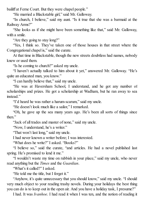bailiff at Ferne Court. But they were chapel people."

"He married a Blackstable girl," said Mr. Galloway.

"In church, I believe," said my aunt. "Is it true that she was a barmaid at the Railway Arms?"

"She looks as if she might have been something like that," said Mr. Galloway, with a smile.

"Are they going to stay long?"

"Yes, I think so. They've taken one of those houses in that street where the Congregational chapel is," said the curate.

At that time in Blackstable, though the new streets doubtless had names, nobody knew or used them.

"Is he coming to church?" asked my uncle.

"I haven't actually talked to him about it yet," answered Mr. Galloway. "He's quite an educated man, you know."

"I can hardly believe that," said my uncle.

"He was at Haversham School, I understand, and he got any number of scholarships and prizes. He got a scholarship at Wadham, but he ran away to sea instead."

"I'd heard he was rather a harum-scarum," said my uncle.

"He doesn't look much like a sailor," I remarked.

"Oh, he gave up the sea many years ago. He's been all sorts of things since then."

"Jack of all trades and master of none," said my uncle.

"Now, I understand, he's a writer."

"That won't last long," said my uncle.

I had never known a writer before; I was interested.

"What does he write?" I asked. "Books?"

"I believe so," said the curate, "and articles. He had a novel published last spring. He's promised to lend it me."

"I wouldn't waste my time on rubbish in your place," said my uncle, who never read anything but the *Times* and the *Guardian*.

"What's it called?" I asked.

"He told me the title, but I forget it."

"Anyhow, it's quite unnecessary that you should know," said my uncle. "I should very much object to your reading trashy novels. During your holidays the best thing you can do is to keep out in the open air. And you have a holiday task, I presume?"

I had. It was *Ivanhoe*. I had read it when I was ten, and the notion of reading it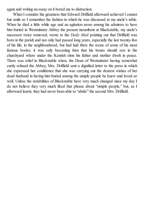again and writing an essay on it bored me to distraction.

When I consider the greatness that Edward Driffield afterward achieved I cannot but smile as I remember the fashion in which he was discussed at my uncle's table. When he died a little while ago and an agitation arose among his admirers to have him buried in Westminster Abbey the present incumbent at Blackstable, my uncle's successor twice removed, wrote to the *Daily Mail* pointing out that Driffield was born in the parish and not only had passed long years, especially the last twenty-five of his life, in the neighbourhood, but had laid there the scene of some of his most famous books; it was only becoming then that his bones should rest in the churchyard where under the Kentish elms his father and mother dwelt in peace. There was relief in Blackstable when, the Dean of Westminster having somewhat curtly refused the Abbey, Mrs. Driffield sent a dignified letter to the press in which she expressed her confidence that she was carrying out the dearest wishes of her dead husband in having him buried among the simple people he knew and loved so well. Unless the notabilities of Blackstable have very much changed since my day I do not believe they very much liked that phrase about "simple people," but, as I afterward learnt, they had never been able to "abide" the second Mrs. Driffield.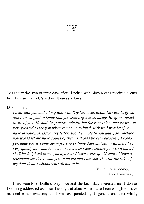# $\mathbb{I}\mathbb{V}$

T<sup>O</sup> MY surprise, two or three days after I lunched with Alroy Kear I received a letter from Edward Driffield's widow. It ran as follows:

DEAR FRIEND,

*I hear that you had a long talk with Roy last week about Edward Drif ield and I am so glad to know that you spoke of him so nicely. He often talked to me of you. He had the greatest admiration for your talent and he was so very pleased to see you when you came to lunch with us. I wonder if you have in your possession any letters that he wrote to you and if so whether you would let me have copies of them. I should be very pleased if I could persuade you to come down for two or three days and stay with me. I live very quietly now and have no one here, so please choose your own time. I shall be delighted to see you again and have a talk of old times. I have a particular service I want you to do me and I am sure that for the sake of my dear dead husband you will not refuse.*

> *Yours ever sincerely*, AMY DRIFFIELD.

I had seen Mrs. Driffield only once and she but mildly interested me; I do not like being addressed as "dear friend"; that alone would have been enough to make me decline her invitation; and I was exasperated by its general character which,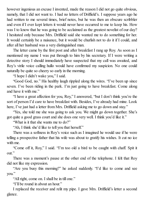however ingenious an excuse I invented, made the reason I did not go quite obvious, namely, that I did not want to. I had no letters of Driffield's. I suppose years ago he had written to me several times, brief notes, but he was then an obscure scribbler and even if I ever kept letters it would never have occurred to me to keep his. How was I to know that he was going to be acclaimed as the greatest novelist of our day? I hesitated only because Mrs. Driffield said she wanted me to do something for her. It would certainly be a nuisance, but it would be churlish not to do it if I could, and after all her husband was a very distinguished man.

The letter came by the first post and after breakfast I rang up Roy. As soon as I mentioned my name I was put through to him by his secretary. If I were writing a detective story I should immediately have suspected that my call was awaited, and Roy's virile voice calling hullo would have confirmed my suspicion. No one could naturally be quite so cheery so early in the morning.

"I hope I didn't wake you," I said.

"Good God, no." His healthy laugh rippled along the wires. "I've been up since seven. I've been riding in the park. I'm just going to have breakfast. Come along and have it with me."

"I have a great affection for you, Roy," I answered, "but I don't think you're the sort of person I'd care to have breakfast with. Besides, I've already had mine. Look here, I've just had a letter from Mrs. Driffield asking me to go down and stay."

"Yes, she told me she was going to ask you. We might go down together. She's got quite a good grass court and she does one very well. I think you'd like it."

"What is it that she wants me to do?"

"Ah, I think she'd like to tell you that herself."

There was a softness in Roy's voice such as I imagined he would use if he were telling a prospective father that his wife was about to gratify his wishes. It cut no ice with me.

"Come off it, Roy," I said. "I'm too old a bird to be caught with chaff. Spit it out."

There was a moment's pause at the other end of the telephone. I felt that Roy did not like my expression.

"Are you busy this morning?" he asked suddenly. "I'd like to come and see you."

"All right, come on. I shall be in till one."

"I'll be round in about an hour."

I replaced the receiver and relit my pipe. I gave Mrs. Driffield's letter a second glance.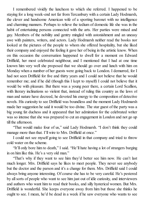I remembered vividly the luncheon to which she referred. I happened to be staying for a long week-end not far from Tercanbury with a certain Lady Hodmarsh, the clever and handsome American wife of a sporting baronet with no intelligence and charming manners. Perhaps to relieve the tedium of domestic life she was in the habit of entertaining persons connected with the arts. Her parties were mixed and gay. Members of the nobility and gentry mingled with astonishment and an uneasy awe with painters, writers, and actors. Lady Hodmarsh neither read the books nor looked at the pictures of the people to whom she offered hospitality, but she liked their company and enjoyed the feeling it gave her of being in the artistic know. When on this occasion the conversation happened to dwell for a moment on Edward Driffield, her most celebrated neighbour, and I mentioned that I had at one time known him very well she proposed that we should go over and lunch with him on Monday when a number of her guests were going back to London. I demurred, for I had not seen Driffield for five and thirty years and I could not believe that he would remember me; and if he did (though this I kept to myself) I could not believe that it would be with pleasure. But there was a young peer there, a certain Lord Scallion, with literary inclinations so violent that, instead of ruling this country as the laws of man and nature have decreed, he devoted his energy to the composition of detective novels. His curiosity to see Driffield was boundless and the moment Lady Hodmarsh made her suggestion he said it would be too divine. The star guest of the party was a big young fat duchess and it appeared that her admiration for the celebrated writer was so intense that she was prepared to cut an engagement in London and not go up till the afternoon.

"That would make four of us," said Lady Hodmarsh. "I don't think they could manage more than that. I'll wire to Mrs. Driffield at once."

I could not see myself going to see Driffield in that company and tried to throw cold water on the scheme.

"It'll only bore him to death," I said. "He'll hate having a lot of strangers barging in on him like this. He's a very old man."

"That's why if they want to see him they'd better see him now. He can't last much longer. Mrs. Driffield says he likes to meet people. They never see anybody but the doctor and the parson and it's a change for them. Mrs. Driffield said I could always bring anyone interesting. Of course she has to be very careful. He's pestered by allsorts of people who want to see him just out of idle curiosity, and interviewers and authors who want him to read their books, and silly hysterical women. But Mrs. Driffield is wonderful. She keeps everyone away from him but those she thinks he ought to see. I mean, he'd be dead in a week if he saw everyone who wants to see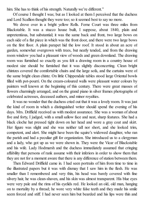him. She has to think of his strength. Naturally we're different."

Of course I thought I was; but as I looked at them I perceived that the duchess and Lord Scallion thought they were too; so it seemed best to say no more.

We drove over in a bright yellow Rolls. Ferne Court was three miles from Blackstable. It was a stucco house built, I suppose, about 1840, plain and unpretentious, but substantial; it was the same back and front, two large bows on each side of a flat piece in which was the front door, and there were two large bows on the first floor. A plain parapet hid the low roof. It stood in about an acre of garden, somewhat overgrown with trees, but neatly tended, and from the drawing room window you had a pleasant view of woods and green downland. The drawing room was furnished so exactly as you felt a drawing room in a country house of modest size should be furnished that it was slightly disconcerting. Clean bright chintzes covered the comfortable chairs and the large sofa, and the curtains were of the same bright clean chintz. On little Chippendale tables stood large Oriental bowls filled with pot-pourri. On the cream-coloured walls were pleasant water colours by painters well known at the beginning of this century. There were great masses of flowers charmingly arranged, and on the grand piano in silver frames photographs of celebrated actresses, deceased authors, and minor royalties.

It was no wonder that the duchess cried out that it was a lovely room. It was just the kind of room in which a distinguished writer should spend the evening of his days. Mrs. Driffield received us with modest assurance. She was a woman of about five and forty, I judged, with a small sallow face and neat, sharp features. She had a black cloche hat pressed tight down on her head and wore a gray coat and skirt. Her figure was slight and she was neither tall nor short, and she looked trim, competent, and alert. She might have been the squire's widowed daughter, who ran the parish and had a peculiar gift for organization. She introduced us to a clergyman and a lady, who got up as we were shown in. They were the Vicar of Blackstable and his wife. Lady Hodmarsh and the duchess immediately assumed that cringing affability that persons of rank assume with their inferiors in order to show them that they are not for a moment aware that there is any difference of station between them.

Then Edward Driffield came in. I had seen portraits of him from time to time in the illustrated papers but it was with dismay that I saw him in the flesh. He was smaller than I remembered and very thin, his head was barely covered with fine silvery hair, he was clean-shaven, and his skin was almost transparent. His blue eyes were very pale and the rims of his eyelids red. He looked an old, old man, hanging on to mortality by a thread; he wore very white false teeth and they made his smile seem forced and stiff. I had never seen him but bearded and his lips were thin and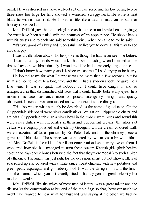pallid. He was dressed in a new, well-cut suit of blue serge and his low collar, two or three sizes too large for him, showed a wrinkled, scraggy neck. He wore a neat black tie with a pearl in it. He looked a little like a dean in mufti on his summer holiday in Switzerland.

Mrs. Driffield gave him a quick glance as he came in and smiled encouragingly; she must have been satisfied with the neatness of his appearance. He shook hands with his guests and to each one said something civil. When he came to me he said:

"It's very good of a busy and successful man like you to come all this way to see an old fogey."

I was a trifle taken aback, for he spoke as though he had never seen me before, and I was afraid my friends would think I had been boasting when I claimed at one time to have known him intimately. I wondered if he had completely forgotten me.

"I don't know how many years it is since we last met," I said, trying to be hearty.

He looked at me for what I suppose was no more than a few seconds, but for what seemed to me quite a long time, and then I had a sudden shock; he gave me a little wink. It was so quick that nobody but I could have caught it, and so unexpected in that distinguished old face that I could hardly believe my eyes. In a moment his face was once more composed, intelligently benign, and quietly observant. Luncheon was announced and we trooped into the dining room.

This also was in what can only be described as the acme of good taste. On the Chippendale sideboard were silver candlesticks. We sat on Chippendale chairs and ate off a Chippendale table. In a silver bowl in the middle were roses and round this were silver dishes with chocolates in them and peppermint creams; the silver salt cellars were brightly polished and evidently Georgian. On the cream-coloured walls were mezzotints of ladies painted by Sir Peter Lely and on the chimney-piece a garniture of blue delft. The service was conducted by two maids in brown uniform and Mrs. Driffield in the midst of her fluent conversation kept a wary eye on them. I wondered how she had managed to train these buxom Kentish girls (their healthy colour and high cheek bones betrayed the fact that they were "local") to such a pitch of efficiency. The lunch was just right for the occasion, smart but not showy, fillets of sole rolled up and covered with a white sauce, roast chicken, with new potatoes and green peas, asparagus and gooseberry fool. It was the dining room and the lunch and the manner which you felt exactly fitted a literary gent of great celebrity but moderate wealth.

Mrs. Driffield, like the wives of most men of letters, was a great talker and she did not let the conversation at her end of the table flag; so that, however much we might have wanted to hear what her husband was saying at the other, we had no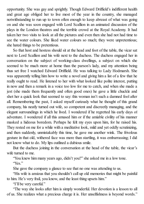opportunity. She was gay and sprightly. Though Edward Driffield's indifferent health and great age obliged her to live most of the year in the country, she managed notwithstanding to run up to town often enough to keep abreast of what was going on and she was soon engaged with Lord Scallion in an animated discussion of the plays in the London theatres and the terrible crowd at the Royal Academy. It had taken her two visits to look at all the pictures and even then she had not had time to see the water colours. She liked water colours so much; they were unpretentious; she hated things to be pretentious.

So that host and hostess should sit at the head and foot of the table, the vicar sat next to Lord Scallion and his wife next to the duchess. The duchess engaged her in conversation on the subject of working-class dwellings, a subject on which she seemed to be much more at home than the parson's lady, and my attention being thus set free I watched Edward Driffield. He was talking to Lady Hodmarsh. She was apparently telling him how to write a novel and giving him a list of a few that he really ought to read. He listened to her with what looked like polite interest, putting in now and then a remark in a voice too low for me to catch, and when she made a jest (she made them frequently and often good ones) he gave a little chuckle and shot her a quick look that seemed to say: this woman isn't such a damned fool after all. Remembering the past, I asked myself curiously what he thought of this grand company, his neatly turned out wife, so competent and discreetly managing, and the elegant surroundings in which he lived. I wondered if he regretted his early days of adventure. I wondered if all this amused him or if the amiable civility of his manner masked a hideous boredom. Perhaps he felt my eyes upon him, for he raised his. They rested on me for a while with a meditative look, mild and yet oddly scrutinizing, and then suddenly, unmistakably this time, he gave me another wink. The frivolous gesture in that old, withered face was more than startling, it was embarrassing; I did not know what to do. My lips outlined a dubious smile.

But the duchess joining in the conversation at the head of the table, the vicar's wife turned to me.

"You knew him many years ago, didn't you?" she asked me in a low tone. "Yes."

She gave the company a glance to see that no one was attending to us.

"His wife is anxious that you shouldn't call up old memories that might be painful to him. He's very frail, you know, and the least thing upsets him."

"I'll be very careful."

"The way she looks after him is simply wonderful. Her devotion is a lesson to all of us. She realizes what a precious charge it is. Her unselfishness is beyond words."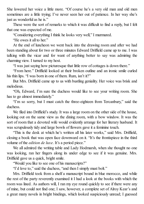She lowered her voice a little more. "Of course he's a very old man and old men sometimes are a little trying; I've never seen her out of patience. In her way she's just as wonderful as he is."

These were the sort of remarks to which it was difficult to find a reply, but I felt that one was expected of me.

"Considering everything I think he looks very well," I murmured.

"He owes it all to her."

At the end of luncheon we went back into the drawing room and after we had been standing about for two or three minutes Edward Driffield came up to me. I was talking with the vicar and for want of anything better to say was admiring the charming view. I turned to my host.

"I was just saying how picturesque that little row of cottages is down there."

"From here." Driffield looked at their broken outline and an ironic smile curled his thin lips. "I was born in one of them. Rum, isn't it?"

But Mrs. Driffield came up to us with bustling geniality. Her voice was brisk and melodious.

"Oh, Edward, I'm sure the duchess would like to see your writing room. She has to go almost immediately."

"I'm so sorry, but I must catch the three-eighteen from Tercanbury," said the duchess.

We filed into Driffield's study. It was a large room on the other side of the house, looking out on the same view as the dining room, with a bow window. It was the sort of room that a devoted wife would evidently arrange for her literary husband. It was scrupulously tidy and large bowls of flowers gave it a feminine touch.

"This is the desk at which he's written all his later works," said Mrs. Driffield, closing a book that was open face downward on it. "It's the frontispiece in the third volume of the *edition de luxe*. It's a period piece."

We all admired the writing table and Lady Hodmarsh, when she thought no one was looking, ran her fingers along its under edge to see if it was genuine. Mrs. Driffield gave us a quick, bright smile.

"Would you like to see one of his manuscripts?"

"I'd love to," said the duchess, "and then I simply must bolt."

Mrs. Driffield took from a shelf a manuscript bound in blue morocco, and while the rest of the party reverently examined it I had a look at the books with which the room was lined. As authors will, I ran my eye round quickly to see if there were any of mine, but could not find one; I saw, however, a complete set of Alroy Kear's and a great many novels in bright bindings, which looked suspiciously unread; I guessed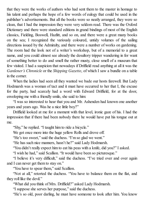that they were the works of authors who had sent them to the master in homage to his talent and perhaps the hope of a few words of eulogy that could be used in the publisher's advertisements. But all the books were so neatly arranged, they were so clean, that I had the impression they were very seldom read. There was the Oxford Dictionary and there were standard editions in grand bindings of most of the English classics, Fielding, Boswell, Hazlitt, and so on, and there were a great many books on the sea; I recognized the variously coloured, untidy volumes of the sailing directions issued by the Admiralty, and there were a number of works on gardening. The room had the look not of a writer's workshop, but of a memorial to a great name, and you could almost see already the desultory tripper wandering in for want of something better to do and smell the rather musty, close smell of a museum that few visited. I had a suspicion that nowadays if Driffield read anything at all it was the *Gardener's Chronicle* or the *Shipping Gazette*, of which I saw a bundle on a table in the corner.

When the ladies had seen all they wanted we bade our hosts farewell. But Lady Hodmarsh was a woman of tact and it must have occurred to her that I, the excuse for the party, had scarcely had a word with Edward Driffield, for at the door, enveloping me with a friendly smile, she said to him:

"I was so interested to hear that you and Mr. Ashenden had known one another years and years ago. Was he a nice little boy?"

Driffield looked at me for a moment with that level, ironic gaze of his. I had the impression that if there had been nobody there he would have put his tongue out at me.

"Shy," he replied. "I taught him to ride a bicycle."

We got once more into the huge yellow Rolls and drove off.

"He's too sweet," said the duchess. "I'm so glad we went."

"He has such nice manners, hasn't he?" said Lady Hodmarsh.

"You didn't really expect him to eat his peas with a knife, did you?" I asked.

"I wish he had," said Scallion. "It would have been so picturesque."

"I believe it's very difficult," said the duchess. "I've tried over and over again and I can never get them to stay on."

"You have to spear them," said Scallion.

"Not at all," retorted the duchess. "You have to balance them on the flat, and they roll like the devil."

"What did you think of Mrs. Driffield?" asked Lady Hodmarsh.

"I suppose she serves her purpose," said the duchess.

"He's so old, poor darling, he must have someone to look after him. You know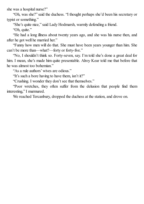she was a hospital nurse?"

"Oh, was she?" said the duchess. "I thought perhaps she'd been his secretary or typist or something."

"She's quite nice," said Lady Hodmarsh, warmly defending a friend.

"Oh, quite."

"He had a long illness about twenty years ago, and she was his nurse then, and after he got well he married her."

"Funny how men will do that. She must have been years younger than him. She can't be more than—what?—forty or forty-five."

"No, I shouldn't think so. Forty-seven, say. I'm told she's done a great deal for him. I mean, she's made him quite presentable. Alroy Kear told me that before that he was almost too bohemian."

"As a rule authors' wives are odious."

"It's such a bore having to have them, isn't it?"

"Crushing. I wonder they don't see that themselves."

"Poor wretches, they often suffer from the delusion that people find them interesting," I murmured.

We reached Tercanbury, dropped the duchess at the station, and drove on.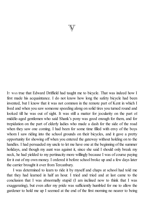

I<sup>T</sup> WAS true that Edward Driffield had taught me to bicycle. That was indeed how I first made his acquaintance. I do not know how long the safety bicycle had been invented, but I know that it was not common in the remote part of Kent in which I lived and when you saw someone speeding along on solid tires you turned round and looked till he was out of sight. It was still a matter for jocularity on the part of middle-aged gentlemen who said Shank's pony was good enough for them, and for trepidation on the part of elderly ladies who made a dash for the side of the road when they saw one coming. I had been for some time filled with envy of the boys whom I saw riding into the school grounds on their bicycles, and it gave a pretty opportunity for showing off when you entered the gateway without holding on to the handles. I had persuaded my uncle to let me have one at the beginning of the summer holidays, and though my aunt was against it, since she said I should only break my neck, he had yielded to my pertinacity more willingly because I was of course paying for it out of my own money. I ordered it before school broke up and a few days later the carrier brought it over from Tercanbury.

I was determined to learn to ride it by myself and chaps at school had told me that they had learned in half an hour. I tried and tried and at last came to the conclusion that I was abnormally stupid (I am inclined now to think that I was exaggerating), but even after my pride was sufficiently humbled for me to allow the gardener to hold me up I seemed at the end of the first morning no nearer to being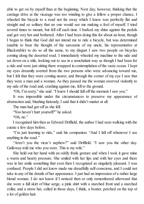able to get on by myself than at the beginning. Next day, however, thinking that the carriage drive at the vicarage was too winding to give a fellow a proper chance, I wheeled the bicycle to a road not far away which I knew was perfectly flat and straight and so solitary that no one would see me making a fool of myself. I tried several times to mount, but fell off each time. I barked my shins against the pedals and got very hot and bothered. After I had been doing this for about an hour, though I began to think that God did not intend me to ride a bicycle, but was determined (unable to bear the thought of the sarcasms of my uncle, his representative at Blackstable) to do so all the same, to my disgust I saw two people on bicycles coming along the deserted road. I immediately wheeled my machine to the side and sat down on a stile, looking out to sea in a nonchalant way as though I had been for a ride and were just sitting there wrapped in contemplation of the vasty ocean. I kept my eyes dreamily averted from the two persons who were advancing toward me, but I felt that they were coming nearer, and through the corner of my eye I saw that they were a man and a woman. As they passed me the woman swerved violently to my side of the road and, crashing against me, fell to the ground.

"Oh, I'm sorry," she said. "I knew I should fall off the moment I saw you."

It was impossible under the circumstances to preserve my appearance of abstraction and, blushing furiously, I said that it didn't matter at all.

The man had got off as she fell.

"You haven't hurt yourself?" he asked.

"Oh, no."

I recognized him then as Edward Driffield, the author I had seen walking with the curate a few days before.

"I'm just learning to ride," said his companion. "And I fall off whenever I see anything in the road."

"Aren't you the vicar's nephew?" said Driffield. "I saw you the other day. Galloway told me who you were. This is my wife."

She held out her hand with an oddly frank gesture and when I took it gave mine a warm and hearty pressure. She smiled with her lips and with her eyes and there was in her smile something that even then I recognized as singularly pleasant. I was confused. People I did not know made me dreadfully self-conscious, and I could not take in any of the details of her appearance. I just had an impression of a rather large blond woman. I do not know if I noticed then or only remembered afterward that she wore a full skirt of blue serge, a pink shirt with a starched front and a starched collar, and a straw hat, called in those days, I think, a boater, perched on the top of a lot of golden hair.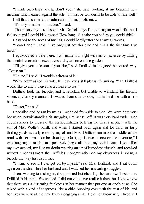"I think bicycling's lovely, don't you?" she said, looking at my beautiful new machine which leaned against the stile. "It must be wonderful to be able to ride well."

I felt that this inferred an admiration for my proficiency.

"It's only a matter of practice," I said.

"This is only my third lesson. Mr. Driffield says I'm coming on wonderful, but I feel so stupid I could kick myself. How long did it take you before you could ride?"

I blushed to the roots of my hair. I could hardly utter the shameful words.

"I can't ride," I said. "I've only just got this bike and this is the first time I've tried."

I equivocated a trifle there, but I made it all right with my conscience by adding the mental reservation: except yesterday at home in the garden.

"I'll give you a lesson if you like," said Driffield in his good-humoured way. "Come on."

"Oh, no," I said. "I wouldn't dream of it."

"Why not?" asked his wife, her blue eyes still pleasantly smiling. "Mr. Driffield would like to and it'll give me a chance to rest."

Driffield took my bicycle, and I, reluctant but unable to withstand his friendly violence, clumsily mounted. I swayed from side to side, but he held me with a firm hand.

'Faster," he said.

I pedalled and he ran by me as I wobbled from side to side. We were both very hot when, notwithstanding his struggles, I at last fell off. It was very hard under such circumstances to preserve the standoffishness befitting the vicar's nephew with the son of Miss Wolfe's bailiff, and when I started back again and for thirty or forty thrilling yards actually rode by myself and Mrs. Driffield ran into the middle of the road with her arms akimbo shouting, "Go it, go it, two to one on the favourite," I was laughing so much that I positively forgot all about my social status. I got off of my own accord, my face no doubt wearing an air of immodest triumph, and received without embarrassment the Driffields' congratulation on my cleverness in riding a bicycle the very first day I tried.

"I want to see if I can get on by myself," said Mrs. Driffield, and I sat down again on the stile while her husband and I watched her unavailing struggles.

Then, wanting to rest again, disappointed but cheerful, she sat down beside me. Driffield lit his pipe. We chatted. I did not of course realize it then, but I know now that there was a disarming frankness in her manner that put one at one's ease. She talked with a kind of eagerness, like a child bubbling over with the zest of life, and her eyes were lit all the time by her engaging smile. I did not know why I liked it. I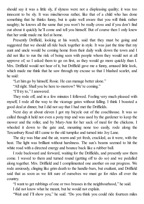should say it was a little sly, if slyness were not a displeasing quality; it was too innocent to be sly. It was mischievous rather, like that of a child who has done something that he thinks funny, but is quite well aware that you will think rather naughty; he knows all the same that you won't be really cross and if you don't find out about it quickly he'll come and tell you himself. But of course then I only knew that her smile made me feel at home.

Presently Driffield, looking at his watch, said that they must be going and suggested that we should all ride back together in style. It was just the time that my aunt and uncle would be coming home from their daily walk down the town and I did not like to run the risk of being seen with people whom they would not at all approve of; so I asked them to go on first, as they would go more quickly than I. Mrs. Driffield would not hear of it, but Driffield gave me a funny, amused little look, which made me think that he saw through my excuse so that I blushed scarlet, and he said:

"Let him go by himself, Rosie. He can manage better alone."

"All right. Shall you be here to-morrow? We're coming."

"I'll try to," I answered.

They rode off, and in a few minutes I followed. Feeling very much pleased with myself, I rode all the way to the vicarage gates without falling. I think I boasted a good deal at dinner, but I did not say that I had met the Driffields.

Next day at about eleven I got my bicycle out of the coachhouse. It was so called though it held not even a pony trap and was used by the gardener to keep the mower and the roller, and by Mary-Ann for her sack of meal for the chickens. I wheeled it down to the gate and, mounting none too easily, rode along the Tercanbury Road tillI came to the old turnpike and turned into Joy Lane.

The sky was blue and the air, warm and yet fresh, crackled, as it were, with the heat. The light was brilliant without harshness. The sun's beams seemed to hit the white road with a directed energy and bounce back like a rubber ball.

I rode backward and forward, waiting for the Driffields, and presently saw them come. I waved to them and turned round (getting off to do so) and we pedalled along together. Mrs. Driffield and I complimented one another on our progress. We rode anxiously, clinging like grim death to the handle-bars, but exultant, and Driffield said that as soon as we felt sure of ourselves we must go for rides all over the country.

"I want to get rubbings of one or two brasses in the neighbourhood," he said.

I did not know what he meant, but he would not explain.

"Wait and I'll show you," he said. "Do you think you could ride fourteen miles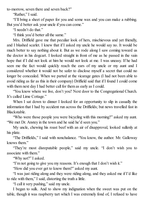to-morrow, seven there and seven back?"

'Rather," I said.

"I'll bring a sheet of paper for you and some wax and you can make a rubbing. But you'd better ask your uncle if you can come."

"I needn't do that."

"I think you'd better all the same."

Mrs. Driffield gave me that peculiar look of hers, mischievous and yet friendly, and I blushed scarlet. I knew that if I asked my uncle he would say no. It would be much better to say nothing about it. But as we rode along I saw coming toward us the doctor in his dogcart. I looked straight in front of me as he passed in the vain hope that if I did not look at him he would not look at me. I was uneasy. If he had seen me the fact would quickly reach the ears of my uncle or my aunt and I considered whether it would not be safer to disclose myself a secret that could no longer be concealed. When we parted at the vicarage gates (I had not been able to avoid riding as far as this in their company) Driffield said that if I found I could come with them next day I had better call for them as early as I could.

"You know where we live, don't you? Next door to the Congregational Church. It's called Lime Cottage."

When I sat down to dinner I looked for an opportunity to slip in casually the information that I had by accident run across the Driffields; but news travelled fast in Blackstable.

"Who were those people you were bicycling with this morning?" asked my aunt. "We met Dr. Anstey in the town and he said he'd seen you."

My uncle, chewing his roast beef with an air of disapproval, looked sullenly at his plate.

"The Driffields," I said with nonchalance. "You know, the author. Mr. Galloway knows them."

"They're most disreputable people," said my uncle. "I don't wish you to associate with them."

"Why not?" I asked.

"I'm not going to give you my reasons. It's enough that I don't wish it."

"How did you ever get to know them?" asked my aunt.

"I was just riding along and they were riding along, and they asked me if I'd like to ride with them," I said, distorting the truth a little.

"I call it very pushing," said my uncle.

I began to sulk. And to show my indignation when the sweet was put on the table, though it was raspberry tart which I was extremely fond of, I refused to have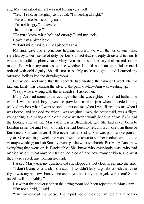any. My aunt asked me if I was not feeling very well.

"Yes," I said, as haughtily as I could, "I'm feeling all right."

"Have a little bit," said my aunt.

"I'm not hungry," I answered.

"Just to please me."

"He must know when he's had enough," said my uncle.

I gave him a bitter look.

"I don't mind having a small piece," I said.

My aunt gave me a generous helping, which I ate with the air of one who, impelled by a stern sense of duty, performs an act that is deeply distasteful to him. It was a beautiful raspberry tart. Mary-Ann made short pastry that melted in the mouth. But when my aunt asked me whether I could not manage a little more I refused with cold dignity. She did not insist. My uncle said grace and I carried my outraged feelings into the drawing room.

But when I reckoned that the servants had finished their dinner I went into the kitchen. Emily was cleaning the silver in the pantry. Mary-Ann was washing up.

"I say, what's wrong with the Driffields?" I asked her.

Mary-Ann had come to the vicarage when she was eighteen. She had bathed me when I was a small boy, given me powders in plum jam when I needed them, packed my box when I went to school, nursed me when I was ill, read to me when I was bored, and scolded me when I was naughty. Emily, the housemaid, was a flighty young thing, and Mary-Ann didn't know whatever would become of me if *she* had the looking after of me. Mary-Ann was a Blackstable girl. She had never been to London in her life and I do not think she had been to Tercanbury more than three or four times. She was never ill. She never had a holiday. She was paid twelve pounds a year. One evening a week she went down the town to see her mother, who did the vicarage washing; and on Sunday evenings she went to church. But Mary-Ann knew everything that went on in Blackstable. She knew who everybody was, who had married whom, what anyone's father had died of, and how many children, and what they were called, any woman had had.

I asked Mary-Ann my question and she slopped a wet clout noisily into the sink.

"I don't blame your uncle," she said. "I wouldn't let you go about with them, not if you was my nephew. Fancy their askin' you to ride your bicycle with them! Some people will do anything."

I saw that the conversation in the dining room had been repeated to Mary-Ann. "I'm not a child," I said.

"That makes it all the worse. The impudence of their comin' 'ere at all!" Mary-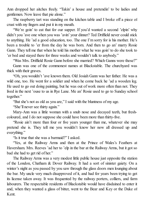Ann dropped her aitches freely. "Takin' a house and pretendin' to be ladies and gentlemen. Now leave that pie alone."

The raspberry tart was standing on the kitchen table and I broke off a piece of crust with my fingers and put it in my mouth.

"We're goin' to eat that for our supper. If you'd wanted a second 'elpin' why didn't you 'ave one when you was 'avin' your dinner? Ted Driffield never could stick to anything. He 'ad a good education, too. The one I'm sorry for is his mother. He's been a trouble to 'er from the day he was born. And then to go an' marry Rosie Gann. They tell me that when he told his mother what he was goin' to do she took to 'er bed and stayed there for three weeks and wouldn't talk to anybody."

"Was Mrs. Driffield Rosie Gann before she married? Which Ganns were those?"

Gann was one of the commonest names at Blackstable. The churchyard was thick with their graves.

"Oh, you wouldn't 'ave known them. Old Josiah Gann was her father. He was a wild one, too. He went for a soldier and when he come back he 'ad a wooden leg. He used to go out doing painting, but he was out of work more often than not. They lived in the next 'ouse to us in Rye Lane. Me an' Rosie used to go to Sunday school together."

"But she's not as old as you are," I said with the bluntness of my age.

"She'll never see thirty again."

Mary-Ann was a little woman with a snub nose and decayed teeth, but freshcoloured, and I do not suppose she could have been more than thirty-five.

"Rosie ain't more than four or five years younger than me, whatever she may pretend she is. They tell me you wouldn't know her now all dressed up and everything."

"Is it true that she was a barmaid?" I asked.

"Yes, at the Railway Arms and then at the Prince of Wales's Feathers at Haversham. Mrs. Reeves 'ad her to 'elp in the bar at the Railway Arms, but it got so bad she had to get rid of her."

The Railway Arms was a very modest little public house just opposite the station of the London, Chatham & Dover Railway. It had a sort of sinister gaiety. On a winter's night as you passed by you saw through the glass doors men lounging about the bar. My uncle very much disapproved of it, and had for years been trying to get its license taken away. It was frequented by the railway porters, colliers, and farm labourers. The respectable residents of Blackstable would have disdained to enter it and, when they wanted a glass of bitter, went to the Bear and Key or the Duke of Kent.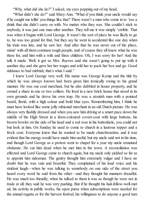"Why, what did she do?" I asked, my eyes popping out of my head.

"What didn't she do?" said Mary-Ann. "What d'you think your uncle would say if he caught me tellin' you things like that? There wasn't a man who come in to 'ave a drink that she didn't carry on with. No matter who they was. She couldn't stick to anybody, it was just one man after another. They tell me it was simply 'orrible. That was when it begun with Lord George. It wasn't the sort of place he was likely to go to, he was too grand for that, but they say he went in accidental like one day when his train was late, and he saw her. And after that he was never out of the place, mixin' with all them common rough people, and of course they all knew what he was there for, and him with a wife and three children. Oh, I was sorry for her! And the talk it made. Well, it got so Mrs. Reeves said she wasn't going to put up with it another day and she gave her her wages and told her to pack her box and go. Good riddance to bad rubbish, that's what I said."

I knew Lord George very well. His name was George Kemp and the title by which he was always known had been given him ironically owing to his grand manner. He was our coal merchant, but he also dabbled in house property, and he owned a share in one or two colliers. He lived in a new brick house that stood in its own grounds and he drove his own trap. He was a stoutish man with a pointed beard, florid, with a high colour and bold blue eyes. Remembering him, I think he must have looked like some jolly rubicund merchant in an old Dutch picture. He was always very flashily dressed and when you saw him driving at a smart pace down the middle of the High Street in a fawn-coloured covert-coat with large buttons, his brown bowler on the side of his head and a red rose in his buttonhole, you could not but look at him. On Sunday he used to come to church in a lustrous topper and a frock coat. Everyone knew that he wanted to be made churchwarden, and it was evident that his energy would have made him useful, but my uncle said not in his time, and though Lord George as a protest went to chapel for a year my uncle remained obdurate. He cut him dead when he met him in the town. A reconciliation was effected and Lord George came to church again, but my uncle only yielded so far as to appoint him sidesman. The gentry thought him extremely vulgar and I have no doubt that he was vain and boastful. They complained of his loud voice and his strident laugh—when he was talking to somebody on one side of the street you heard every word he said from the other—and they thought his manners dreadful. He was much too friendly; when he talked to them it was as though he were not in trade at all; they said he was very pushing. But if he thought his hail-fellow-well-met air, his activity in public works, his open purse when subscriptions were needed for the annual regatta or for the harvest festival, his willingness to do anyone a good turn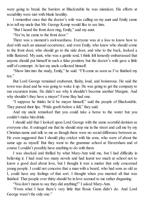were going to break the barriers at Blackstable he was mistaken. His efforts at sociability were met with blank hostility.

I remember once that the doctor's wife was calling on my aunt and Emily came in to tell my uncle that Mr. George Kemp would like to see him.

"But I heard the front door ring, Emily," said my aunt.

"Yes'm, he came to the front door."

There was a moment's awkwardness. Everyone was at a loss to know how to deal with such an unusual occurrence, and even Emily, who knew who should come to the front door, who should go to the side door, and who to the back, looked a trifle flustered. My aunt, who was a gentle soul, I think felt honestly embarrassed that anyone should put himself in such a false position; but the doctor's wife gave a little sniff of contempt. At last my uncle collected himself.

"Show him into the study, Emily," he said. "I'll come as soon as I've finished my tea."

But Lord George remained exuberant, flashy, loud, and boisterous. He said the town was dead and he was going to wake it up. He was going to get the company to run excursion trains. He didn't see why it shouldn't become another Margate. And why shouldn't they have a mayor? Ferne Bay had one.

"I suppose he thinks he'd be mayor himself," said the people of Blackstable. They pursed their lips. "Pride goeth before a fall," they said.

And my uncle remarked that you could take a horse to the water but you couldn't make him drink.

I should add that I looked upon Lord George with the same scornful derision as everyone else. It outraged me that he should stop me in the street and call me by my Christian name and talk to me as though there were no social difference between us. He even suggested that I should play cricket with his sons, who were of about the same age as myself. But they went to the grammar school at Haversham and of course I couldn't possibly have anything to do with them.

I was shocked and thrilled by what Mary-Ann told me, but I had difficulty in believing it. I had read too many novels and had learnt too much at school not to know a good deal about love, but I thought it was a matter that only concerned young people. I could not conceive that a man with a beard, who had sons as old as I, could have any feelings of that sort. I thought when you married all that was finished. That people over thirty should be in love seemed to me rather disgusting.

"You don't mean to say they did anything?" I asked Mary-Ann.

"From what I hear there's very little that Rosie Gann didn't do. And Lord George wasn't the only one."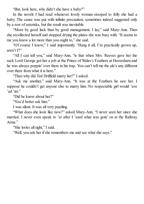"But, look here, why didn't she have a baby?"

In the novels I had read whenever lovely woman stooped to folly she had a baby. The cause was put with infinite precaution, sometimes indeed suggested only by a row of asterisks, but the result was inevitable.

"More by good luck than by good management, I lay," said Mary-Ann. Then she recollected herself and stopped drying the plates she was busy with. "It seems to me you know a lot more than you ought to," she said.

"Of course I know," I said importantly. "Hang it all, I'm practically grown up, aren't I?"

"All I can tell you," said Mary-Ann, "is that when Mrs. Reeves gave her the sack Lord George got her a job at the Prince of Wales's Feathers at Haversham and he was always poppin' over there in his trap. You can't tell me the ale's any different over there from what it is here."

"Then why did Ted Driffield marry her?" I asked.

"Ask me another," said Mary-Ann. "It was at the Feathers he saw her. I suppose he couldn't get anyone else to marry him. No respectable girl would 'ave 'ad 'im."

"Did he know about her?"

"You'd better ask him."

I was silent. It was all very puzzling.

"What does she look like now?" asked Mary-Ann. "I never seen her since she married. I never even speak to 'er after I 'eard what was goin' on at the Railway Arms."

"She looks all right," I said.

"Well, you ask her if she remembers me and see what she says."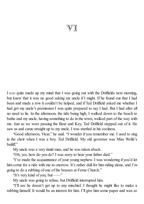## $\mathbb{V}\mathbb{I}$

I HAD quite made up my mind that I was going out with the Driffields next morning, but knew that it was no good asking my uncle if I might. If he found out that I had been and made a row it couldn't be helped, and if Ted Driffield asked me whether I had got my uncle's permission I was quite prepared to say I had. But I had after all no need to lie. In the afternoon, the tide being high, I walked down to the beach to bathe and my uncle, having something to do in the town, walked part of the way with me. Just as we were passing the Bear and Key, Ted Driffield stepped out of it. He saw us and came straight up to my uncle. I was startled at his coolness.

"Good afternoon, Vicar," he said. "I wonder if you remember me. I used to sing in the choir when I was a boy. Ted Driffield. My old governor was Miss Wolfe's bailiff."

My uncle was a very timid man, and he was taken aback.

"Oh, yes, how do you do? I was sorry to hear your father died."

"I've made the acquaintance of your young nephew. I was wondering if you'd let him come for a ride with me to-morrow. It's rather dull for him riding alone, and I'm going to do a rubbing of one of the brasses at Ferne Church."

"It's very kind of you, but——"

My uncle was going to refuse, but Driffield interrupted him.

"I'll see he doesn't get up to any mischief. I thought he might like to make a rubbing himself. It would be an interest for him. I'll give him some paper and wax so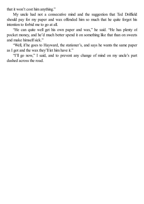that it won't cost him anything."

My uncle had not a consecutive mind and the suggestion that Ted Driffield should pay for my paper and wax offended him so much that he quite forgot his intention to forbid me to go at all.

"He can quite well get his own paper and wax," he said. "He has plenty of pocket money, and he'd much better spend it on something like that than on sweets and make himselfsick."

"Well, if he goes to Hayward, the stationer's, and says he wants the same paper as I got and the wax they'll let him have it."

"I'll go now," I said, and to prevent any change of mind on my uncle's part dashed across the road.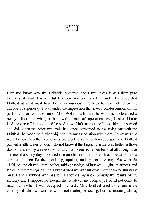## VII

I DO not know why the Driffields bothered about me unless it was from pure kindness of heart. I was a dull little boy, not very talkative, and if I amused Ted Driffield at all it must have been unconsciously. Perhaps he was tickled by my attitude of superiority. I was under the impression that it was condescension on my part to consort with the son of Miss Wolfe's bailiff, and he what my uncle called a penny-a-liner; and when, perhaps with a trace of superciliousness, I asked him to lend me one of his books and he said it wouldn't interest me I took him at his word and did not insist. After my uncle had once consented to my going out with the Driffields he made no further objection to my association with them. Sometimes we went for sails together, sometimes we went to some picturesque spot and Driffield painted a little water colour. I do not know if the English climate was better in those days or if it is only an illusion of youth, but I seem to remember that all through that summer the sunny days followed one another in an unbroken line. I began to feel a curious affection for the undulating, opulent, and gracious country. We went far afield, to one church after another, taking rubbings of brasses, knights in armour and ladies in stiff farthingales. Ted Driffield fired me with his own enthusiasm for this naïve pursuit and I rubbed with passion. I showed my uncle proudly the results of my industry, and I suppose he thought that whatever my company, I could not come to much harm when I was occupied in church. Mrs. Driffield used to remain in the churchyard while we were at work, not reading or sewing, but just mooning about;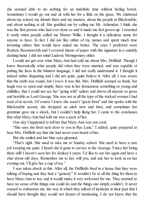she seemed able to do nothing for an indefinite time without feeling bored. Sometimes I would go out and sit with her for a little on the grass. We chattered about my school, my friends there and my masters, about the people at Blackstable, and about nothing at all. She gratified me by calling me Mr. Ashenden. I think she was the first person who had ever done so and it made me feel grown up. I resented it vastly when people called me Master Willie. I thought it a ridiculous name for anyone to have. In fact I did not like either of my names and spent much time inventing others that would have suited me better. The ones I preferred were Roderic Ravensworth and I covered sheets of paper with this signature in a suitably dashing hand. I did not mind Ludovic Montgomery either.

I could not get over what Mary-Ann had told me about Mrs. Driffield. Though I knew theoretically what people did when they were married, and was capable of putting the facts in the bluntest language, I did not really understand it. I thought it indeed rather disgusting and I did not quite, quite believe it. After all, I was aware that the earth was round, but I *knew* it was flat. Mrs. Driffield seemed so frank, her laugh was so open and simple, there was in her demeanour something so young and childlike, that I could not see her "going with" sailors and above all anyone so gross and horrible as Lord George. She was not at all the type of the wicked woman I had read of in novels. Of course I knew she wasn't "good form" and she spoke with the Blackstable accent, she dropped an aitch now and then, and sometimes her grammar gave me a shock, but I couldn't help liking her. I came to the conclusion that what Mary-Ann had told me was a pack of lies.

One day I happened to tell her that Mary-Ann was our cook.

"She says she lived next door to you in Rye Lane," I added, quite prepared to hear Mrs. Driffield say that she had never even heard of her.

But she smiled and her blue eyes gleamed.

"That's right. She used to take me to Sunday school. She used to have a rare job keeping me quiet. I heard she'd gone to service at the vicarage. Fancy her being there still! I haven't seen her for donkey's years. I'd like to see her again and have a chat about old days. Remember me to her, will you, and ask her to look in on her evening out. I'll give her a cup of tea."

I was taken aback at this. After all, the Driffields lived in a house that they were talking of buying and they had a "general." It wouldn't be at all the thing for them to have Mary-Ann to tea, and it would make it very awkward for me. They seemed to have no sense of the things one could do and the things one simply couldn't. It never ceased to embarrass me, the way in which they talked of incidents in their past that I should have thought they would not dream of mentioning. I do not know that the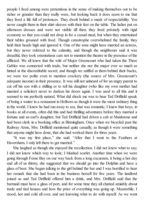people I lived among were pretentious in the sense of making themselves out to be richer or grander than they really were, but looking back it does seem to me that they lived a life full of pretences. They dwelt behind a mask of respectability. You never caught them in their shirt sleeves with their feet on the table. The ladies put on afternoon dresses and were not visible till then; they lived privately with rigid economy so that you could not drop in for a casual meal, but when they entertained their tables groaned with food. Though catastrophe overwhelmed the family, they held their heads high and ignored it. One of the sons might have married an actress, but they never referred to the calamity, and though the neighbours said it was dreadful, they took ostentatious care not to mention the theatre in the presence of the afflicted. We all knew that the wife of Major Greencourt who had taken the Three Gables was connected with trade, but neither she nor the major ever so much as hinted at the discreditable secret; and though we sniffed at them behind their backs, we were too polite even to mention crockery (the source of Mrs. Greencourt's adequate income) in their presence. It was still not unheard of for an angry parent to cut off his son with a shilling or to tell his daughter (who like my own mother had married a solicitor) never to darken his doors again. I was used to all this and it seemed to me perfectly natural. What did shock me was to hear Ted Driffield speak of being a waiter in a restaurant in Holborn as though it were the most ordinary thing in the world. I knew he had run away to sea, that was romantic; I knew that boys, in books at all events, often did this and had thrilling adventures before they married a fortune and an earl's daughter; but Ted Driffield had driven a cab at Maidstone and had been clerk in a booking office at Birmingham. Once when we bicycled past the Railway Arms, Mrs. Driffield mentioned quite casually, as though it were something that anyone might have done, that she had worked there for three years.

"It was my first place," she said. "After that I went to the Feathers at Haversham. I only left there to get married."

She laughed as though she enjoyed the recollection. I did not know what to say; I did not know which way to look; I blushed scarlet. Another time when we were going through Ferne Bay on our way back from a long excursion, it being a hot day and all of us thirsty, she suggested that we should go into the Dolphin and have a glass of beer. She began talking to the girl behind the bar and I was horrified to hear her remark that she had been in the business herself for five years. The landlord joined us and Ted Driffield offered him a drink, and Mrs. Driffield said that the barmaid must have a glass of port, and for some time they all chatted amiably about trade and tied houses and how the price of everything was going up. Meanwhile, I stood, hot and cold all over, and not knowing what to do with myself. As we went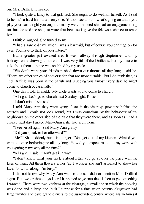out Mrs. Driffield remarked:

"I took quite a fancy to that girl, Ted. She ought to do well for herself. As I said to her, it's a hard life but a merry one. You do see a bit of what's going on and if you play your cards right you ought to marry well. I noticed she had an engagement ring on, but she told me she just wore that because it gave the fellows a chance to tease her."

Driffield laughed. She turned to me.

"I had a rare old time when I was a barmaid, but of course you can't go on for ever. You have to think of your future."

But a greater jolt awaited me. It was halfway through September and my holidays were drawing to an end. I was very full of the Driffields, but my desire to talk about them at home was snubbed by my uncle.

"We don't want your friends pushed down our throats all day long," said he. "There are other topics of conversation that are more suitable. But I do think that, as Ted Driffield was born in the parish and is seeing you almost every day, he might come to church occasionally."

One day I told Driffield: "My uncle wants you to come to church."

"All right. Let's go to church next Sunday night, Rosie."

"I don't mind," she said.

I told Mary-Ann they were going. I sat in the vicarage pew just behind the squire's and I could not look round, but I was conscious by the behaviour of my neighbours on the other side of the aisle that they were there, and as soon as I had a chance next day I asked Mary-Ann if she had seen them.

"I see 'er allright," said Mary-Ann grimly.

"Did you speak to her afterward?"

"Me?" She suddenly burst into anger. "You get out of my kitchen. What d'you want to come bothering me all day long? How d'you expect me to do my work with you getting in my way all the time?"

"All right," I said. "Don't get in a wax."

"I don't know what your uncle's about lettin' you go all over the place with the likes of them. All them flowers in her 'at. I wonder she ain't ashamed to show her face. Now run along, I'm busy."

I did not know why Mary-Ann was so cross. I did not mention Mrs. Driffield again. But two or three days later I happened to go into the kitchen to get something I wanted. There were two kitchens at the vicarage, a small one in which the cooking was done and a large one, built I suppose for a time when country clergymen had large families and gave grand dinners to the surrounding gentry, where Mary-Ann sat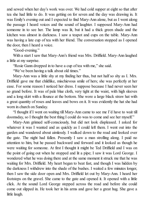and sewed when her day's work was over. We had cold supper at eight so that after tea she had little to do. It was getting on for seven and the day was drawing in. It was Emily's evening out and I expected to find Mary-Ann alone, but as I went along the passage I heard voices and the sound of laughter. I supposed Mary-Ann had someone in to see her. The lamp was lit, but it had a thick green shade and the kitchen was almost in darkness. I saw a teapot and cups on the table. Mary-Ann was having a late cup of tea with her friend. The conversation stopped as I opened the door, then I heard a voice.

"Good-evening."

With a start I saw that Mary-Ann's friend was Mrs. Driffield. Mary-Ann laughed a little at my surprise.

"Rosie Gann dropped in to have a cup of tea with me," she said.

"We've been having a talk about old times."

Mary-Ann was a little shy at my finding her thus, but not half so shy as I. Mrs. Driffield gave me that childlike, mischievous smile of hers; she was perfectly at her ease. For some reason I noticed her dress. I suppose because I had never seen her so grand before. It was of pale blue cloth, very tight at the waist, with high sleeves and a long skirt with a flounce at the bottom. She wore a large black straw hat with a great quantity of roses and leaves and bows on it. It was evidently the hat she had worn in church on Sunday.

"I thought if I went on waiting till Mary-Ann came to see me I'd have to wait till doomsday, so I thought the best thing I could do was to come and see her myself."

Mary-Ann grinned self-consciously, but did not look displeased. I asked for whatever it was I wanted and as quickly as I could left them. I went out into the garden and wandered about aimlessly. I walked down to the road and looked over the gate. The night had fallen. Presently I saw a man strolling along. I paid no attention to him, but he passed backward and forward and it looked as though he were waiting for someone. At first I thought it might be Ted Driffield and I was on the point of going out when he stopped and lit a pipe; I saw it was Lord George. I wondered what he was doing there and at the same moment it struck me that he was waiting for Mrs. Driffield. My heart began to beat fast, and though I was hidden by the darkness I withdrew into the shade of the bushes. I waited a few minutes longer, then I saw the side door open and Mrs. Driffield let out by Mary-Ann. I heard her footsteps on the gravel. She came to the gate and opened it. It opened with a little click. At the sound Lord George stepped across the road and before she could come out slipped in. He took her in his arms and gave her a great hug. She gave a little laugh.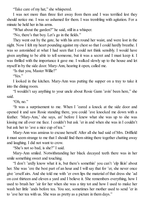"Take care of my hat," she whispered.

I was not more than three feet away from them and I was terrified lest they should notice me. I was so ashamed for them. I was trembling with agitation. For a minute he held her in his arms.

"What about the garden?" he said, still in a whisper.

"No, there's that boy. Let's go in the fields."

They went out by the gate, he with his arm round her waist, and were lost in the night. Now I felt my heart pounding against my chest so that I could hardly breathe. I was so astonished at what I had seen that I could not think sensibly. I would have given anything to be able to tell someone, but it was a secret and I must keep it. I was thrilled with the importance it gave me. I walked slowly up to the house and let myself in by the side door. Mary-Ann, hearing it open, called me.

"Is that you, Master Willie?"

"Yes."

I looked in the kitchen. Mary-Ann was putting the supper on a tray to take it into the dining room.

"I wouldn't say anything to your uncle about Rosie Gann 'avin' been here," she said.

"Oh, no."

"It was a surprisement to me. When I 'eared a knock at the side door and opened it and saw Rosie standing there, you could 'ave knocked me down with a feather. 'Mary-Ann,' she says, an' before I knew what she was up to she was kissing me all over me face. I couldn't but ask 'er in and when she was in I couldn't but ask her to 'ave a nice cup of tea."

Mary-Ann was anxious to excuse herself. After all she had said of Mrs. Driffield it must seem strange to me that I should find them sitting there together chatting away and laughing. I did not want to crow.

"She's not so bad, is she?" I said.

Mary-Ann smiled. Notwithstanding her black decayed teeth there was in her smile something sweet and touching.

"I don't 'ardly know what it is, but there's somethin' you can't 'elp likin' about her. She was 'ere the best part of an hour and I will say that for 'er, she never once give 'erself airs. And she told me with 'er own lips the material of that dress she 'ad on cost thirteen and eleven a yard and I believe it. She remembers everything, how I used to brush her 'air for her when she was a tiny tot and how I used to make her wash her little 'ands before tea. You see, sometimes her mother used to send 'er in to 'ave her tea with us. She was as pretty as a picture in them days."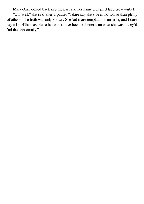Mary-Ann looked back into the past and her funny crumpled face grew wistful. "Oh, well," she said after a pause, "I dare say she's been no worse than plenty of others if the truth was only known. She 'ad more temptation than most, and I dare say a lot of them as blame her would 'ave been no better than what she was if they'd 'ad the opportunity."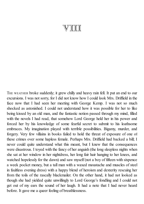## VIII

THE WEATHER broke suddenly; it grew chilly and heavy rain fell. It put an end to our excursions. I was not sorry, for I did not know how I could look Mrs. Driffield in the face now that I had seen her meeting with George Kemp. I was not so much shocked as astonished. I could not understand how it was possible for her to like being kissed by an old man, and the fantastic notion passed through my mind, filled with the novels I had read, that somehow Lord George held her in his power and forced her by his knowledge of some fearful secret to submit to his loathsome embraces. My imagination played with terrible possibilities. Bigamy, murder, and forgery. Very few villains in books failed to hold the threat of exposure of one of these crimes over some hapless female. Perhaps Mrs. Driffield had backed a bill; I never could quite understand what this meant, but I knew that the consequences were disastrous. I toyed with the fancy of her anguish (the long sleepless nights when she sat at her window in her nightdress, her long fair hair hanging to her knees, and watched hopelessly for the dawn) and saw myself (not a boy of fifteen with sixpence a week pocket money, but a tall man with a waxed moustache and muscles of steel in faultless evening dress) with a happy blend of heroism and dexterity rescuing her from the toils of the rascally blackmailer. On the other hand, it had not looked as though she had yielded quite unwillingly to Lord George's fondling and I could not get out of my ears the sound of her laugh. It had a note that I had never heard before. It gave me a queer feeling of breathlessness.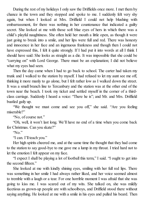During the rest of my holidays I only saw the Driffields once more. I met them by chance in the town and they stopped and spoke to me. I suddenly felt very shy again, but when I looked at Mrs. Driffield I could not help blushing with embarrassment, for there was nothing in her countenance that indicated a guilty secret. She looked at me with those soft blue eyes of hers in which there was a child's playful naughtiness. She often held her mouth a little open, as though it were just going to break into a smile, and her lips were full and red. There was honesty and innocence in her face and an ingenuous frankness and though then I could not have expressed this, I felt it quite strongly. If I had put it into words at all I think I should have said: She looks as straight as a die. It was impossible that she could be "carrying on" with Lord George. There must be an explanation; I did not believe what my eyes had seen.

Then the day came when I had to go back to school. The carter had taken my trunk and I walked to the station by myself. I had refused to let my aunt see me off, thinking it more manly to go alone, but I felt rather low as I walked down the street. It was a small branch line to Tercanbury and the station was at the other end of the town near the beach. I took my ticket and settled myself in the corner of a thirdclass carriage. Suddenly I heard a voice: "There he is"; and Mr. and Mrs. Driffield bustled gaily up.

"We thought we must come and see you off," she said. "Are you feeling miserable?"

"No, of course not."

"Oh, well, it won't last long. We'll have no end of a time when you come back for Christmas. Can you skate?"

"No."

"I can. I'll teach you."

Her high spirits cheered me, and at the same time the thought that they had come to the station to say good-bye to me gave me a lump in my throat. I tried hard not to let the emotion I felt appear on my face.

"I expect I shall be playing a lot of football this term," I said. "I ought to get into the second fifteen."

She looked at me with kindly shining eyes, smiling with her full red lips. There was something in her smile I had always rather liked, and her voice seemed almost to tremble with a laugh or a tear. For one horrible moment I was afraid that she was going to kiss me. I was scared out of my wits. She talked on, she was mildly facetious as grown-up people are with schoolboys, and Driffield stood there without saying anything. He looked at me with a smile in his eyes and pulled his beard. Then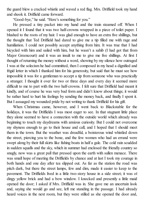the guard blew a cracked whistle and waved a red flag. Mrs. Driffield took my hand and shook it. Driffield came forward.

"Good-bye," he said. "Here's something for you."

He pressed a tiny packet into my hand and the train steamed off. When I opened it I found that it was two half-crowns wrapped in a piece of toilet paper. I blushed to the roots of my hair. I was glad enough to have an extra five shillings, but the thought that Ted Driffield had dared to give me a tip filled me with rage and humiliation. I could not possibly accept anything from him. It was true that I had bicycled with him and sailed with him, but he wasn't a sahib (I had got that from Major Greencourt) and it was an insult to me to give me five shillings. At first I thought of returning the money without a word, showing by my silence how outraged I was at the solecism he had committed, then I composed in my head a dignified and frigid letter in which I thanked him for his generosity, but said that he must see how impossible it was for a gentleman to accept a tip from someone who was practically a stranger. I thought it over for two or three days and every day it seemed more difficult to me to part with the two half-crowns. I felt sure that Driffield had meant it kindly, and of course he was very bad form and didn't know about things; it would be rather hard to hurt his feelings by sending the money back, and finally I spent it. But I assuaged my wounded pride by not writing to thank Driffield for his gift.

When Christmas came, however, and I went back to Blackstable for the holidays, it was the Driffields I was most eager to see. In that stagnant little place they alone seemed to have a connection with the outside world which already was beginning to touch my daydreams with anxious curiosity. But I could not overcome my shyness enough to go to their house and call, and I hoped that I should meet them in the town. But the weather was dreadful, a boisterous wind whistled down the street, piercing you to the bone, and the few women who had an errand were swept along by their full skirts like fishing boats in half a gale. The cold rain scudded in sudden squalls and the sky, which in summer had enclosed the friendly country so snugly, now was a great pall that pressed upon the earth with sullen menace. There was small hope of meeting the Driffields by chance and at last I took my courage in both hands and one day after tea slipped out. As far as the station the road was pitch dark, but there the street lamps, few and dim, made it easier to keep to the pavement. The Driffields lived in a little two-story house in a side street; it was of dingy yellow brick and had a bow window. I knocked and presently a little maid opened the door; I asked if Mrs. Driffield was in. She gave me an uncertain look and, saying she would go and see, left me standing in the passage. I had already heard voices in the next room, but they were stilled as she opened the door and,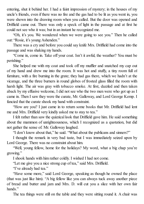entering, shut it behind her. I had a faint impression of mystery; in the houses of my uncle's friends, even if there was no fire and the gas had to be lit as you went in, you were shown into the drawing room when you called. But the door was opened and Driffield came out. There was only a speck of light in the passage and at first he could not see who it was; but in an instant he recognized me.

"Oh, it's you. We wondered when we were going to see you." Then he called out: "Rosie, it's young Ashenden."

There was a cry and before you could say knife Mrs. Driffield had come into the passage and was shaking my hands.

"Come in, come in. Take off your coat. Isn't it awful, the weather? You must be perishing."

She helped me with my coat and took off my muffler and snatched my cap out of my hand and drew me into the room. It was hot and stuffy, a tiny room full of furniture, with a fire burning in the grate; they had gas there, which we hadn't at the vicarage, and the three burners in round globes of frosted glass filled the room with harsh light. The air was gray with tobacco smoke. At first, dazzled and then taken aback by my effusive welcome, I did not see who the two men were who got up as I came in. Then I saw they were the curate, Mr. Galloway, and Lord George Kemp. I fancied that the curate shook my hand with constraint.

"How are you? I just came in to return some books that Mr. Driffield had lent me and Mrs. Driffield very kindly asked me to stay to tea."

I felt rather than saw the quizzical look that Driffield gave him. He said something about the mammon of unrighteousness, which I recognized as a quotation, but did not gather the sense of. Mr. Galloway laughed.

"I don't know about that," he said. "What about the publicans and sinners?"

I thought the remark in very bad taste, but I was immediately seized upon by Lord George. There was no constraint about him.

"Well, young fellow, home for the holidays? My word, what a big chap you're growing."

I shook hands with him rather coldly. I wished I had not come.

"Let me give you a nice strong cup of tea," said Mrs. Driffield.

"I've already had tea."

"Have some more," said Lord George, speaking as though he owned the place (that was just like him). "A big fellow like you can always tuck away another piece of bread and butter and jam and Mrs. D. will cut you a slice with her own fair hands."

The tea things were still on the table and they were sitting round it. A chair was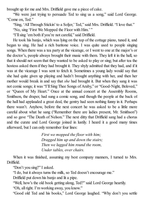brought up for me and Mrs. Driffield gave me a piece of cake.

"We were just trying to persuade Ted to sing us a song," said Lord George. "Come on, Ted."

"Sing, 'All Through Stickin' to a Soljer,' Ted," said Mrs. Driffield. "I love that."

"No, sing 'First We Mopped the Floor with Him.' "

"I'llsing 'em both if you're not careful," said Driffield.

He took his banjo, which was lying on the top of the cottage piano, tuned it, and began to sing. He had a rich baritone voice. I was quite used to people singing songs. When there was a tea party at the vicarage, or I went to one at the major's or the doctor's, people always brought their music with them. They left it in the hall, so that it should not seem that they wanted to be asked to play or sing; but after tea the hostess asked them if they had brought it. They shyly admitted that they had, and if it was at the vicarage I was sent to fetch it. Sometimes a young lady would say that she had quite given up playing and hadn't brought anything with her, and then her mother would break in and say that *she* had brought it. But when they sang it was not comic songs; it was "I'll Sing Thee Songs of Araby," or "Good-Night, Beloved," or "Queen of My Heart." Once at the annual concert at the Assembly Rooms, Smithson, the draper, had sung a comic song, and though the people at the back of the hall had applauded a great deal, the gentry had seen nothing funny in it. Perhaps there wasn't. Anyhow, before the next concert he was asked to be a little more careful about what he sang ("Remember there are ladies present, Mr. Smithson") and so gave "The Death of Nelson." The next ditty that Driffield sang had a chorus and the curate and Lord George joined in lustily. I heard it a good many times afterward, but I can only remember four lines:

> *First we mopped the floor with him; Dragged him up and down the stairs; Then we lugged him round the room, Under tables, over chairs.*

When it was finished, assuming my best company manners, I turned to Mrs. Driffield.

"Don't you sing?" I asked.

"I do, but it always turns the milk, so Ted doesn't encourage me."

Driffield put down his banjo and lit a pipe.

"Well, how's the old book getting along, Ted?" said Lord George heartily.

"Oh, all right. I'm working away, you know."

"Good old Ted and his books," Lord George laughed. "Why don't you settle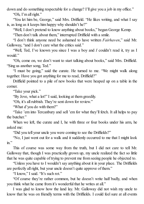down and do something respectable for a change? I'll give you a job in my office." "Oh, I'm all right."

"You let him be, George," said Mrs. Driffield. "He likes writing, and what I say is, as long as it keeps him happy why shouldn't he?"

"Well, I don't pretend to know anything about books," began George Kemp.

"Then don't talk about them," interrupted Driffield with a smile.

"I don't think anyone need be ashamed to have written *Fairhaven*," said Mr. Galloway, "and I don't care what the critics said."

"Well, Ted, I've known you since I was a boy and *I* couldn't read it, try as I would."

"Oh, come on, we don't want to start talking about books," said Mrs. Driffield. "Sing us another song, Ted."

"I must be going," said the curate. He turned to me. "We might walk along together. Have you got anything for me to read, Driffield?"

Driffield pointed to a pile of new books that were heaped up on a table in the corner.

"Take your pick."

"By Jove, what a lot!" I said, looking at them greedily.

"Oh, it's all rubbish. They're sent down for review."

"What d'you do with them?"

"Take 'em into Tercanbury and sell 'em for what they'll fetch. It all helps to pay the butcher."

When we left, the curate and I, he with three or four books under his arm, he asked me:

"Did you tell your uncle you were coming to see the Driffields?"

"No, I just went out for a walk and it suddenly occurred to me that I might look in."

This of course was some way from the truth, but I did not care to tell Mr. Galloway that, though I was practically grown up, my uncle realized the fact so little that he was quite capable of trying to prevent me from seeing people he objected to.

"Unless you have to I wouldn't say anything about it in your place. The Driffields are perfectly all right, but your uncle doesn't quite approve of them."

"I know," I said. "It's such rot."

"Of course they're rather common, but he doesn't write half badly, and when you think what he came from it's wonderful that he writes at all."

I was glad to know how the land lay. Mr. Galloway did not wish my uncle to know that he was on friendly terms with the Driffields. I could feel sure at all events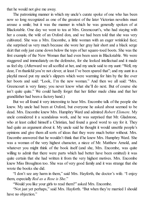that he would not give me away.

The patronizing manner in which my uncle's curate spoke of one who has been now so long recognized as one of the greatest of the later Victorian novelists must arouse a smile; but it was the manner in which he was generally spoken of at Blackstable. One day we went to tea at Mrs. Greencourt's, who had staying with her a cousin, the wife of an Oxford don, and we had been told that she was very cultivated. She was a Mrs. Encombe, a little woman with an eager wrinkled face; she surprised us very much because she wore her gray hair short and a black serge skirt that only just came down below the tops of her square-toed boots. She was the first example of the New Woman that had even been seen in Blackstable. We were staggered and immediately on the defensive, for she looked intellectual and it made us feelshy. (Afterward we allscoffed at her, and my uncle said to my aunt: "Well, my dear, I'm thankful you're not clever, at least I've been spared that"; and my aunt in a playful mood put my uncle's slippers which were warming for him by the fire over her boots and said: "Look, I'm the new woman." And then we all said: "Mrs. Greencourt is very funny; you never know what she'll do next. But of course she isn't quite quite." We could hardly forget that her father made china and that her grandfather had been a factory hand.)

But we all found it very interesting to hear Mrs. Encombe talk of the people she knew. My uncle had been at Oxford, but everyone he asked about seemed to be dead. Mrs. Encombe knew Mrs. Humphry Ward and admired *Robert Elsmere*. My uncle considered it a scandalous work, and he was surprised that Mr. Gladstone, who at least called himself a Christian, had found a good word to say for it. They had quite an argument about it. My uncle said he thought it would unsettle people's opinions and give them all sorts of ideas that they were much better without. Mrs. Encombe answered that he wouldn't think that if he knew Mrs. Humphry Ward. She was a woman of the very highest character, a niece of Mr. Matthew Arnold, and whatever you might think of the book itself (and she, Mrs. Encombe, was quite willing to admit that there were parts which had better have been omitted) it was quite certain that she had written it from the very highest motives. Mrs. Encombe knew Miss Broughton too. She was of very good family and it was strange that she wrote the books she did.

"I don't see any harm in them," said Mrs. Hayforth, the doctor's wife. "I enjoy them, especially *Red as a Rose is She*."

"Would you like your girls to read them?" asked Mrs. Encombe.

"Not just yet perhaps," said Mrs. Hayforth. "But when they're married I should have no objection."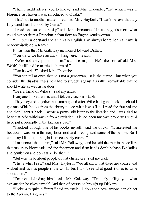"Then it might interest you to know," said Mrs. Encombe, "that when I was in Florence last Easter I was introduced to Ouida."

"That's quite another matter," returned Mrs. Hayforth. "I can't believe that any lady would read a book by Ouida."

"I read one out of curiosity," said Mrs. Encombe. "I must say, it's more what you'd expect from a Frenchman than from an English gentlewoman."

"Oh, but I understand she isn't really English. I've always heard her real name is Mademoiselle de la Ramée."

It was then that Mr. Galloway mentioned Edward Driffield.

"You know we have an author living here," he said.

"We're not very proud of him," said the major. "He's the son of old Miss Wolfe's bailiff and he married a barmaid."

"Can he write?" asked Mrs. Encombe.

"You can tell at once that he's not a gentleman," said the curate, "but when you consider the disadvantages he's had to struggle against it's rather remarkable that he should write as well as he does."

"He's a friend of Willie's," said my uncle.

Everyone looked at me, and I felt very uncomfortable.

"They bicycled together last summer, and after Willie had gone back to school I got one of his books from the library to see what it was like. I read the first volume and then I sent it back. I wrote a pretty stiff letter to the librarian and I was glad to hear that he'd withdrawn it from circulation. If it had been my own property I should have put it promptly in the kitchen stove."

"I looked through one of his books myself," said the doctor. "It interested me because it was set in this neighbourhood and I recognized some of the people. But I can't say I liked it; I thought it unnecessarily coarse."

"I mentioned that to him," said Mr. Galloway, "and he said the men in the colliers that run up to Newcastle and the fishermen and farm hands don't behave like ladies and gentlemen and don't talk like them."

"But why write about people of that character?" said my uncle.

"That's what I say," said Mrs. Hayforth. "We all know that there are coarse and wicked and vicious people in the world, but I don't see what good it does to write about them."

"I'm not defending him," said Mr. Galloway. "I'm only telling you what explanation he gives himself. And then of course he brought up Dickens."

"Dickens is quite different," said my uncle. "I don't see how anyone can object to the *Pickwick Papers*."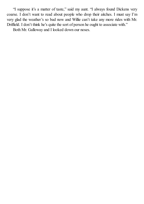"I suppose it's a matter of taste," said my aunt. "I always found Dickens very coarse. I don't want to read about people who drop their aitches. I must say I'm very glad the weather's so bad now and Willie can't take any more rides with Mr. Driffield. I don't think he's quite the sort of person he ought to associate with."

Both Mr. Galloway and I looked down our noses.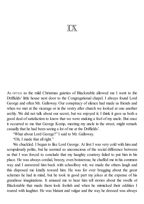IX

A<sup>S</sup> OFTEN as the mild Christmas gaieties of Blackstable allowed me I went to the Driffields' little house next door to the Congregational chapel. I always found Lord George and often Mr. Galloway. Our conspiracy of silence had made us friends and when we met at the vicarage or in the vestry after church we looked at one another archly. We did not talk about our secret, but we enjoyed it; I think it gave us both a good deal of satisfaction to know that we were making a fool of my uncle. But once it occurred to me that George Kemp, meeting my uncle in the street, might remark casually that he had been seeing a lot of me at the Driffields'.

"What about Lord George?" I said to Mr. Galloway.

"Oh, I made that all right."

We chuckled. I began to like Lord George. At first I was very cold with him and scrupulously polite, but he seemed so unconscious of the social difference between us that I was forced to conclude that my haughty courtesy failed to put him in his place. He was always cordial, breezy, even boisterous; he chaffed me in his common way and I answered him back with schoolboy wit; we made the others laugh and this disposed me kindly toward him. He was for ever bragging about the great schemes he had in mind, but he took in good part my jokes at the expense of his grandiose imaginations. It amused me to hear him tell stories about the swells of Blackstable that made them look foolish and when he mimicked their oddities I roared with laughter. He was blatant and vulgar and the way he dressed was always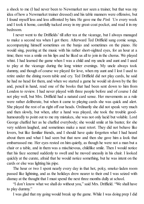a shock to me (I had never been to Newmarket nor seen a trainer, but that was my idea of how a Newmarket trainer dressed) and his table manners were offensive, but I found myself less and less affronted by him. He gave me the *Pink 'Un* every week and I took it home, carefully tucked away in my great-coat pocket, and read it in my bedroom.

I never went to the Driffields' till after tea at the vicarage, but I always managed to make a second tea when I got there. Afterward Ted Driffield sang comic songs, accompanying himself sometimes on the banjo and sometimes on the piano. He would sing, peering at the music with his rather short-sighted eyes, for an hour at a time; there was a smile on his lips and he liked us all to join in the chorus. We played whist. I had learned the game when I was a child and my uncle and aunt and I used to play at the vicarage during the long winter evenings. My uncle always took dummy, and though of course we played for love, when my aunt and I lost I used to retire under the dining room table and cry. Ted Driffield did not play cards, he said he had no head for them, and when we started a game he would sit down by the fire and, pencil in hand, read one of the books that had been sent down to him from London to review. I had never played with three people before and of course I did not play well, but Mrs. Driffield had a natural card sense. Her movements as a rule were rather deliberate, but when it came to playing cards she was quick and alert. She played the rest of us right off our heads. Ordinarily she did not speak very much and then slowly, but when, after a hand was played, she took the trouble goodhumouredly to point out to me my mistakes, she was not only lucid but voluble. Lord George chaffed her as he chaffed everybody; she would smile at his banter, for she very seldom laughed, and sometimes make a neat retort. They did not behave like lovers, but like familiar friends, and I should have quite forgotten what I had heard about them and what I had seen but that now and then she gave him a look that embarrassed me. Her eyes rested on him quietly, as though he were not a man but a chair or a table, and in them was a mischievous, childlike smile. Then I would notice that his face seemed suddenly to swell and he moved uneasily in his chair. I looked quickly at the curate, afraid that he would notice something, but he was intent on the cards or else was lighting his pipe.

The hour or two I spent nearly every day in that hot, poky, smoke-laden room passed like lightning, and as the holidays drew nearer to their end I was seized with dismay at the thought that I must spend the next three months dully at school.

"I don't know what we shall do without you," said Mrs. Driffield. "We shall have to play dummy."

I was glad that my going would break up the game. While I was doing prep I did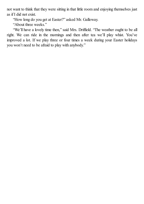not want to think that they were sitting in that little room and enjoying themselves just as if I did not exist.

"How long do you get at Easter?" asked Mr. Galloway.

"About three weeks."

"We'll have a lovely time then," said Mrs. Driffield. "The weather ought to be all right. We can ride in the mornings and then after tea we'll play whist. You've improved a lot. If we play three or four times a week during your Easter holidays you won't need to be afraid to play with anybody."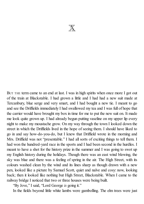

BUT THE term came to an end at last. I was in high spirits when once more I got out of the train at Blackstable. I had grown a little and I had had a new suit made at Tercanbury, blue serge and very smart, and I had bought a new tie. I meant to go and see the Driffields immediately I had swallowed my tea and I was full of hope that the carrier would have brought my box in time for me to put the new suit on. It made me look quite grown up. I had already begun putting vaseline on my upper lip every night to make my moustache grow. On my way through the town I looked down the street in which the Driffields lived in the hope of seeing them. I should have liked to go in and say how-do-you-do, but I knew that Driffield wrote in the morning and Mrs. Driffield was not "presentable." I had all sorts of exciting things to tell them. I had won the hundred-yard race in the sports and I had been second in the hurdles. I meant to have a shot for the history prize in the summer and I was going to swot up my English history during the holidays. Though there was an east wind blowing, the sky was blue and there was a feeling of spring in the air. The High Street, with its colours washed clean by the wind and its lines sharp as though drawn with a new pen, looked like a picture by Samuel Scott, quiet and naïve and cosy: now, looking back; then it looked like nothing but High Street, Blackstable. When I came to the railway bridge I noticed that two or three houses were being built.

"By Jove," I said, "Lord George *is* going it."

In the fields beyond little white lambs were gambolling. The elm trees were just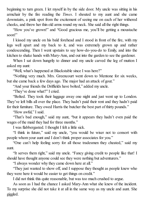beginning to turn green. I let myself in by the side door. My uncle was sitting in his armchair by the fire reading the *Times*. I shouted to my aunt and she came downstairs, a pink spot from the excitement of seeing me on each of her withered cheeks, and threw her thin old arms round my neck. She said all the right things.

"How you've grown!" and "Good gracious me, you'll be getting a moustache soon!"

I kissed my uncle on his bald forehead and I stood in front of the fire, with my legs well apart and my back to it, and was extremely grown up and rather condescending. Then I went upstairs to say how-do-you-do to Emily, and into the kitchen to shake hands with Mary-Ann, and out into the garden to see the gardener.

When I sat down hungrily to dinner and my uncle carved the leg of mutton I asked my aunt:

"Well, what's happened at Blackstable since I was here?"

"Nothing very much. Mrs. Greencourt went down to Mentone for six weeks, but she came back a few days ago. The major had an attack of gout."

"And your friends the Driffields have bolted," added my uncle.

"They've done what?" I cried.

"Bolted. They took their luggage away one night and just went up to London. They've left bills all over the place. They hadn't paid their rent and they hadn't paid for their furniture. They owed Harris the butcher the best part of thirty pounds."

"How awful," I said.

"That's bad enough," said my aunt, "but it appears they hadn't even paid the wages of the maid they had for three months."

I was flabbergasted. I thought I felt a little sick.

"I think in future," said my uncle, "you would be wiser not to consort with people whom your aunt and I don't think proper associates for you."

"One can't help feeling sorry for all those tradesmen they cheated," said my aunt.

"It serves them right," said my uncle. "Fancy giving credit to people like that! I should have thought anyone could see they were nothing but adventurers."

"I always wonder why they came down here at all."

"They just wanted to show off, and I suppose they thought as people knew who they were here it would be easier to get things on credit."

I did not think this quite reasonable, but was too much crushed to argue.

As soon as I had the chance I asked Mary-Ann what she knew of the incident. To my surprise she did not take it at all in the same way as my uncle and aunt. She giggled.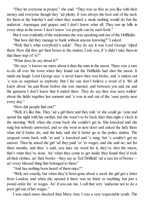"They let everyone in proper," she said. "They was as free as you like with their money and everyone though they 'ad plenty. It was always the best end of the neck for them at the butcher's and when they wanted a steak nothing would do but the undercut. Asparagus and grapes and I don't know what all. They ran up bills in every shop in the town. I don't know 'ow people can be such fools."

But it was evidently of the tradesmen she was speaking and not of the Driffields.

"But how did they manage to bunk without anyone knowing?" I asked.

"Well, that's what everybody's askin'. They do say it was Lord George 'elped them. How did they get their boxes to the station, I ask you, if 'e didn't take them in that there trap of 'is?"

"What does he say about it?"

"He says 'e knows no more about it than the man in the moon. There was a rare to-do all over the town when they found out the Driffields had shot the moon. It made me laugh. Lord George says 'e never knew they was broke, and 'e makes out 'e was as surprised as anybody. But I for one don't believe a word of it. We all knew about 'im and Rosie before she was married, and between you and me and the gatepost I don't know that it ended there. They do say they was seen walkin' about the fields together last summer and 'e was in and out of the 'ouse pretty near every day."

"How did people find out?"

"Well, it's like this. They 'ad a girl there and they told 'er she could go 'ome and spend the night with her mother, but she wasn't to be back later than eight o'clock in the morning. Well, when she come back she couldn't get in. She knocked and she rung but nobody answered, and so she went in next door and asked the lady there what she'd better do, and the lady said she'd better go to the police station. The sergeant come back with 'er and 'e knocked and 'e rung, but '*e* couldn't get no answer. Then he asked the girl 'ad they paid 'er 'er wages, and she said no, not for three months, and then 'e said, you take my word for it, they've shot the moon, that's what they've done. An' when they come to get inside they found they'd took all their clothes, an' their books—they say as Ted Driffield 'ad a rare lot of books an' every blessed thing that belonged to them."

"And has nothing been heard of them since?"

"Well, not exactly, but when they'd been gone about a week the girl got a letter from London, and when she opened it there was no letter or anything, but just a postal order for 'er wages. An' if you ask me, I call that very 'andsome not to do a poor girl out of her wages."

I was much more shocked than Mary-Ann. I was a very respectable youth. The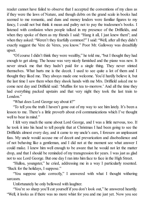reader cannot have failed to observe that I accepted the conventions of my class as if they were the laws of Nature, and though debts on the grand scale in books had seemed to me romantic, and duns and money lenders were familiar figures to my fancy, I could not but think it mean and paltry not to pay the tradesmen's books. I listened with confusion when people talked in my presence of the Driffields, and when they spoke of them as my friends I said: "Hang it all, I just knew them"; and when they asked: "Weren't they fearfully common?" I said: "Well, after all they didn't exactly suggest the Vere de Veres, you know." Poor Mr. Galloway was dreadfully upset.

"Of course I didn't think they were wealthy," he told me, "but I thought they had enough to get along. The house was very nicely furnished and the piano was new. It never struck me that they hadn't paid for a single thing. They never stinted themselves. What hurts me is the deceit. I used to see quite a lot of them and I thought they liked me. They always made one welcome. You'd hardly believe it, but the last time I saw them when they shook hands with me Mrs. Driffield asked me to come next day and Driffield said: 'Muffins for tea to-morrow.' And all the time they had everything packed upstairs and that very night they took the last train to London."

"What does Lord George say about it?"

"To tell you the truth I haven't gone out of my way to see him lately. It's been a lesson to me. There's a little proverb about evil communications which I've thought well to bear in mind."

I felt very much the same about Lord George, and I was a little nervous, too. If he took it into his head to tell people that at Christmas I had been going to see the Driffields almost every day, and it came to my uncle's ears, I foresaw an unpleasant fuss. My uncle would accuse me of deceit and prevarication and disobedience and of not behaving like a gentleman, and I did not at the moment see what answer I could make. I knew him well enough to be aware that he would not let the matter drop, and that I should be reminded of my transgression for years. I was just as glad not to see Lord George. But one day I ran into him face to face in the High Street.

"Hulloa, youngster," he cried, addressing me in a way I particularly resented. "Back for the holidays, I suppose."

"You suppose quite correctly," I answered with what I thought withering sarcasm.

Unfortunately he only bellowed with laughter.

"You're so sharp you'll cut yourself if you don't look out," he answered heartily. "Well, it looks as if there was no more whist for you and me just yet. Now you see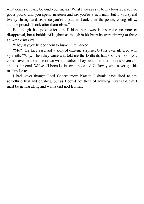what comes of living beyond your means. What I always say to my boys is, if you've got a pound and you spend nineteen and six you're a rich man, but if you spend twenty shillings and sixpence you're a pauper. Look after the pence, young fellow, and the pounds'll look after themselves."

But though he spoke after this fashion there was in his voice no note of disapproval, but a bubble of laughter as though in his heart he were tittering at these admirable maxims.

"They say you helped them to bunk," I remarked.

"Me?" His face assumed a look of extreme surprise, but his eyes glittered with sly mirth. "Why, when they came and told me the Driffields had shot the moon you could have knocked me down with a feather. They owed me four pounds seventeen and six for coal. We've all been let in, even poor old Galloway who never got his muffins for tea."

I had never thought Lord George more blatant. I should have liked to say something final and crushing, but as I could not think of anything I just said that I must be getting along and with a curt nod left him.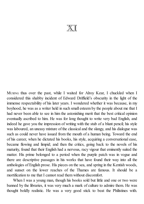## $\mathbb{X}\mathbb{T}$

MUSING thus over the past, while I waited for Alroy Kear, I chuckled when I considered this shabby incident of Edward Driffield's obscurity in the light of the immense respectability of his later years. I wondered whether it was because, in my boyhood, he was as a writer held in such small esteem by the people about me that I had never been able to see in him the astonishing merit that the best critical opinion eventually ascribed to him. He was for long thought to write very bad English, and indeed he gave you the impression of writing with the stub of a blunt pencil; his style was laboured, an uneasy mixture of the classical and the slangy, and his dialogue was such as could never have issued from the mouth of a human being. Toward the end of his career, when he dictated his books, his style, acquiring a conversational ease, became flowing and limpid; and then the critics, going back to the novels of his maturity, found that their English had a nervous, racy vigour that eminently suited the matter. His prime belonged to a period when the purple patch was in vogue and there are descriptive passages in his works that have found their way into all the anthologies of English prose. His pieces on the sea, and spring in the Kentish woods, and sunset on the lower reaches of the Thames are famous. It should be a mortification to me that I cannot read them without discomfort.

When I was a young man, though his books sold but little and one or two were banned by the libraries, it was very much a mark of culture to admire them. He was thought boldly realistic. He was a very good stick to beat the Philistines with.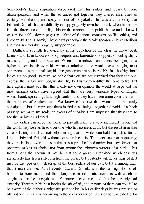Somebody's lucky inspiration discovered that his sailors and peasants were Shakespearean, and when the advanced got together they uttered shrill cries of ecstasy over the dry and spicy humour of his yokels. This was a commodity that Edward Driffield had no difficulty in supplying. My own heart sank when he led me into the forecastle of a sailing ship or the taproom of a public house and I knew I was in for half a dozen pages in dialect of facetious comment on life, ethics, and immortality. But, I admit, I have always thought the Shakespearean clowns tedious and their innumerable progeny insupportable.

Driffield's strength lay evidently in his depiction of the class he knew best, farmers and farm labourers, shopkeepers and bartenders, skippers of sailing ships, mates, cooks, and able seamen. When he introduces characters belonging to a higher station in life even his warmest admirers, one would have thought, must experience a certain malaise; his fine gentlemen are so incredibly fine, his high-born ladies are so good, so pure, so noble that you are not surprised that they can only express themselves with polysyllabic dignity. His women difficultly come to life. But here again I must add that this is only my own opinion; the world at large and the most eminent critics have agreed that they are very winsome types of English womanhood, spirited, gallant, high-souled, and they have been often compared with the heroines of Shakespeare. We know of course that women are habitually constipated, but to represent them in fiction as being altogether devoid of a back passage seems to me really an excess of chivalry. I am surprised that they care to see themselves thus limned.

The critics can force the world to pay attention to a very indifferent writer, and the world may lose its head over one who has no merit at all, but the result in neither case is lasting; and I cannot help thinking that no writer can hold the public for as long as Edward Driffield without considerable gifts. The elect sneer at popularity; they are inclined even to assert that it is a proof of mediocrity; but they forget that posterity makes its choice not from among the unknown writers of a period, but from among the known. It may be that some great masterpiece which deserves immortality has fallen still-born from the press, but posterity will never hear of it; it may be that posterity will scrap all the best sellers of our day, but it is among them that it must choose. At all events Edward Driffield is in the running. His novels happen to bore me; I find them long; the melodramatic incidents with which he sought to stir the sluggish reader's interest leave me cold; but he certainly had sincerity. There is in his best books the stir of life, and in none of them can you fail to be aware of the author's enigmatic personality. In his earlier days he was praised or blamed for his realism; according to the idiosyncrasy of his critics he was extolled for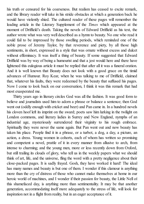his truth or censured for his coarseness. But realism has ceased to excite remark, and the library reader will take in his stride obstacles at which a generation back he would have violently shied. The cultured reader of these pages will remember the leading article in the Literary Supplement of the *Times* which appeared at the moment of Driffield's death. Taking the novels of Edward Driffield as his text, the author wrote what was very well described as a hymn to beauty. No one who read it could fail to be impressed by those swelling periods, which reminded one of the noble prose of Jeremy Taylor, by that reverence and piety, by all those high sentiments, in short, expressed in a style that was ornate without excess and dulcet without effeminacy. It was itself a thing of beauty. If some suggested that Edward Driffield was by way of being a humourist and that a jest would here and there have lightened this eulogious article it must be replied that after all it was a funeral oration. And it is well known that Beauty does not look with a good grace on the timid advances of Humour. Roy Kear, when he was talking to me of Driffield, claimed that, whatever his faults, they were redeemed by the beauty that suffused his pages. Now I come to look back on our conversation, I think it was this remark that had most exasperated me.

Thirty years ago in literary circles God was all the fashion. It was good form to believe and journalists used him to adorn a phrase or balance a sentence; then God went out (oddly enough with cricket and beer) and Pan came in. In a hundred novels his cloven hoof left its imprint on the sward; poets saw him lurking in the twilight on London commons, and literary ladies in Surrey and New England, nymphs of an industrial age, mysteriously surrendered their virginity to his rough embrace. Spiritually they were never the same again. But Pan went out and now beauty has taken his place. People find it in a phrase, or a turbot, a dog, a day, a picture, an action, a dress. Young women in cohorts, each of whom has written so promising and competent a novel, prattle of it in every manner from allusive to arch, from intense to charming; and the young men, more or less recently down from Oxford, but still trailing its clouds of glory, who tell us in the weekly papers what we should think of art, life, and the universe, fling the word with a pretty negligence about their close-packed pages. It is sadly frayed. Gosh, they have worked it hard! The ideal has many names and beauty is but one of them. I wonder if this clamour is anything more than the cry of distress of those who cannot make themselves at home in our heroic world of machines, and I wonder if their passion for beauty, the Little Nell of this shamefaced day, is anything more than sentimentality. It may be that another generation, accommodating itself more adequately to the stress of life, will look for inspiration not in a flight from reality, but in an eager acceptance of it.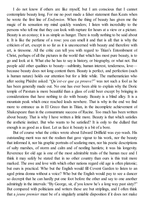I do not know if others are like myself, but I am conscious that I cannot contemplate beauty long. For me no poet made a falser statement than Keats when he wrote the first line of *Endymion*. When the thing of beauty has given me the magic of its sensation my mind quickly wanders; I listen with incredulity to the persons who tell me that they can look with rapture for hours at a view or a picture. Beauty is an ecstasy; it is as simple as hunger. There is really nothing to be said about it. It is like the perfume of a rose: you can smell it and that is all: that is why the criticism of art, except in so far as it is unconcerned with beauty and therefore with art, is tiresome. All the critic can tell you with regard to Titian's Entombment of Christ, perhaps of all the pictures in the world that which has most pure beauty, is to go and look at it. What else he has to say is history, or biography, or what not. But people add other qualities to beauty—sublimity, human interest, tenderness, love because beauty does not long content them. Beauty is perfect, and perfection (such is human nature) holds our attention but for a little while. The mathematician who after seeing Phèdre asked: "*Qu'est-ce que ça prouve?*" was not such a fool as he has been generally made out. No one has ever been able to explain why the Doric temple of Pæstum is more beautiful than a glass of cold beer except by bringing in considerations that have nothing to do with beauty. Beauty is a blind alley. It is a mountain peak which once reached leads nowhere. That is why in the end we find more to entrance us in El Greco than in Titian, in the incomplete achievement of Shakespeare than in the consummate success of Racine. Too much has been written about beauty. That is why I have written a little more. Beauty is that which satisfies the æsthetic instinct. But who wants to be satisfied? It is only to the dullard that enough is as good as a feast. Let us face it: beauty is a bit of a bore.

But of course what the critics wrote about Edward Driffield was eye-wash. His outstanding merit was not the realism that gave vigour to his work, nor the beauty that informed it, nor his graphic portraits of seafaring men, nor his poetic descriptions of salty marshes, of storm and calm and of nestling hamlets; it was his longevity. Reverence for old age is one of the most admirable traits of the human race and I think it may safely be stated that in no other country than ours is this trait more marked. The awe and love with which other nations regard old age is often platonic; but ours is practical. Who but the English would fill Covent Garden to listen to an aged prima donna without a voice? Who but the English would pay to see a dancer so decrepit that he can hardly put one foot before the other and say to one another admiringly in the intervals: "By George, sir, d'you know he's a long way past sixty?" But compared with politicians and writers these are but striplings, and I often think that a *jeune premier* must be of a singularly amiable disposition if it does not make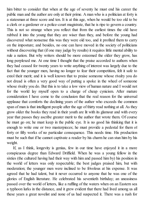him bitter to consider that when at the age of seventy he must end his career the public man and the author are only at their prime. Aman who is a politician at forty is a statesman at three score and ten. It is at this age, when he would be too old to be a clerk or a gardener or a police-court magistrate, that he is ripe to govern a country. This is not so strange when you reflect that from the earliest times the old have rubbed it into the young that they are wiser than they, and before the young had discovered what nonsense this was they were old too, and it profited them to carry on the imposture; and besides, no one can have moved in the society of politicians without discovering that (if one may judge by results) it requires little mental ability to rule a nation. But why writers should be more esteemed the older they grow, has long perplexed me. At one time I thought that the praise accorded to authors when they had ceased for twenty years to write anything of interest was largely due to the fact that the younger men, having no longer to fear their competition, felt it safe to extol their merit; and it is well known that to praise someone whose rivalry you do not dread is often a very good way of putting a spoke in the wheel of someone whose rivalry you do. But this is to take a low view of human nature and I would not for the world lay myself open to a charge of cheap cynicism. After mature consideration I have come to the conclusion that the real reason for the universal applause that comforts the declining years of the author who exceeds the common span of man is that intelligent people after the age of thirty read nothing at all. As they grow older the books they read in their youth are lit with its glamour and with every year that passes they ascribe greater merit to the author that wrote them. Of course he must go on; he must keep in the public eye. It is no good his thinking that it is enough to write one or two masterpieces; he must provide a pedestal for them of forty or fifty works of no particular consequence. This needs time. His production must be such that if he cannot captivate a reader by his charm he can stun him by his weight.

If, as I think, longevity is genius, few in our time have enjoyed it in a more conspicuous degree than Edward Driffield. When he was a young fellow in the sixties (the cultured having had their way with him and passed him by) his position in the world of letters was only respectable; the best judges praised him, but with moderation; the younger men were inclined to be frivolous at his expense. It was agreed that he had talent, but it never occurred to anyone that he was one of the glories of English literature. He celebrated his seventieth birthday; an uneasiness passed over the world of letters, like a ruffling of the waters when on an Eastern sea a typhoon lurks in the distance, and it grew evident that there had lived among us all these years a great novelist and none of us had suspected it. There was a rush for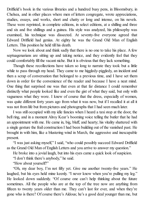Driffield's book in the various libraries and a hundred busy pens, in Bloomsbury, in Chelsea, and in other places where men of letters congregate, wrote appreciations, studies, essays, and works, short and chatty or long and intense, on his novels. These were reprinted, in complete editions, in select editions, at a shilling and three and six and five shillings and a guinea. His style was analyzed, his philosophy was examined, his technique was dissected. At seventy-five everyone agreed that Edward Driffield had genius. At eighty he was the Grand Old Man of English Letters. This position he held till his death.

Now we look about and think sadly that there is no one to take his place. A few septuagenarians are sitting up and taking notice, and they evidently feel that they could comfortably fill the vacant niche. But it is obvious that they lack something.

Though these recollections have taken so long to narrate they took but a little while to pass through my head. They came to me higgledy-piggledy, an incident and then a scrap of conversation that belonged to a previous time, and I have set them down in order for the convenience of the reader and because I have a neat mind. One thing that surprised me was that even at that far distance I could remember distinctly what people looked like and even the gist of what they said, but only with vagueness what they wore. I knew of course that the dress, especially of women, was quite different forty years ago from what it was now, but if I recalled it at all it was not from life but from pictures and photographs that I had seen much later.

I was still occupied with my idle fancies when I heard a taxistop at the door, the bell ring, and in a moment Alroy Kear's booming voice telling the butler that he had an appointment with me. He came in, big, bluff, and hearty; his vitality shattered with a single gesture the frail construction I had been building out of the vanished past. He brought in with him, like a blustering wind in March, the aggressive and inescapable present.

"I was just asking myself," I said, "who could possibly succeed Edward Driffield as the Grand Old Man of English Letters and you arrive to answer my question."

He broke into a jovial laugh, but into his eyes came a quick look of suspicion.

"I don't think there's anybody," he said.

"How about yourself?"

"Oh, my dear boy, I'm not fifty yet. Give me another twenty-five years." He laughed, but his eyes held mine keenly. "I never know when you're pulling my leg." He looked down suddenly. "Of course one can't help thinking about the future sometimes. All the people who are at the top of the tree now are anything from fifteen to twenty years older than me. They can't last for ever, and when they're gone who is there? Of course there's Aldous; he's a good deal younger than me, but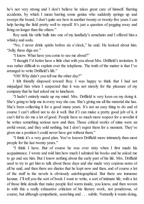he's not very strong and I don't believe he takes great care of himself. Barring accidents, by which I mean barring some genius who suddenly springs up and sweeps the board, I don't quite see how in another twenty or twenty-five years I can help having the field pretty well to myself. It's just a question of pegging away and living on longer than the others."

Roy sank his virile bulk into one of my landlady's armchairs and I offered him a whisky and soda.

"No, I never drink spirits before six o'clock," he said. He looked about him. "Jolly, these digs are."

"I know. What have you come to see me about?"

"I thought I'd better have a little chat with you about Mrs. Driffield's invitation. It was rather difficult to explain over the telephone. The truth of the matter is that I've arranged to write Driffield's life."

"Oh! Why didn't you tell me the other day?"

I felt friendly disposed toward Roy. I was happy to think that I had not misjudged him when I suspected that it was not merely for the pleasure of my company that he had asked me to luncheon.

"I hadn't entirely made up my mind. Mrs. Driffield is very keen on my doing it. She's going to help me in every way she can. She's giving me all the material she has. She's been collecting it for a good many years. It's not an easy thing to do and of course I can't afford not to do it well. But if I can make a pretty good job of it, it can't fail to do me a lot of good. People have so much more respect for a novelist if he writes something serious now and then. Those critical works of mine were an awful sweat, and they sold nothing, but I don't regret them for a moment. They've given me a position I could never have got without them."

"I think it's a very good plan. You've known Driffield more intimately than most people for the last twenty years."

"I think I have. But of course he was over sixty when I first made his acquaintance. I wrote and told him how much I admired his books and he asked me to go and see him. But I know nothing about the early part of his life. Mrs. Driffield used to try to get him to talk about those days and she made very copious notes of all he said, and then there are diaries that he kept now and then, and of course a lot of the stuff in the novels is obviously autobiographical. But there are immense lacunæ. I'll tell you the sort of book I want to write, a sort of intimate life, with a lot of those little details that make people feel warm inside, you know, and then woven in with this a really exhaustive criticism of his literary work, not ponderous, of course, but although sympathetic, searching and . . . subtle. Naturally it wants doing,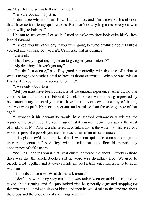but Mrs. Driffield seems to think I can do it."

"I'm sure you can," I put in.

"I don't see why not," said Roy. "I am a critic, and I'm a novelist. It's obvious that I have certain literary qualifications. But I can't do anything unless everyone who can is willing to help me."

I began to see where I came in. I tried to make my face look quite blank. Roy leaned forward.

"I asked you the other day if you were going to write anything about Driffield yourself and you said you weren't. Can I take that as definite?"

"Certainly."

"Then have you got any objection to giving me your material?"

"My dear boy, I haven't got any."

"Oh, that's nonsense," said Roy good-humouredly, with the tone of a doctor who is trying to persuade a child to have its throat examined. "When he was living at Blackstable you must have seen a lot of him."

"I was only a boy then."

"But you must have been conscious of the unusual experience. After all, no one could be for half an hour in Edward Driffield's society without being impressed by his extraordinary personality. It must have been obvious even to a boy of sixteen, and you were probably more observant and sensitive than the average boy of that age."

"I wonder if his personality would have seemed extraordinary without the reputation to back it up. Do you imagine that if you went down to a spa in the west of England as Mr. Atkins, a chartered accountant taking the waters for his liver, you would impress the people you met there as a man of immense character?"

"I imagine they'd soon realize that I was not quite the common or garden chartered accountant," said Roy, with a smile that took from his remark any appearance of self-esteem.

"Well, all I can tell you is that what chiefly bothered me about Driffield in those days was that the knickerbocker suit he wore was dreadfully loud. We used to bicycle a lot together and it always made me feel a trifle uncomfortable to be seen with him."

"It sounds comic now. What did he talk about?"

"I don't know; nothing very much. He was rather keen on architecture, and he talked about farming, and if a pub looked nice he generally suggested stopping for five minutes and having a glass of bitter, and then he would talk to the landlord about the crops and the price of coal and things like that."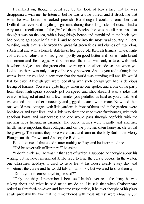I rambled on, though I could see by the look of Roy's face that he was disappointed with me; he listened, but he was a trifle bored, and it struck me that when he was bored he looked peevish. But though I couldn't remember that Driffield had ever said anything significant during those long rides of ours, I had a very acute recollection of the *feel* of them. Blackstable was peculiar in this, that though it was on the sea, with a long shingly beach and marshland at the back, you had only to go about half a mile inland to come into the most rural country in Kent. Winding roads that ran between the great fat green fields and clumps of huge elms, substantial and with a homely stateliness like good old Kentish farmers' wives, highcoloured and robust, who had grown portly on good butter and home-made bread and cream and fresh eggs. And sometimes the road was only a lane, with thick hawthorn hedges, and the green elms overhung it on either side so that when you looked up there was only a strip of blue sky between. And as you rode along in the warm, keen air you had a sensation that the world was standing still and life would last for ever. Although you were pedalling with such energy you had a delicious feeling of laziness. You were quite happy when no one spoke, and if one of the party from sheer high spirits suddenly put on speed and shot ahead it was a joke that everyone laughed at and for a few minutes you pedalled as hard as you could. And we chaffed one another innocently and giggled at our own humour. Now and then one would pass cottages with little gardens in front of them and in the gardens were hollyhocks and tiger lilies; and a little way from the road were farmhouses, with their spacious barns and oasthouses; and one would pass through hopfields with the ripening hops hanging in garlands. The public houses were friendly and informal, hardly more important than cottages, and on the porches often honeysuckle would be growing. The names they bore were usual and familiar: the Jolly Sailor, the Merry Ploughman, the Crown and Anchor, the Red Lion.

But of course all that could matter nothing to Roy, and he interrupted me.

"Did he never talk of literature?" he asked.

"I don't think so. He wasn't that sort of writer. I suppose he thought about his writing, but he never mentioned it. He used to lend the curate books. In the winter, one Christmas holidays, I used to have tea at his house nearly every day and sometimes the curate and he would talk about books, but we used to shut them up."

"Don't you remember anything he said?"

"Only one thing. I remember it because I hadn't ever read the things he was talking about and what he said made me do so. He said that when Shakespeare retired to Stratford-on-Avon and became respectable, if he ever thought of his plays at all, probably the two that he remembered with most interest were *Measure for*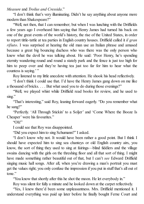*Measure* and *Troilus and Cressida*."

"I don't think that's very illuminating. Didn't he say anything about anyone more modern than Shakespeare?"

"Well, not then, that I can remember; but when I was lunching with the Driffields a few years ago I overheard him saying that Henry James had turned his back on one of the great events of the world's history, the rise of the United States, in order to report tittle-tattle at tea parties in English country houses. Driffield called it *il gran rifiuto*. I was surprised at hearing the old man use an Italian phrase and amused because a great big bouncing duchess who was there was the only person who knew what the devil he was talking about. He said: 'Poor Henry, he's spending eternity wandering round and round a stately park and the fence is just too high for him to peep over and they're having tea just too far for him to hear what the countess is saying.'"

Roy listened to my little anecdote with attention. He shook his head reflectively.

"I don't think I could use that. I'd have the Henry James gang down on me like a thousand of bricks. . . . But what used you to do during those evenings?"

"Well, we played whist while Driffield read books for review, and he used to sing."

"That's interesting," said Roy, leaning forward eagerly. "Do you remember what he sang?"

"Perfectly. 'All Through Stickin' to a Soljer' and 'Come Where the Booze Is Cheaper' were his favourites."

"Oh!"

I could see that Roy was disappointed.

"Did you expect him to sing Schumann?" I asked.

"I don't know why not. It would have been rather a good point. But I think I should have expected him to sing sea chanteys or old English country airs, you know, the sort of thing they used to sing at fairings—blind fiddlers and the village swains dancing with the girls on the threshing floor and all that sort of thing. I might have made something rather beautiful out of that, but I can't *see* Edward Driffield singing music hall songs. After all, when you're drawing a man's portrait you must get the values right; you only confuse the impression if you put in stuff that's all out of tone."

"You know that shortly after this he shot the moon. He let everybody in."

Roy was silent for fully a minute and he looked down at the carpet reflectively.

"Yes, I knew there'd been some unpleasantness. Mrs. Driffield mentioned it. I understand everything was paid up later before he finally bought Ferne Court and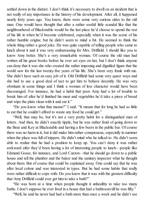settled down in the district. I don't think it's necessary to dwell on an incident that is not really of any importance in the history of his development. After all, it happened nearly forty years ago. You know, there were some very curious sides to the old man. One would have thought that after a rather sordid little scandal like that the neighbourhood of Blackstable would be the last place he'd choose to spend the rest of his life in when he'd become celebrated, especially when it was the scene of his rather humble origins; but he didn't seem to mind a bit. He seemed to think the whole thing rather a good joke. He was quite capable of telling people who came to lunch about it and it was very embarrassing for Mrs. Driffield. I should like you to know Amy better. She's a very remarkable woman. Of course the old man had written all his great books before he ever set eyes on her, but I don't think anyone can deny that it was she who created the rather imposing and dignified figure that the world saw for the last twenty-five years of his life. She's been very frank with me. She didn't have such an easy job of it. Old Driffield had some very queer ways and she had to use a good deal of tact to get him to behave decently. He was very obstinate in some things and I think a woman of less character would have been discouraged. For instance, he had a habit that poor Amy had a lot of trouble to break him of: after he'd finished his meat and vegetables he'd take a piece of bread and wipe the plate clean with it and eat it."

"Do you know what that means?" I said. "It means that for long he had so little to eat that he couldn't afford to waste any food he could get."

"Well, that may be, but it's not a very pretty habit for a distinguished man of letters. And then, he didn't exactly tipple, but he was rather fond of going down to the Bear and Key at Blackstable and having a few beers in the public bar. Of course there was no harm in it, but it did make him rather conspicuous, especially in summer when the place was full of trippers. He didn't mind who he talked to. He didn't seem able to realize that he had a position to keep up. You can't deny it was rather awkward after they'd been having a lot of interesting people to lunch—people like Edmund Gosse, for instance, and Lord Curzon—that he should go down to a public house and tell the plumber and the baker and the sanitary inspector what he thought about them. But of course that could be explained away. One could say that he was after local colour and was interested in types. But he had some habits that really were rather difficult to cope with. Do you know that it was with the greatest difficulty that Amy Driffield could ever get him to take a bath?"

"He was born at a time when people thought it unhealthy to take too many baths. I don't suppose he ever lived in a house that had a bathroom till he was fifty."

"Well, he said he never had had a bath more than once a week and he didn't see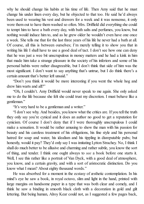why he should change his habits at his time of life. Then Amy said that he must change his under linen every day, but he objected to that too. He said he'd always been used to wearing his vest and drawers for a week and it was nonsense, it only wore them out to have them washed so often. Mrs. Driffield did everything she could to tempt him to have a bath every day, with bath salts and perfumes, you know, but nothing would induce him to, and as he grew older he wouldn't even have one once a week. She tells me that for the last three years of his life he never had a bath at all. Of course, all this is between ourselves; I'm merely telling it to show you that in writing his life I shall have to use a good deal of tact. I don't see how one can deny that he was just a wee bit unscrupulous in money matters and he had a kink in him that made him take a strange pleasure in the society of his inferiors and some of his personal habits were rather disagreeable, but I don't think that side of him was the most significant. I don't want to say anything that's untrue, but I do think there's a certain amount that's better left unsaid."

"Don't you think it would be more interesting if you went the whole hog and drew him warts and all?"

"Oh, I couldn't. Amy Driffield would never speak to me again. She only asked me to do the life because she felt she could trust my discretion. I must behave like a gentleman."

"It's very hard to be a gentleman and a writer."

"I don't see why. And besides, you know what the critics are. If you tell the truth they only say you're cynical and it does an author no good to get a reputation for cynicism. Of course I don't deny that if I were thoroughly unscrupulous I could make a sensation. It would be rather amusing to show the man with his passion for beauty and his careless treatment of his obligations, his fine style and his personal hatred for soap and water, his idealism and his tippling in disreputable pubs; but honestly, would it pay? They'd only say I was imitating Lytton Strachey. No, I think I shall do much better to be allusive and charming and rather subtle, you know the sort of thing, and tender. I think one ought always to *see* a book before one starts it. Well, I see this rather like a portrait of Van Dyck, with a good deal of atmosphere, you know, and a certain gravity, and with a sort of aristocratic distinction. Do you know what I mean? About eighty thousand words."

He was absorbed for a moment in the ecstasy of æsthetic contemplation. In his mind's eye he saw a book, in royal octavo, slim and light in the hand, printed with large margins on handsome paper in a type that was both clear and comely, and I think he saw a binding in smooth black cloth with a decoration in gold and gilt lettering. But being human, Alroy Kear could not, as I suggested a few pages back,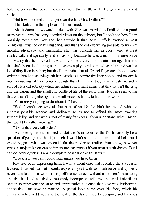hold the ecstasy that beauty yields for more than a little while. He gave me a candid smile.

"But how the devil am I to get over the first Mrs. Driffield?"

"The skeleton in the cupboard," I murmured.

"She is damned awkward to deal with. She was married to Driffield for a good many years. Amy has very decided views on the subject, but I don't see how I can possibly meet them. You see, her attitude is that Rose Driffield exerted a most pernicious influence on her husband, and that she did everything possible to ruin him morally, physically, and financially; she was beneath him in every way, at least intellectually and spiritually, and it was only because he was a man of immense force and vitality that he survived. It was of course a very unfortunate marriage. It's true that she's been dead for ages and it seems a pity to rake up old scandals and wash a lot of dirty linen in public; but the fact remains that all Driffield's greatest books were written when he was living with her. Much as I admire the later books, and no one is more conscious of their genuine beauty than I am, and they have a restraint and a sort of classical sobriety which are admirable, I must admit that they haven't the tang and the vigour and the smell and bustle of life of the early ones. It does seem to me that you can't altogether ignore the influence his first wife had on his work."

"What are you going to do about it?" I asked.

"Well, I can't see why all that part of his life shouldn't be treated with the greatest possible reserve and delicacy, so as not to offend the most exacting susceptibility, and yet with a sort of manly frankness, if you understand what I mean, that would be rather moving."

"It sounds a very tall order."

"As I see it, there's no need to dot the i's or to cross the t's. It can only be a question of getting just the right touch. I wouldn't state more than I could help, but I would suggest what was essential for the reader to realize. You know, however gross a subject is you can soften its unpleasantness if you treat it with dignity. But I can do nothing unless I am in complete possession of the facts."

"Obviously you can't cook them unless you have them."

Roy had been expressing himself with a fluent ease that revealed the successful lecturer. I wished (a) that I could express myself with so much force and aptness, never at a loss for a word, rolling off the sentences without a moment's hesitation; and (b) that I did not feel so miserably incompetent with my one small insignificant person to represent the large and appreciative audience that Roy was instinctively addressing. But now he paused. A genial look came over his face, which his enthusiasm had reddened and the heat of the day caused to perspire, and the eyes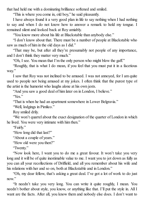that had held me with a dominating brilliance softened and smiled.

"This is where you come in, old boy," he said pleasantly.

I have always found it a very good plan in life to say nothing when I had nothing to say and when I do not know how to answer a remark to hold my tongue. I remained silent and looked back at Roy amiably.

"You know more about his life at Blackstable than anybody else."

"I don't know about that. There must be a number of people at Blackstable who saw as much of him in the old days as I did."

"That may be, but after all they're presumably not people of any importance, and I don't think they matter very much."

"Oh, I see. You mean that I'm the only person who might blow the gaff."

"Roughly, that is what I do mean, if you feel that you must put it in a facetious way."

I saw that Roy was not inclined to be amused. I was not annoyed, for I am quite used to people not being amused at my jokes. I often think that the purest type of the artist is the humorist who laughs alone at his own jests.

"And you saw a good deal of him later on in London, I believe."

"Yes"

"That is when he had an apartment somewhere in Lower Belgravia."

"Well, lodgings in Pimlico."

Roy smiled drily.

"We won't quarrel about the exact designation of the quarter of London in which he lived. You were very intimate with him then."

"Fairly."

"How long did that last?"

"About a couple of years."

"How old were you then?"

"Twenty."

"Now look here, I want you to do me a great favour. It won't take you very long and it will be of quite inestimable value to me. I want you to jot down as fully as you can all your recollections of Driffield, and all you remember about his wife and his relations with her and so on, both at Blackstable and in London."

"Oh, my dear fellow, that's asking a great deal. I've got a lot of work to do just now."

"It needn't take you very long. You can write it quite roughly, I mean. You needn't bother about style, you know, or anything like that. I'll put the style in. All I want are the facts. After all, you know them and nobody else does. I don't want to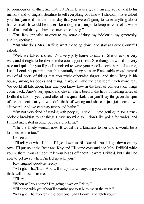be pompous or anything like that, but Driffield was a great man and you owe it to his memory and to English literature to tell everything you know. I shouldn't have asked you, but you told me the other day that you weren't going to write anything about him yourself. It would be rather like a dog in a manger to keep to yourself a whole lot of material that you have no intention of using."

Thus Roy appealed at once to my sense of duty, my indolence, my generosity, and my rectitude.

"But why does Mrs. Driffield want me to go down and stay at Ferne Court?" I asked.

"Well, we talked it over. It's a very jolly house to stay in. She does one very well, and it ought to be divine in the country just now. She thought it would be very nice and quiet for you if you felt inclined to write your recollections there; of course, I said I couldn't promise that, but naturally being so near Blackstable would remind you of all sorts of things that you might otherwise forget. And then, living in his house, among his books and things, it would make the past seem much more real. We could all talk about him, and you know how in the heat of conversation things come back. Amy's very quick and clever. She's been in the habit of making notes of Driffield's talk for years, and after all it's quite likely that you'll say things on the spur of the moment that you wouldn't think of writing and she can just jot them down afterward. And we can play tennis and bathe."

"I'm not very fond of staying with people," I said. "I hate getting up for a nineo'clock breakfast to eat things I have no mind to. I don't like going for walks, and I'm not interested in other people's chickens."

"She's a lonely woman now. It would be a kindness to her and it would be a kindness to me too."

I reflected.

"I'll tell you what I'll do: I'll go down to Blackstable, but I'll go down on my own. I'll put up at the Bear and Key and I'll come over and see Mrs. Driffield while you're there. You can both talk your heads off about Edward Driffield, but I shall be able to get away when I'm fed up with you."

Roy laughed good-naturedly.

"All right. That'll do. And will you jot down anything you can remember that you think will be useful to me?"

"I'll try."

"When will you come? I'm going down on Friday."

"I'll come with you if you'll promise not to talk to me in the train."

"All right. The five-ten's the best one. Shall I come and fetch you?"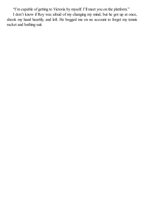"I'm capable of getting to Victoria by myself. I'll meet you on the platform."

I don't know if Roy was afraid of my changing my mind, but he got up at once, shook my hand heartily, and left. He begged me on no account to forget my tennis racket and bathing suit.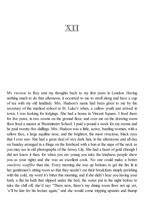## XII

M<sup>Y</sup> PROMISE to Roy sent my thoughts back to my first years in London. Having nothing much to do that afternoon, it occurred to me to stroll along and have a cup of tea with my old landlady. Mrs. Hudson's name had been given to me by the secretary of the medical school at St. Luke's when, a callow youth just arrived in town, I was looking for lodgings. She had a house in Vincent Square. I lived there for five years, in two rooms on the ground floor, and over me on the drawing room floor lived a master at Westminster School. I paid a pound a week for my rooms and he paid twenty-five shillings. Mrs. Hudson was a little, active, bustling woman, with a sallow face, a large aquiline nose, and the brightest, the most vivacious, black eyes that I ever saw. She had a great deal of very dark hair, in the afternoons and all day on Sunday arranged in a fringe on the forehead with a bun at the nape of the neck as you may see in old photographs of the Jersey Lily. She had a heart of gold (though I did not know it then, for when you are young you take the kindness people show you as your right) and she was an excellent cook. No one could make a better *omelette soufflée* than she. Every morning she was up betimes to get the fire lit in her gentlemen's sitting room so that they needn't eat their breakfasts simply perishing with the cold, my word it's bitter this morning; and if she didn't hear you having your bath, a flat tin bath that slipped under the bed, the water put in the night before to take the chill off, she'd say: "There now, there's my dining room floor not up yet, 'e'll be late for his lecture again," and she would come tripping upstairs and thump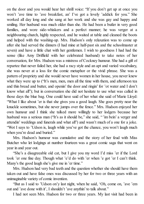on the door and you would hear her shrill voice: "If you don't get up at once you won't 'ave time to 'ave breakfast, an' I've got a lovely 'addick for you." She worked all day long and she sang at her work and she was gay and happy and smiling. Her husband was much older than she. He had been a butler in very good families, and wore side-whiskers and a perfect manner; he was verger at a neighbouring church, highly respected, and he waited at table and cleaned the boots and helped with the washing-up. Mrs. Hudson's only relaxation was to come up after she had served the dinners (I had mine at half-past six and the schoolmaster at seven) and have a little chat with her gentlemen. I wish to goodness I had had the sense (like Amy Driffield with her celebrated husband) to take notes of her conversation, for Mrs. Hudson was a mistress of Cockney humour. She had a gift of repartee that never failed her, she had a racy style and an apt and varied vocabulary, she was never at a loss for the comic metaphor or the vivid phrase. She was a pattern of propriety and she would never have women in her house, you never knew what they were up to ("It's men, men, men all the time with them, and afternoon tea and thin bread and butter, and openin' the door and ringin' for 'ot water and I don't know what all"); but in conversation she did not hesitate to use what was called in those days the blue bag. One could have said of her what she said of Marie Lloyd: "What I like about 'er is that she gives you a good laugh. She goes pretty near the knuckle sometimes, but she never jumps over the fence." Mrs. Hudson enjoyed her own humour and I think she talked more willingly to her lodgers because her husband was a serious man ("It's as it should be," she said, "'im bein' a verger and attendin' weddings and funerals and what all") and wasn't much of a one for a joke. "Wot I says to 'Udson is, laugh while you've got the chance, you won't laugh much when you're dead and buried."

Mrs. Hudson's humour was cumulative and the story of her feud with Miss Butcher who let lodgings at number fourteen was a great comic saga that went on year in and year out.

"She's a disagreeable old cat, but I give you my word I'd miss 'er if the Lord took 'er one fine day. Though what 'e'd do with 'er when 'e got 'er I can't think. Many's the good laugh she's give me in 'er time."

Mrs. Hudson had very bad teeth and the question whether she should have them taken out and have false ones was discussed by her for two or three years with an unimaginable variety of comic invention.

"But as I said to 'Udson on'y last night, when he said, 'Oh, come on, 'ave 'em out and 'ave done with it', I shouldn't 'ave anythin' to talk about."

I had not seen Mrs. Hudson for two or three years. My last visit had been in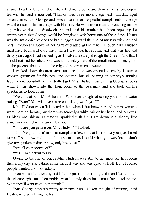answer to a little letter in which she asked me to come and drink a nice strong cup of tea with her and announced: "Hudson died three months ago next Saturday, aged seventy-nine, and George and Hester send their respectful compliments." George was the issue of her marriage with Hudson. He was now a man approaching middle age who worked at Woolwich Arsenal, and his mother had been repeating for twenty years that George would be bringing a wife home one of these days. Hester was the maid-of-all-work she had engaged toward the end of my stay with her, and Mrs. Hudson still spoke of her as "that dratted girl of mine." Though Mrs. Hudson must have been well over thirty when I first took her rooms, and that was five and thirty years ago, I had no feeling as I walked leisurely through the Green Park that I should not find her alive. She was as definitely part of the recollections of my youth as the pelicans that stood at the edge of the ornamental water.

I walked down the area steps and the door was opened to me by Hester, a woman getting on for fifty now and stoutish, but still bearing on her shyly grinning face the irresponsibility of the dratted girl. Mrs. Hudson was darning George's socks when I was shown into the front room of the basement and she took off her spectacles to look at me.

"Well, if that isn't Mr. Ashenden! Who ever thought of seeing you? Is the water boiling, 'Ester? You will 'ave a nice cup of tea, won't you?"

Mrs. Hudson was a little heavier than when I first knew her and her movements were more deliberate, but there was scarcely a white hair on her head, and her eyes, as black and shining as buttons, sparkled with fun. I sat down in a shabby little armchair covered with maroon leather.

"How are you getting on, Mrs. Hudson?" I asked.

"Oh, I've got nothin' much to complain of except that I'm not so young as I used to was," she answered. "I can't do so much as I could when you was 'ere. I don't give my gentlemen dinner now, only breakfast."

"Are all your rooms let?"

"Yes, I'm thankful to say."

Owing to the rise of prices Mrs. Hudson was able to get more for her rooms than in my day, and I think in her modest way she was quite well off. But of course people wanted a lot nowadays.

"You wouldn't believe it, first I 'ad to put in a bathroom, and then I 'ad to put in the electric light, and then nothin' would satisfy them but I must 'ave a telephone. What they'll want next I can't think."

"Mr. George says it's pretty near time Mrs. 'Udson thought of retiring," said Hester, who was laying the tea.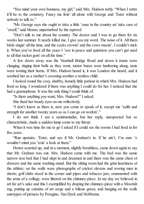"You mind your own business, my girl," said Mrs. Hudson tartly. "When I retire it'll be to the cemetery. Fancy me livin' all alone with George and 'Ester without nobody to talk to."

"Mr. George says she ought to take a little 'ouse in the country an' take care of 'erself," said Hester, unperturbed by the reproof.

"Don't talk to me about the country. The doctor said I was to go there for six weeks last summer. It nearly killed me, I give you my word. The noise of it. All them birds singin' all the time, and the cocks crowin' and the cows mooin'. I couldn't stick it. When you've lived all the years I 'ave in peace and quietness you can't get used to all that racket goin' on all the time."

A few doors away was the Vauxhall Bridge Road and down it trams were clanging, ringing their bells as they went, motor buses were lumbering along, taxis were tooting their horns. If Mrs. Hudson heard it, it was London she heard, and it soothed her as a mother's crooning soothes a restless child.

I looked round the cosy, shabby, homely little parlour in which Mrs. Hudson had lived so long. I wondered if there was anything I could do for her. I noticed that she had a gramophone. It was the only thing I could think of.

"Is there anything you want, Mrs. Hudson?" I asked.

She fixed her beady eyes on me reflectively.

"I don't know as there is, now you come to speak of it, except me 'ealth and strength for another twenty years so as I can go on workin'."

I do not think I am a sentimentalist, but her reply, unexpected but so characteristic, made a sudden lump come to my throat.

When it was time for me to go I asked if I could see the rooms I had lived in for five years.

"Run upstairs, 'Ester, and see if Mr. Graham's in. If he ain't, I'm sure 'e wouldn't mind you 'avin' a look at them."

Hester scurried up, and in a moment, slightly breathless, came down again to say that Mr. Graham was out. Mrs. Hudson came with me. The bed was the same narrow iron bed that I had slept in and dreamed in and there was the same chest of drawers and the same washing stand. But the sitting room had the grim heartiness of the athlete; on the walls were photographs of cricket elevens and rowing men in shorts; golf clubs stood in the corner and pipes and tobacco jars, ornamented with the arms of a college, were littered on the chimney-piece. In my day we believed in art for art's sake and this I exemplified by draping the chimney-piece with a Moorish rug, putting up curtains of art serge and a bilious green, and hanging on the walls autotypes of pictures by Perugino, Van Dyck and Hobbema.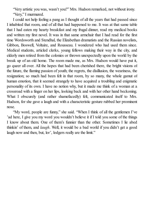"Very artistic you was, wasn't you?" Mrs. Hudson remarked, not without irony. "Very," I murmured.

I could not help feeling a pang as I thought of all the years that had passed since I inhabited that room, and of all that had happened to me. It was at that same table that I had eaten my hearty breakfast and my frugal dinner, read my medical books and written my first novel. It was in that same armchair that I had read for the first time Wordsworth and Stendhal, the Elizabethan dramatists and the Russian novelists, Gibbon, Boswell, Voltaire, and Rousseau. I wondered who had used them since. Medical students, articled clerks, young fellows making their way in the city, and elderly men retired from the colonies or thrown unexpectedly upon the world by the break up of an old home. The room made me, as Mrs. Hudson would have put it, go queer all over. All the hopes that had been cherished there, the bright visions of the future, the flaming passion of youth; the regrets, the disillusion, the weariness, the resignation; so much had been felt in that room, by so many, the whole gamut of human emotion, that it seemed strangely to have acquired a troubling and enigmatic personality of its own. I have no notion why, but it made me think of a woman at a crossroad with a finger on her lips, looking back and with her other hand beckoning. What I obscurely (and rather shamefacedly) felt, communicated itself to Mrs. Hudson, for she gave a laugh and with a characteristic gesture rubbed her prominent nose.

"My word, people are funny," she said. "When I think of all the gentlemen I've 'ad here, I give you my word you wouldn't believe it if I told you some of the things I know about them. One of them's funnier than the other. Sometimes I lie abed thinkin' of them, and *laugh*. Well, it would be a bad world if you didn't get a good laugh now and then, but, lor', lodgers really are the limit."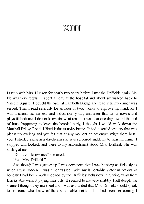## XIII

I LIVED with Mrs. Hudson for nearly two years before I met the Driffields again. My life was very regular. I spent all day at the hospital and about six walked back to Vincent Square. I bought the *Star* at Lambeth Bridge and read it till my dinner was served. Then I read seriously for an hour or two, works to improve my mind, for I was a strenuous, earnest, and industrious youth, and after that wrote novels and plays till bedtime. I do not know for what reason it was that one day toward the end of June, happening to leave the hospital early, I thought I would walk down the Vauxhall Bridge Road. I liked it for its noisy bustle. It had a sordid vivacity that was pleasantly exciting and you felt that at any moment an adventure might there befall you. I strolled along in a daydream and was surprised suddenly to hear my name. I stopped and looked, and there to my astonishment stood Mrs. Driffield. She was smiling at me.

"Don't you know me?" she cried.

"Yes. Mrs. Driffield."

And though I was grown up I was conscious that I was blushing as furiously as when I was sixteen. I was embarrassed. With my lamentably Victorian notions of honesty I had been much shocked by the Driffields' behaviour in running away from Blackstable without paying their bills. It seemed to me very shabby. I felt deeply the shame I thought they must feel and I was astounded that Mrs. Driffield should speak to someone who knew of the discreditable incident. If I had seen her coming I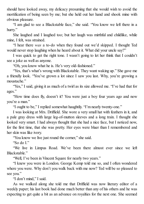should have looked away, my delicacy presuming that she would wish to avoid the mortification of being seen by me; but she held out her hand and shook mine with obvious pleasure.

"I am glad to see a Blackstable face," she said. "You know we left there in a hurry."

She laughed and I laughed too; but her laugh was mirthful and childlike, while mine, I felt, was strained.

"I hear there *was* a to-do when they found out we'd skipped. I thought Ted would never stop laughing when he heard about it. What did your uncle say?"

I was quick to get the right tone. I wasn't going to let her think that I couldn't see a joke as well as anyone.

"Oh, you know what he is. He's very old-fashioned."

"Yes, that's what's wrong with Blackstable. They want waking up." She gave me a friendly look. "You've grown a lot since I saw you last. Why, you're growing a moustache."

"Yes," I said, giving it as much of a twirl as its size allowed me. "I've had that for ages."

"How time does fly, doesn't it? You were just a boy four years ago and now you're a man."

"I ought to be," I replied somewhat haughtily. "I'm nearly twenty-one."

I was looking at Mrs. Driffield. She wore a very small hat with feathers in it, and a pale gray dress with large leg-of-mutton sleeves and a long train. I thought she looked very smart. I had always thought that she had a nice face, but I noticed now, for the first time, that she was pretty. Her eyes were bluer than I remembered and her skin was like ivory.

"You know we live just round the corner," she said.

"So do I."

"We live in Limpus Road. We've been there almost ever since we left Blackstable."

"Well, I've been in Vincent Square for nearly two years."

"I knew you were in London. George Kemp told me so, and I often wondered where you were. Why don't you walk back with me now? Ted will be so pleased to see you."

"I don't mind," I said.

As we walked along she told me that Driffield was now literary editor of a weekly paper; his last book had done much better than any of his others and he was expecting to get quite a bit as an advance on royalties for the next one. She seemed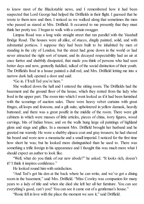to know most of the Blackstable news, and I remembered how it had been suspected that Lord George had helped the Driffields in their flight. I guessed that he wrote to them now and then. I noticed as we walked along that sometimes the men who passed us stared at Mrs. Driffield. It occurred to me presently that they must think her pretty too. I began to walk with a certain swagger.

Limpus Road was a long wide straight street that ran parallel with the Vauxhall Bridge Road. The houses were all alike, of stucco, dingily painted, solid, and with substantial porticos. I suppose they had been built to be inhabited by men of standing in the city of London, but the street had gone down in the world or had never attracted the right sort of tenant; and its decayed respectability had an air at once furtive and shabbily dissipated, that made you think of persons who had seen better days and now, genteelly fuddled, talked of the social distinction of their youth. The Driffields lived in a house painted a dull red, and Mrs. Driffield letting me into a narrow dark hall, opened a door and said:

"Go in. I'll tell Ted you're here."

She walked down the hall and I entered the sitting room. The Driffields had the basement and the ground floor of the house, which they rented from the lady who lived in the upper part. The room into which I went looked as if it had been furnished with the scourings of auction sales. There were heavy velvet curtains with great fringes, all loops and festoons, and a gilt suite, upholstered in yellow damask, heavily buttoned; and there was a great pouffe in the middle of the room. There were gilt cabinets in which were masses of little articles, pieces of china, ivory figures, wood carvings, bits of Indian brass; and on the walls hung large oil paintings of highland glens and stags and gillies. In a moment Mrs. Driffield brought her husband and he greeted me warmly. He wore a shabby alpaca coat and gray trousers; he had shaved his beard and wore now a moustache and a small imperial. I noticed for the first time how short he was; but he looked more distinguished than he used to. There was something a trifle foreign in his appearance and I thought this was much more what I should expect an author to look like.

"Well, what do you think of our new abode?" he asked. "It looks rich, doesn't it? I think it inspires confidence."

He looked round him with satisfaction.

"And Ted's got his den at the back where he can write, and we've got a dining room in the basement," said Mrs. Driffield. "Miss Cowley was companion for many years to a lady of title and when she died she left her all her furniture. You can see everything's good, can't you? You can see it came out of a gentleman's house."

"Rosie fell in love with the place the moment we saw it," said Driffield.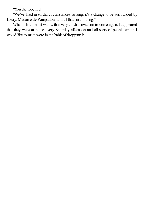"You did too, Ted."

"We've lived in sordid circumstances so long; it's a change to be surrounded by luxury. Madame de Pompadour and all that sort of thing."

When I left them it was with a very cordial invitation to come again. It appeared that they were at home every Saturday afternoon and all sorts of people whom I would like to meet were in the habit of dropping in.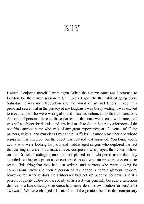XIV

I WENT. I enjoyed myself. I went again. When the autumn came and I returned to London for the winter session at St. Luke's I got into the habit of going every Saturday. It was my introduction into the world of art and letters; I kept it a profound secret that in the privacy of my lodgings I was busily writing; I was excited to meet people who were writing also and I listened entranced to their conversation. All sorts of persons came to these parties: at that time week-ends were rare, golf was still a subject for ridicule, and few had much to do on Saturday afternoons. I do not think anyone came who was of any great importance; at all events, of all the painters, writers, and musicians I met at the Driffields' I cannot remember one whose reputation has endured; but the effect was cultured and animated. You found young actors who were looking for parts and middle-aged singers who deplored the fact that the English were not a musical race, composers who played their compositions on the Driffields' cottage piano and complained in a whispered aside that they sounded nothing except on a concert grand, poets who on pressure consented to read a little thing that they had just written, and painters who were looking for commissions. Now and then a person of title added a certain glamour; seldom, however, for in those days the aristocracy had not yet become bohemian and if a person of quality cultivated the society of artists it was generally because a notorious divorce or a little difficulty over cards had made life in his own station (or hers) a bit awkward. We have changed all that. One of the greatest benefits that compulsory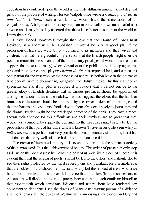education has conferred upon the world is the wide diffusion among the nobility and gentry of the practice of writing. Horace Walpole once wrote a *Catalogue of Royal and Noble Authors*; such a work now would have the dimensions of an encyclopædia. A title, even a courtesy one, can make a well known author of almost anyone and it may be safely asserted that there is no better passport to the world of letters than rank.

I have indeed sometimes thought that now that the House of Lords must inevitably in a short while be abolished, it would be a very good plan if the profession of literature were by law confined to its members and their wives and children. It would be a graceful compensation that the British people might offer the peers in return for the surrender of their hereditary privileges. It would be a means of support for those (too many) whom devotion to the public cause in keeping chorus girls and race horses and playing *chemin de fer* has impoverished, and a pleasant occupation for the rest who by the process of natural selection have in the course of time become unfit to do anything but govern the British Empire. But this is an age of specialization and if my plan is adopted it is obvious that it cannot but be to the greater glory of English literature that its various provinces should be apportioned among the various ranks of the nobility. I would suggest, therefore, that the humbler branches of literature should be practised by the lower orders of the peerage and that the barons and viscounts should devote themselves exclusively to journalism and the drama. Fiction might be the privileged demesne of the earls. They have already shown their aptitude for this difficult art and their numbers are so great that they would very competently supply the demand. To the marquises might safely be left the production of that part of literature which is known (I have never quite seen why) as *belles lettres*. It is perhaps not very profitable from a pecuniary standpoint, but it has a distinction that very wellsuits the holders of this romantic title.

The crown of literature is poetry. It is its end and aim. It is the sublimest activity of the human mind. It is the achievement of beauty. The writer of prose can only step aside when the poet passes; he makes the best of us look like a piece of cheese. It is evident then that the writing of poetry should be left to the dukes, and I should like to see their rights protected by the most severe pains and penalties, for it is intolerable that the noblest of arts should be practised by any but the noblest of men. And since here, too, specialization must prevail, I foresee that the dukes (like the successors of Alexander) will divide the realm of poetry between them, each confining himself to that aspect with which hereditary influence and natural bent have rendered him competent to deal: thus I see the dukes of Manchester writing poems of a didactic and moral character, the dukes of Westminster composing stirring odes on Duty and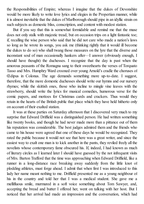the Responsibilities of Empire; whereas I imagine that the dukes of Devonshire would be more likely to write love lyrics and elegies in the Propertian manner, while it is almost inevitable that the dukes of Marlborough should pipe in an idyllic strain on such subjects as domestic bliss, conscription, and content with modest station.

But if you say that this is somewhat formidable and remind me that the muse does not only stalk with majestic tread, but on occasion trips on a light fantastic toe; if, recalling the wise person who said that he did not care who made a nation's laws so long as he wrote its songs, you ask me (thinking rightly that it would ill become the dukes to do so) who shall twang those measures on the lyre that the diverse and inconstant soul of man occasionally hankers after—I answer (obviously enough, I should have thought) the duchesses. I recognize that the day is past when the amorous peasants of the Romagna sang to their sweethearts the verses of Torquato Tasso and Mrs. Humphry Ward crooned over young Arnold's cradle the choruses of Œdipus in Colonus. The age demands something more up-to-date. I suggest, therefore, that the more domestic duchesses should write our hymns and our nursery rhymes; while the skittish ones, those who incline to mingle vine leaves with the strawberry, should write the lyrics for musical comedies, humorous verse for the comic papers, and mottoes for Christmas cards and crackers. Thus would they retain in the hearts of the British public that place which they have held hitherto only on account of their exalted station.

It was at these parties on Saturday afternoon that I discovered very much to my surprise that Edward Driffield was a distinguished person. He had written something like twenty books, and though he had never made more than a pittance out of them his reputation was considerable. The best judges admired them and the friends who came to his house were agreed that one of these days he would be recognized. They rated the public because it would not see that here was a great writer, and since the easiest way to exalt one man is to kick another in the pants, they reviled freely all the novelists whose contemporary fame obscured his. If, indeed, I had known as much of literary circles as I learned later I should have guessed by the not infrequent visits of Mrs. Barton Trafford that the time was approaching when Edward Driffield, like a runner in a long-distance race breaking away suddenly from the little knot of plodding athletes, must forge ahead. I admit that when first I was introduced to this lady her name meant nothing to me. Driffield presented me as a young neighbour of his in the country and told her that I was a medical student. She gave me a mellifluous smile, murmured in a soft voice something about Tom Sawyer, and, accepting the bread and butter I offered her, went on talking with her host. But I noticed that her arrival had made an impression and the conversation, which had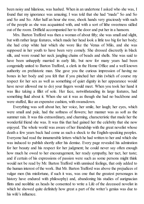been noisy and hilarious, was hushed. When in an undertone I asked who she was, I found that my ignorance was amazing; I was told that she had "made" So and So and So and So. After half an hour she rose, shook hands very graciously with such of the people as she was acquainted with, and with a sort of lithe sweetness sidled out of the room. Driffield accompanied her to the door and put her in a hansom.

Mrs. Barton Trafford was then a woman of about fifty; she was small and slight, but with rather large features, which made her head look a little too big for her body; she had crisp white hair which she wore like the Venus of Milo, and she was supposed in her youth to have been very comely. She dressed discreetly in black silk, and wore round her neck jangling chains of beads and shells. She was said to have been unhappily married in early life, but now for many years had been congenially united to Barton Trafford, a clerk in the Home Office and a well known authority on prehistoric man. She gave you the curious impression of having no bones in her body and you felt that if you pinched her shin (which of course my respect for her sex as well as something of quiet dignity in her appearance would have never allowed me to do) your fingers would meet. When you took her hand it was like taking a fillet of sole. Her face, notwithstanding its large features, had something fluid about it. When she sat it was as though she had no backbone and were stuffed, like an expensive cushion, with swansdown.

Everything was soft about her, her voice, her smile, her laugh; her eyes, which were small and pale, had the softness of flowers; her manner was as soft as the summer rain. It was this extraordinary, and charming, characteristic that made her the wonderful friend she was. It was this that had gained her the celebrity that she now enjoyed. The whole world was aware of her friendship with the great novelist whose death a few years back had come as such a shock to the English-speaking peoples. Everyone had read the innumerable letters which he had written to her and which she was induced to publish shortly after his demise. Every page revealed his admiration for her beauty and his respect for her judgment; he could never say often enough how much he owed to her encouragement, her ready sympathy, her tact, her taste; and if certain of his expressions of passion were such as some persons might think would not be read by Mr. Barton Trafford with unmixed feelings, that only added to the human interest of the work. But Mr. Barton Trafford was above the prejudices of vulgar men (his misfortune, if such it was, was one that the greatest personages in history have endured with philosophy) and, abandoning his studies of aurignacian flints and neolithic ax heads he consented to write a Life of the deceased novelist in which he showed quite definitely how great a part of the writer's genius was due to his wife's influence.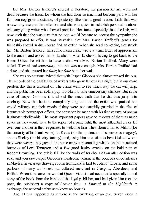But Mrs. Barton Trafford's interest in literature, her passion for art, were not dead because the friend for whom she had done so much had become part, with her far from negligible assistance, of posterity. She was a great reader. Little that was noteworthy escaped her attention and she was quick to establish personal relations with any young writer who showed promise. Her fame, especially since the Life, was now such that she was sure that no one would hesitate to accept the sympathy she was prepared to offer. It was inevitable that Mrs. Barton Trafford's genius for friendship should in due course find an outlet. When she read something that struck her, Mr. Barton Trafford, himself no mean critic, wrote a warm letter of appreciation to the author and asked him to luncheon. After luncheon, having to get back to the Home Office, he left him to have a chat with Mrs. Barton Trafford. Many were called. They all had *something*, but that was not enough. Mrs. Barton Trafford had a *flair*, and she trusted her *flair*; her *flair* bade her wait.

She was so cautious indeed that with Jasper Gibbons she almost missed the bus. The records of the past tell us of writers who grew famous in a night, but in our more prudent day this is unheard of. The critics want to see which way the cat will jump, and the public has been sold a pup too often to take unnecessary chances. But in the case of Jasper Gibbons it is almost the exact truth that he did thus jump into celebrity. Now that he is so completely forgotten and the critics who praised him would willingly eat their words if they were not carefully guarded in the files of innumerable newspaper offices, the sensation he made with his first volume of poems is almost unbelievable. The most important papers gave to reviews of them as much space as they would have to the report of a prize fight; the most influential critics fell over one another in their eagerness to welcome him. They likened him to Milton (for the sonority of his blank verse), to Keats (for the opulence of his sensuous imagery), and to Shelley (for his airy fantasy); and, using him as a stick to beat idols of whom they were weary, they gave in his name many a resounding whack on the emaciated buttocks of Lord Tennyson and a few good husky smacks on the bald pate of Robert Browning. The public fell like the walls of Jericho. Edition after edition was sold, and you saw Jasper Gibbons's handsome volume in the boudoirs of countesses in Mayfair, in vicarage drawing rooms from Land's End to John o' Groats, and in the parlours of many an honest but cultured merchant in Glasgow, Aberdeen, and Belfast. When it became known that Queen Victoria had accepted a specially bound copy of the book from the hands of the loyal publisher, and had given him (not the poet, the publisher) a copy of *Leaves from a Journal in the Highlands* in exchange, the national enthusiasm knew no bounds.

And all this happened as it were in the twinkling of an eye. Seven cities in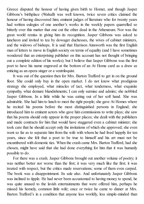Greece disputed the honour of having given birth to Homer, and though Jasper Gibbons's birthplace (Walsall) was well known, twice seven critics claimed the honour of having discovered him; eminent judges of literature who for twenty years had written eulogies of one another's works in the weekly papers quarrelled so bitterly over this matter that one cut the other dead in the Athenæum. Nor was the great world remiss in giving him its recognition. Jasper Gibbons was asked to luncheon and invited to tea by dowager duchesses, the wives of cabinet ministers, and the widows of bishops. It is said that Harrison Ainsworth was the first English man of letters to move in English society on terms of equality (and I have sometimes wondered that an enterprising publisher on this account has not thought of bringing out a complete edition of his works); but I believe that Jasper Gibbons was the first poet to have his name engraved at the bottom of an At Home card as a draw as enticing as an opera singer or a ventriloquist.

It was out of the question then for Mrs. Barton Trafford to get in on the ground floor. She could only buy in the open market. I do not know what prodigious strategy she employed, what miracles of tact, what tenderness, what exquisite sympathy, what demure blandishments; I can only surmise and admire; she nobbled Jasper Gibbons. In a little while he was eating out of her soft hand. She was admirable. She had him to lunch to meet the right people; she gave At Homes where he recited his poems before the most distinguished persons in England; she introduced him to eminent actors who gave him commissions to write plays; she saw that his poems should only appear in the proper places; she dealt with the publishers and made contracts for him that would have staggered even a cabinet minister; she took care that he should accept only the invitations of which she approved; she even went so far as to separate him from the wife with whom he had lived happily for ten years, since she felt that a poet to be true to himself and his art must not be encumbered with domestic ties. When the crash came Mrs. Barton Trafford, had she chosen, might have said that she had done everything for him that it was humanly possible to do.

For there was a crash. Jasper Gibbons brought out another volume of poetry; it was neither better nor worse than the first; it was very much like the first; it was treated with respect, but the critics made reservations; some of them even carped. The book was a disappointment. Its sale also. And unfortunately Jasper Gibbons was inclined to tipple. He had never been accustomed to having money to spend, he was quite unused to the lavish entertainments that were offered him, perhaps he missed his homely, common little wife; once or twice he came to dinner at Mrs. Barton Trafford's in a condition that anyone less worldly, less simple-minded than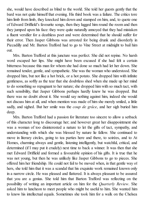she, would have described as blind to the world. She told her guests gently that the bard was not quite himself that evening. His third book was a failure. The critics tore him limb from limb, they knocked him down and stamped on him, and, to quote one of Edward Driffield's favourite songs, then they lugged him round the room and then they jumped upon his face: they were quite naturally annoyed that they had mistaken a fluent versifier for a deathless poet and were determined that he should suffer for their error. Then Jasper Gibbons was arrested for being drunk and disorderly in Piccadilly and Mr. Barton Trafford had to go to Vine Street at midnight to bail him out.

Mrs. Barton Trafford at this juncture was perfect. She did not repine. No harsh word escaped her lips. She might have been excused if she had felt a certain bitterness because this man for whom she had done so much had let her down. She remained tender, gentle, and sympathetic. She was the woman who understood. She dropped him, but not like a hot brick, or a hot potato. She dropped him with infinite gentleness, as softly as the tear that she doubtless shed when she made up her mind to do something so repugnant to her nature; she dropped him with so much tact, with such sensibility, that Jasper Gibbons perhaps hardly knew he was dropped. But there was no doubt about it. She would say nothing against him, indeed she would not discuss him at all, and when mention was made of him she merely smiled, a little sadly, and sighed. But her smile was the *coup de grâce*, and her sigh buried him deep.

Mrs. Barton Trafford had a passion for literature too sincere to allow a setback of this character long to discourage her; and however great her disappointment she was a woman of too disinterested a nature to let the gifts of tact, sympathy, and understanding with which she was blessed by nature lie fallow. She continued to move in literary circles, going to tea parties here and there, to soirées, and to At Homes, charming always and gentle, listening intelligently, but watchful, critical, and determined (if I may put it crudely) next time to back a winner. It was then that she met Edward Driffield and formed a favourable opinion of his gifts. It is true that he was not young, but then he was unlikely like Jasper Gibbons to go to pieces. She offered him her friendship. He could not fail to be moved when, in that gentle way of hers, she told him that it was a scandal that his exquisite work remained known only in a narrow circle. He was pleased and flattered. It is always pleasant to be assured that you are a genius. She told him that Barton Trafford was reflecting on the possibility of writing an important article on him for the *Quarterly Review*. She asked him to luncheon to meet people who might be useful to him. She wanted him to know his intellectual equals. Sometimes she took him for a walk on the Chelsea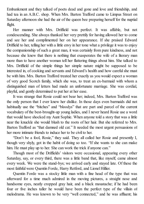Embankment and they talked of poets dead and gone and love and friendship, and had tea in an A.B.C. shop. When Mrs. Barton Trafford came to Limpus Street on Saturday afternoon she had the air of the queen bee preparing herself for the nuptial flight.

Her manner with Mrs. Driffield was perfect. It was affable, but not condescending. She always thanked her very prettily for having allowed her to come and see her and complimented her on her appearance. If she praised Edward Driffield to her, telling her with a little envy in her tone what a privilege it was to enjoy the companionship of such a great man, it was certainly from pure kindness, and not because she knew that there is nothing that exasperates the wife of a literary man more than to have another woman tell her flattering things about him. She talked to Mrs. Driffield of the simple things her simple nature might be supposed to be interested in, of cooking and servants and Edward's health and how careful she must be with him. Mrs. Barton Trafford treated her exactly as you would expect a woman of very good Scotch family, which she was, to treat an ex-barmaid with whom a distinguished man of letters had made an unfortunate marriage. She was cordial, playful, and gently determined to put her at her ease.

It was strange that Rosie could not bear her; indeed, Mrs. Barton Trafford was the only person that I ever knew her dislike. In those days even barmaids did not habitually use the "bitches" and "bloodys" that are part and parcel of the current vocabulary of the best-brought-up young ladies, and I never heard Rosie use a word that would have shocked my Aunt Sophie. When anyone told a story that was a little near the knuckle she would blush to the roots of her hair. But she referred to Mrs. Barton Trafford as "that damned old cat." It needed the most urgent persuasions of her more intimate friends to induce her to be civil to her.

"Don't be a fool, Rosie," they said. They all called her Rosie and presently I, though very shyly, got in the habit of doing so too. "If she wants to she can make him. He must play up to her. She can work the trick if anyone can."

Though most of the Driffields' visitors were occasional, appearing every other Saturday, say, or every third, there was a little band that, like myself, came almost every week. We were the stand-bys; we arrived early and stayed late. Of these the most faithful were Quentin Forde, Harry Retford, and Lionel Hillier.

Quentin Forde was a stocky little man with a fine head of the type that was afterward for a time much admired in the moving pictures, a straight nose and handsome eyes, neatly cropped gray hair, and a black moustache; if he had been four or five inches taller he would have been the perfect type of the villain of melodrama. He was known to be very "well connected," and he was affluent; his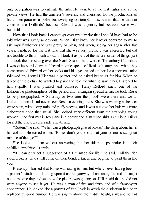only occupation was to cultivate the arts. He went to all the first nights and all the private views. He had the amateur's severity, and cherished for the productions of his contemporaries a polite but sweeping contempt. I discovered that he did not come to the Driffields' because Edward was a genius, but because Rosie was beautiful.

Now that I look back I cannot get over my surprise that I should have had to be told what was surely so obvious. When I first knew her it never occurred to me to ask myself whether she was pretty or plain, and when, seeing her again after five years, I noticed for the first time that she was very pretty, I was interested but did not trouble to think much about it. I took it as part of the natural order of things, just as I took the sun setting over the North Sea or the towers of Tercanbury Cathedral. I was quite startled when I heard people speak of Rosie's beauty, and when they complimented Edward on her looks and his eyes rested on her for a moment, mine followed his. Lionel Hillier was a painter and he asked her to sit for him. When he talked of the picture he wanted to paint and told me what he saw in her, I listened to him stupidly. I was puzzled and confused. Harry Retford knew one of the fashionable photographers of the period and, arranging special terms, he took Rosie to be photographed. A Saturday or two later the proofs were there and we all looked at them. I had never seen Rosie in evening dress. She was wearing a dress of white satin, with a long train and puffy sleeves, and it was cut low; her hair was more elaborately done than usual. She looked very different from the strapping young woman I had first met in Joy Lane in a boater and a starched shirt. But Lionel Hillier tossed the photographs aside impatiently.

"Rotten," he said. "What can a photograph give of Rosie? The thing about her is her colour." He turned to her. "Rosie, don't you know that your colour is *the* great miracle of the age?"

She looked at him without answering, but her full red lips broke into their childlike, mischievous smile.

"If I can only get a suggestion of it I'm made for life," he said. "All the rich stockbrokers' wives will come on their bended knees and beg me to paint them like you."

Presently I learned that Rosie was sitting to him, but when, never having been in a painter's studio and looking upon it as the gateway of romance, I asked if I might not come one day and see how the picture was getting on, Hillier said that he did not want anyone to see it yet. He was a man of five and thirty and of a flamboyant appearance. He looked like a portrait of Van Dyck in which the distinction had been replaced by good humour. He was slightly above the middle height, slim; and he had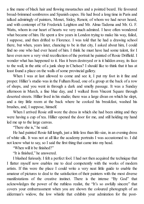a fine mane of black hair and flowing moustaches and a pointed beard. He favoured broad-brimmed sombreros and Spanish capes. He had lived a long time in Paris and talked admiringly of painters, Monet, Sisley, Renoir, of whom we had never heard, and with contempt of Sir Frederick Leighton and Mr. Alma-Tadema and Mr. G. F. Watts, whom in our heart of hearts we very much admired. I have often wondered what became of him. He spent a few years in London trying to make his way, failed, I suppose, and then drifted to Florence. I was told that he had a drawing school there, but when, years later, chancing to be in that city, I asked about him, I could find no one who had ever heard of him. I think he must have had some talent, for I have even now a very vivid recollection of the portrait he painted of Rosie Driffield. I wonder what has happened to it. Has it been destroyed or is it hidden away, its face to the wall, in the attic of a junk shop in Chelsea? I should like to think that it has at least found a place on the walls of some provincial gallery.

When I was at last allowed to come and see it, I put my foot in it fine and proper. Hillier's studio was in the Fulham Road, one of a group at the back of a row of shops, and you went in through a dark and smelly passage. It was a Sunday afternoon in March, a fine blue day, and I walked from Vincent Square through deserted streets. Hillier lived in his studio; there was a large divan on which he slept, and a tiny little room at the back where he cooked his breakfast, washed his brushes, and, I suppose, himself.

When I arrived Rosie still wore the dress in which she had been sitting and they were having a cup of tea. Hillier opened the door for me, and still holding my hand led me up to the large canvas.

"There she is," he said.

He had painted Rosie full length, just a little less than life-size, in an evening dress of white silk. It was not at all like the academy portraits I was accustomed to. I did not know what to say, so I said the first thing that came into my head.

"When will it be finished?"

"It is finished," he answered.

I blushed furiously. I felt a perfect fool. I had not then acquired the technique that I flatter myself now enables me to deal competently with the works of modern artists. If this were the place I could write a very neat little guide to enable the amateur of pictures to deal to the satisfaction of their painters with the most diverse manifestations of the creative instinct. There is the intense "By God" that acknowledges the power of the ruthless realist, the "It's so awfully sincere" that covers your embarrassment when you are shown the coloured photograph of an alderman's widow, the low whistle that exhibits your admiration for the post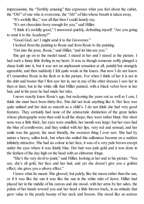impressionist, the "Terribly amusing" that expresses what you feel about the cubist, the "Oh!" of one who is overcome, the "Ah!" of him whose breath is taken away.

"It's awfully like," was all that then I could lamely say.

"It's not chocolate-boxy enough for you," said Hillier.

"I think it's awfully good," I answered quickly, defending myself. "Are you going to send it to the Academy?"

"Good God, no! I might send it to the Grosvenor."

I looked from the painting to Rosie and from Rosie to the painting.

"Get into the pose, Rosie," said Hillier, "and let him see you."

She got up on to the model stand. I stared at her and I stared at the picture. I had such a funny little feeling in my heart. It was as though someone softly plunged a sharp knife into it, but it was not an unpleasant sensation at all, painful but strangely agreeable; and then suddenly I felt quite weak at the knees. But now I do not know if I remember Rosie in the flesh or in the picture. For when I think of her it is not in the shirt and boater that I first saw her in, nor in any of the other dresses I saw her in then or later, but in the white silk that Hillier painted, with a black velvet bow in her hair, and in the pose he had made her take.

I never exactly knew Rosie's age, but reckoning the years out as well as I can, I think she must have been thirty-five. She did not look anything like it. Her face was quite unlined and her skin as smooth as a child's. I do not think she had very good features. They certainly had none of the aristocratic distinction of the great ladies whose photographs were then sold in all the shops; they were rather blunt. Her short nose was a little thick, her eyes were smallish, her mouth was large; but her eyes had the blue of cornflowers, and they smiled with her lips, very red and sensual, and her smile was the gayest, the most friendly, the sweetest thing I ever saw. She had by nature a heavy, sullen look, but when she smiled this sullenness became on a sudden infinitely attractive. She had no colour in her face; it was of a very pale brown except under the eyes where it was faintly blue. Her hair was pale gold and it was done in the fashion of the day high on the head with an elaborate fringe.

"She's the very devil to paint," said Hillier, looking at her and at his picture. "You see, she's all gold, her face and her hair, and yet she doesn't give you a golden effect, she gives you a silvery effect."

I knew what he meant. She glowed, but palely, like the moon rather than the sun, or if it was like the sun it was like the sun in the white mist of dawn. Hillier had placed her in the middle of his canvas and she stood, with her arms by her sides, the palms of her hands toward you and her head a little thrown back, in an attitude that gave value to the pearly beauty of her neck and bosom. She stood like an actress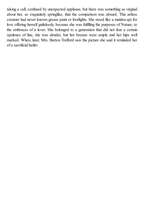taking a call, confused by unexpected applause, but there was something so virginal about her, so exquisitely springlike, that the comparison was absurd. This artless creature had never known grease paint or footlights. She stood like a maiden apt for love offering herself guilelessly, because she was fulfilling the purposes of Nature, to the embraces of a lover. She belonged to a generation that did not fear a certain opulence of line, she was slender, but her breasts were ample and her hips well marked. When, later, Mrs. Barton Trafford saw the picture she said it reminded her of a sacrificial heifer.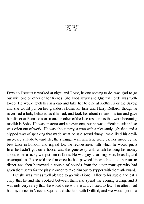$\mathbb{X}\mathbb{V}$ 

EDWARD DRIFFIELD worked at night, and Rosie, having nothing to do, was glad to go out with one or other of her friends. She liked luxury and Quentin Forde was wellto-do. He would fetch her in a cab and take her to dine at Kettner's or the Savoy, and she would put on her grandest clothes for him; and Harry Retford, though he never had a bob, behaved as if he had, and took her about in hansoms too and gave her dinner at Romano's or in one or other of the little restaurants that were becoming modish in Soho. He was an actor and a clever one, but he was difficult to suit and so was often out of work. He was about thirty, a man with a pleasantly ugly face and a clipped way of speaking that made what he said sound funny. Rosie liked his devilmay-care attitude toward life, the swagger with which he wore clothes made by the best tailor in London and unpaid for, the recklessness with which he would put a fiver he hadn't got on a horse, and the generosity with which he flung his money about when a lucky win put him in funds. He was gay, charming, vain, boastful, and unscrupulous. Rosie told me that once he had pawned his watch to take her out to dinner and then borrowed a couple of pounds from the actor manager who had given them seats for the play in order to take him out to supper with them afterward.

But she was just as well pleased to go with Lionel Hillier to his studio and eat a chop that he and she cooked between them and spend the evening talking, and it was only very rarely that she would dine with me at all. I used to fetch her after I had had my dinner in Vincent Square and she hers with Driffield, and we would get on a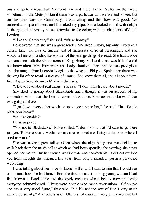bus and go to a music hall. We went here and there, to the Pavilion or the Tivoli, sometimes to the Metropolitan if there was a particular turn we wanted to see; but our favourite was the Canterbury. It was cheap and the show was good. We ordered a couple of beers and I smoked my pipe. Rosie looked round with delight at the great dark smoky house, crowded to the ceiling with the inhabitants of South London.

"I like the Canterbury," she said. "It's so homey."

I discovered that she was a great reader. She liked history, but only history of a certain kind, the lives of queens and of mistresses of royal personages; and she would tell me with a childlike wonder of the strange things she read. She had a wide acquaintance with the six consorts of King Henry VIII and there was little she did not know about Mrs. Fitzherbert and Lady Hamilton. Her appetite was prodigious and she ranged from Lucrezia Borgia to the wives of Philip of Spain; then there was the long list of the royal mistresses of France. She knew them all, and all about them, from Agnes Sorel down to Madame du Barry.

"I like to read about real things," she said. "I don't much care about novels."

She liked to gossip about Blackstable and I thought it was on account of my connection with it that she liked to come out with me. She seemed to know all that was going on there.

"I go down every other week or so to see my mother," she said. "Just for the night, you know."

"To Blackstable?"

I was surprised.

"No, not to Blackstable," Rosie smiled. "I don't know that I'd care to go there just yet. To Haversham. Mother comes over to meet me. I stay at the hotel where I used to work."

She was never a great talker. Often when, the night being fine, we decided to walk back from the music hall at which we had been spending the evening, she never opened her mouth. But her silence was intimate and comfortable. It did not exclude you from thoughts that engaged her apart from you; it included you in a pervasive well-being.

I was talking about her once to Lionel Hillier and I said to him that I could not understand how she had turned from the fresh pleasant-looking young woman I had first known at Blackstable into the lovely creature whose beauty now practically everyone acknowledged. (There were people who made reservations. "Of course she has a very good figure," they said, "but it's not the sort of face I very much admire personally." And others said: "Oh, yes, of course, a very pretty woman; but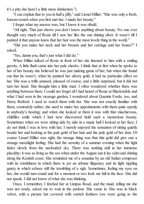it's a pity she hasn't a little more distinction.")

"I can explain that to you in half a jiffy," said Lionel Hillier. "She was only a fresh, buxom wench when you first met her. *I* made her beauty."

I forget what my answer was, but I know it was ribald.

"All right. That just shows you don't know anything about beauty. No one ever thought very much of Rosie till I saw her like the sun shining silver. It wasn't till I painted it that anyone knew that her hair was the most lovely thing in the world."

"Did you make her neck and her breasts and her carriage and her bones?" I asked.

"Yes, damn you, that's just what I did do."

When Hillier talked of Rosie in front of her she listened to him with a smiling gravity. A little flush came into her pale cheeks. I think that at first when he spoke to her of her beauty she believed he was just making game of her; but when she found out that he wasn't, when he painted her silvery gold, it had no particular effect on her. She was a trifle amused, pleased of course, and a little surprised, but it did not turn her head. She thought him a little mad. I often wondered whether there was anything between them. I could not forget allI had heard of Rosie at Blackstable and what I had seen in the vicarage garden; I wondered about Quentin Forde, too, and Harry Retford. I used to watch them with her. She was not exactly familiar with them, comradely rather; she used to make her appointments with them quite openly in anybody's hearing; and when she looked at them it was with that mischievous, childlike smile which I had now discovered held such a mysterious beauty. Sometimes when we were sitting side by side in a music hall I looked at her face; I do not think I was in love with her, I merely enjoyed the sensation of sitting quietly beside her and looking at the pale gold of her hair and the pale gold of her skin. Of course Lionel Hillier was right; the strange thing was that this gold did give one a strange moonlight feeling. She had the serenity of a summer evening when the light fades slowly from the unclouded sky. There was nothing dull in her immense placidity; it was as living as the sea when under the August sun it lay calm and shining along the Kentish coast. She reminded me of a sonatina by an old Italian composer with its wistfulness in which there is yet an urbane flippancy and its light rippling gaiety in which echoes still the trembling of a sigh. Sometimes, feeling my eyes on her, she would turn round and for a moment or two look me full in the face. She did not speak. I did not know of what she was thinking.

Once, I remember, I fetched her at Limpus Road, and the maid, telling me she was not ready, asked me to wait in the parlour. She came in. She was in black velvet, with a picture hat covered with ostrich feathers (we were going to the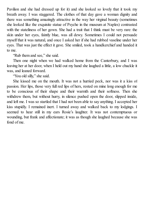Pavilion and she had dressed up for it) and she looked so lovely that it took my breath away. I was staggered. The clothes of that day gave a woman dignity and there was something amazingly attractive in the way her virginal beauty (sometimes she looked like the exquisite statue of Psyche in the museum at Naples) contrasted with the stateliness of her gown. She had a trait that I think must be very rare: the skin under her eyes, faintly blue, was all dewy. Sometimes I could not persuade myself that it was natural, and once I asked her ifshe had rubbed vaseline under her eyes. That was just the effect it gave. She smiled, took a handkerchief and handed it to me.

"Rub them and see," she said.

Then one night when we had walked home from the Canterbury, and I was leaving her at her door, when I held out my hand she laughed a little, a low chuckle it was, and leaned forward.

"You old silly," she said.

She kissed me on the mouth. It was not a hurried peck, nor was it a kiss of passion. Her lips, those very full red lips of hers, rested on mine long enough for me to be conscious of their shape and their warmth and their softness. Then she withdrew them, but without hurry, in silence pushed open the door, slipped inside, and left me. I was so startled that I had not been able to say anything. I accepted her kiss stupidly. I remained inert. I turned away and walked back to my lodgings. I seemed to hear still in my ears Rosie's laughter. It was not contemptuous or wounding, but frank and affectionate; it was as though she laughed because she was fond of me.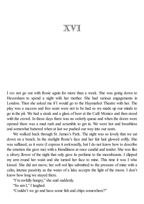## XVI

I DID not go out with Rosie again for more than a week. She was going down to Haversham to spend a night with her mother. She had various engagements in London. Then she asked me if I would go to the Haymarket Theatre with her. The play was a success and free seats were not to be had so we made up our minds to go in the pit. We had a steak and a glass of beer at the Café Monico and then stood with the crowd. In those days there was no orderly queue and when the doors were opened there was a mad rush and scramble to get in. We were hot and breathless and somewhat battered when at last we pushed our way into our seats.

We walked back through St. James's Park. The night was so lovely that we sat down on a bench. In the starlight Rosie's face and her fair hair glowed softly. She was suffused, as it were (I express it awkwardly, but I do not know how to describe the emotion she gave me) with a friendliness at once candid and tender. She was like a silvery flower of the night that only gave its perfume to the moonbeams. I slipped my arm round her waist and she turned her face to mine. This time it was I who kissed. She did not move; her soft red lips submitted to the pressure of mine with a calm, intense passivity as the water of a lake accepts the light of the moon. I don't know how long we stayed there.

"I'm awfully hungry," she said suddenly.

"So am I," I laughed.

"Couldn't we go and have some fish and chips somewhere?"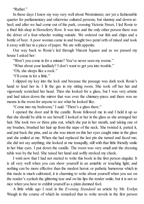"Rather."

In those days I knew my way very well about Westminster, not yet a fashionable quarter for parliamentary and otherwise cultured persons, but slummy and down-atheel; and after we had come out of the park, crossing Victoria Street, I led Rosie to a fried fish shop in Horseferry Row. It was late and the only other person there was the driver of a four-wheeler waiting outside. We ordered our fish and chips and a bottle of beer. A poor woman came in and bought two penn'orth of mixed and took it away with her in a piece of paper. We ate with appetite.

Our way back to Rosie's led through Vincent Square and as we passed my house I asked her:

"Won't you come in for a minute? You've never seen my rooms."

"What about your landlady? I don't want to get you into trouble."

"Oh, she sleeps like a rock."

"I'll come in for a little."

I slipped my key into the lock and because the passage was dark took Rosie's hand to lead her in. I lit the gas in my sitting room. She took off her hat and vigorously scratched her head. Then she looked for a glass, but I was very artistic and had taken down the mirror that was over the chimney-piece and there was no means in the room for anyone to see what he looked like.

"Come into my bedroom," I said. "There's a glass there."

I opened the door and lit the candle. Rosie followed me in and I held it up so that she should be able to see herself. I looked at her in the glass as she arranged her hair. She took two or three pins out, which she put in her mouth, and taking one of my brushes, brushed her hair up from the nape of the neck. She twisted it, patted it, and put back the pins, and as she was intent on this her eyes caught mine in the glass and she smiled at me. When she had replaced the last pin she turned and faced me; she did not say anything; she looked at me tranquilly, still with that little friendly smile in her blue eyes. I put down the candle. The room was very small and the dressing table was by the bed. She raised her hand and softly stroked my cheek.

I wish now that I had not started to write this book in the first person singular. It is all very well when you can show yourself in an amiable or touching light; and nothing can be more effective than the modest heroic or pathetic humorous which in this mode is much cultivated; it is charming to write about yourself when you see on the reader's eyelash the glittering tear and on his lips the tender smile; but it is not so nice when you have to exhibit yourself as a plain damned fool.

A little while ago I read in the *Evening Standard* an article by Mr. Evelyn Waugh in the course of which he remarked that to write novels in the first person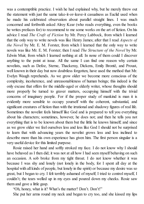was a contemptible practice. I wish he had explained why, but he merely threw out the statement with just the same take-it-or-leave-it casualness as Euclid used when he made his celebrated observation about parallel straight lines. I was much concerned and forthwith asked Alroy Kear (who reads everything, even the books he writes prefaces for) to recommend to me some works on the art of fiction. On his advice I read *The Craft of Fiction* by Mr. Percy Lubbock, from which I learned that the only way to write novels was like Henry James; after that I read *Aspects of the Novel* by Mr. E. M. Forster, from which I learned that the only way to write novels was like Mr. E. M. Forster; then I read *The Structure of the Novel* by Mr. Edwin Muir, from which I learned nothing at all. In none of them could I discover anything to the point at issue. All the same I can find one reason why certain novelists, such as Defoe, Sterne, Thackeray, Dickens, Emily Brontë, and Proust, well known in their day but now doubtless forgotten, have used the method that Mr. Evelyn Waugh reprehends. As we grow older we become more conscious of the complexity, incoherence, and unreasonableness of human beings; this indeed is the only excuse that offers for the middle-aged or elderly writer, whose thoughts should more properly be turned to graver matters, occupying himself with the trivial concerns of imaginary people. For if the proper study of mankind is man it is evidently more sensible to occupy yourself with the coherent, substantial, and significant creatures of fiction than with the irrational and shadowy figures of real life. Sometimes the novelist feels himself like God and is prepared to tell you everything about his characters; sometimes, however, he does not; and then he tells you not everything that is to be known about them but the little he knows himself; and since as we grow older we feel ourselves less and less like God I should not be surprised to learn that with advancing years the novelist grows less and less inclined to describe more than his own experience has given him. The first person singular is a very useful device for this limited purpose.

Rosie raised her hand and softly stroked my face. I do not know why I should have behaved as I then did; it was not at all how I had seen myself behaving on such an occasion. A sob broke from my tight throat. I do not know whether it was because I was shy and lonely (not lonely in the body, for I spent all day at the hospital with all kinds of people, but lonely in the spirit) or because my desire was so great, but I began to cry. I felt terribly ashamed of myself; I tried to control myself, I couldn't; the tears welled up in my eyes and poured down my cheeks. Rosie saw them and gave a little gasp.

"Oh, honey, what is it? What's the matter? Don't. Don't!"

She put her arms round my neck and began to cry too, and she kissed my lips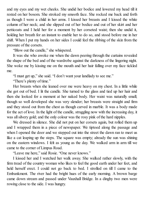and my eyes and my wet cheeks. She undid her bodice and lowered my head till it rested on her bosom. She stroked my smooth face. She rocked me back and forth as though I were a child in her arms. I kissed her breasts and I kissed the white column of her neck; and she slipped out of her bodice and out of her skirt and her petticoats and I held her for a moment by her corseted waist; then she undid it, holding her breath for an instant to enable her to do so, and stood before me in her shift. When I put my hands on her sides I could feel the ribbing of the skin from the pressure of the corsets.

"Blow out the candle," she whispered.

It was she who awoke me when the dawn peering through the curtains revealed the shape of the bed and of the wardrobe against the darkness of the lingering night. She woke me by kissing me on the mouth and her hair falling over my face tickled me.

"I must get up," she said. "I don't want your landlady to see me."

"There's plenty of time."

Her breasts when she leaned over me were heavy on my chest. In a little while she got out of bed. I lit the candle. She turned to the glass and tied up her hair and then she looked for a moment at her naked body. Her waist was naturally small; though so well developed she was very slender; her breasts were straight and firm and they stood out from the chest as though carved in marble. It was a body made for the act of love. In the light of the candle, struggling now with the increasing day, it was allsilvery gold; and the only colour was the rosy pink of the hard nipples.

We dressed in silence. She did not put on her corsets again, but rolled them up and I wrapped them in a piece of newspaper. We tiptoed along the passage and when I opened the door and we stepped out into the street the dawn ran to meet us like a cat leaping up the steps. The square was empty; already the sun was shining on the eastern windows. I felt as young as the day. We walked arm in arm till we came to the corner of Limpus Road.

"Leave me here," said Rosie. "One never knows."

I kissed her and I watched her walk away. She walked rather slowly, with the firm tread of the country woman who likes to feel the good earth under her feet, and held herself erect. I could not go back to bed. I strolled on till I came to the Embankment. The river had the bright hues of the early morning. A brown barge came down stream and passed under Vauxhall Bridge. In a dinghy two men were rowing close to the side. I was hungry.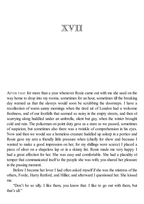## XVII

AFTER THAT for more than a year whenever Rosie came out with me she used on the way home to drop into my rooms, sometimes for an hour, sometimes till the breaking day warned us that the slaveys would soon be scrubbing the doorsteps. I have a recollection of warm sunny mornings when the tired air of London had a welcome freshness, and of our footfalls that seemed so noisy in the empty streets, and then of scurrying along huddled under an umbrella, silent but gay, when the winter brought cold and rain. The policeman on point duty gave us a stare as we passed, sometimes of suspicion; but sometimes also there was a twinkle of comprehension in his eyes. Now and then we would see a homeless creature huddled up asleep in a portico and Rosie gave my arm a friendly little pressure when (chiefly for show and because I wanted to make a good impression on her, for my shillings were scarce) I placed a piece of silver on a shapeless lap or in a skinny fist. Rosie made me very happy. I had a great affection for her. She was easy and comfortable. She had a placidity of temper that communicated itself to the people she was with; you shared her pleasure in the passing moment.

Before I became her lover I had often asked myself if she was the mistress of the others, Forde, Harry Retford, and Hillier, and afterward I questioned her. She kissed me.

"Don't be so silly. I like them, you know that. I like to go out with them, but that's all."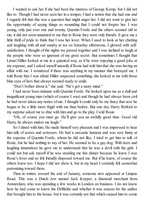I wanted to ask her if she had been the mistress of George Kemp, but I did not like to. Though I had never seen her in a temper, I had a notion that she had one and I vaguely felt that this was a question that might anger her. I did not want to give her the opportunity of saying things so wounding that I could not forgive her. I was young, only just over one and twenty, Quentin Forde and the others seemed old to me; it did not seem unnatural to me that to Rosie they were only friends. It gave me a little thrill of pride to think that I was her lover. When I used to look at her chatting and laughing with all and sundry at tea on Saturday afternoons, I glowed with selfsatisfaction. I thought of the nights we passed together and I was inclined to laugh at the people who were so ignorant of my great secret. But sometimes I thought that Lionel Hillier looked at me in a quizzical way, as if he were enjoying a good joke at my expense, and I asked myself uneasily if Rosie had told him that she was having an affair with me. I wondered if there was anything in my manner that betrayed me. I told Rosie that I was afraid Hillier suspected something; she looked at me with those blue eyes of hers that always seemed ready to smile.

"Don't bother about it," she said. "He's got a nasty mind."

I had never been intimate with Quentin Forde. He looked upon me as a dull and insignificant young man (which of course I was) and though he had always been civil he had never taken any notice of me. I thought it could only be my fancy that now he began to be a little more frigid with me than before. But one day Harry Retford to my surprise asked me to dine with him and go to the play. I told Rosie.

"Oh, of course you must go. He'll give you an awfully good time. Good old Harry, he always makes me laugh."

So I dined with him. He made himself very pleasant and I was impressed to hear him talk of actors and actresses. He had a sarcastic humour and was very funny at the expense of Quentin Forde, whom he did not like; I tried to get him to talk of Rosie, but he had nothing to say of her. He seemed to be a gay dog. With leers and laughing innuendoes he gave me to understand that he was a devil with the girls. I could not but ask myself if he was standing me this dinner because he knew I was Rosie's lover and so felt friendly disposed toward me. But if he knew, of course the others knew too. I hope I did not show it, but in my heart I certainly felt somewhat patronizing toward them.

Then in winter, toward the end of January, someone new appeared at Limpus Road. This was a Dutch Jew named Jack Kuyper, a diamond merchant from Amsterdam, who was spending a few weeks in London on business. I do not know how he had come to know the Driffields and whether it was esteem for the author that brought him to the house, but it was certainly not that which caused him to come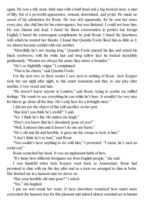again. He was a tall, stout, dark man with a bald head and a big hooked nose, a man of fifty, but of a powerful appearance, sensual, determined, and jovial. He made no secret of his admiration for Rosie. He was rich apparently, for he sent her roses every day; she chid him for his extravagance, but was flattered. I could not bear him. He was blatant and loud. I hated his fluent conversation in perfect but foreign English; I hated the extravagant compliments he paid Rosie; I hated the heartiness with which he treated her friends. I found that Quentin Forde liked him as little as I; we almost became cordial with one another.

"Mercifully he's not staying long." Quentin Forde pursed his lips and raised his black eyebrows; with his white hair and long sallow face he looked incredibly gentlemanly. "Women are always the same; they adore a bounder."

"He's so frightfully vulgar," I complained.

"That is his charm," said Quentin Forde.

For the next two or three weeks I saw next to nothing of Rosie. Jack Kuyper took her out night after night, to this smart restaurant and that, to one play after another. I was vexed and hurt.

"He doesn't know anyone in London," said Rosie, trying to soothe my ruffled feelings. "He wants to see everything he can while he's here. It wouldn't be very nice for him to go alone all the time. He's only here for a fortnight more."

I did not see the object of this self-sacrifice on her part.

"But don't you think he's awful?" I said.

"No. I think he's fun. He makes me laugh."

"Don't you know that he's absolutely gone on you?"

"Well, it pleases him and it doesn't do me any harm."

"He's old and fat and horrible. It gives me the creeps to look at him."

"I don't think he's so bad," said Rosie.

"You couldn't have anything to do with him," I protested. "I mean, he's such an awful cad."

Rosie scratched her head. It was an unpleasant habit of hers.

"It's funny how different foreigners are from English people," she said.

I was thankful when Jack Kuyper went back to Amsterdam. Rosie had promised to dine with me the day after and as a treat we arranged to dine in Soho. She fetched me in a hansom and we drove on.

"Has your horrible old man gone?" I asked.

"Yes," she laughed.

I put my arm round her waist. (I have elsewhere remarked how much more convenient the hansom was for this pleasant and indeed almost essential act in human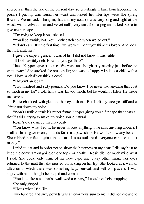intercourse than the taxi of the present day, so unwillingly refrain from labouring the point.) I put my arm round her waist and kissed her. Her lips were like spring flowers. We arrived. I hung my hat and my coat (it was very long and tight at the waist, with a velvet collar and velvet cuffs; very smart) on a peg and asked Rosie to give me her cape.

"I'm going to keep it on," she said.

"You'll be awfully hot. You'll only catch cold when we go out."

"I don't care. It's the first time I've worn it. Don't you think it's lovely. And look: the muff matches."

I gave the cape a glance. It was of fur. I did not know it was sable.

"It looks awfully rich. How did you get that?"

"Jack Kuyper gave it to me. We went and bought it yesterday just before he went away." She stroked the smooth fur; she was as happy with it as a child with a toy. "How much d'you think it cost?"

"I haven't an idea."

"Two hundred and sixty pounds. Do you know I've never had anything that cost so much in my life? I told him it was far too much, but he wouldn't listen. He made me have it."

Rosie chuckled with glee and her eyes shone. But I felt my face go stiff and a shiver run down my spine.

"Won't Driffield think it's rather funny, Kuyper giving you a fur cape that costs all that?" said I, trying to make my voice sound natural.

Rosie's eyes danced mischievously.

"You know what Ted is, he never notices anything; if he says anything about it I shall tell him I gave twenty pounds for it in a pawnshop. He won't know any better." She rubbed her face against the collar. "It's so soft. And everyone can see it cost money."

I tried to eat and in order not to show the bitterness in my heart I did my best to keep the conversation going on one topic or another. Rosie did not much mind what I said. She could only think of her new cape and every other minute her eyes returned to the muff that she insisted on holding on her lap. She looked at it with an affection in which there was something lazy, sensual, and self-complacent. I was angry with her. I thought her stupid and common.

"You look like a cat that's swallowed a canary," I could not help snapping.

She only giggled.

"That's what I feel like."

Two hundred and sixty pounds was an enormous sum to me. I did not know one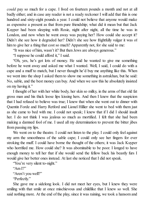*could* pay so much for a cape. I lived on fourteen pounds a month and not at all badly either; and in case any reader is not a ready reckoner I will add that this is one hundred and sixty-eight pounds a year. I could not believe that anyone would make as expensive a present as that from pure friendship; what did it mean but that Jack Kuyper had been sleeping with Rosie, night after night, all the time he was in London, and now when he went away was paying her? How could she accept it? Didn't she see how it degraded her? Didn't she see how frightfully vulgar it was of him to give her a thing that cost so much? Apparently not, for she said to me:

"It was nice of him, wasn't it? But then Jews are always generous."

"I suppose he could afford it," I said.

"Oh, yes, he's got lots of money. He said he wanted to give me something before he went away and asked me what I wanted. Well, I said, I could do with a cape and a muff to match, but I never thought he'd buy me anything like this. When we went into the shop I asked them to show me something in astrakhan, but he said: No, sable, and the best money can buy. And when we saw this he absolutely insisted on my having it."

I thought of her with her white body, her skin so milky, in the arms of that old fat gross man and his thick loose lips kissing hers. And then I knew that the suspicion that I had refused to believe was true; I knew that when she went out to dinner with Quentin Forde and Harry Retford and Lionel Hillier she went to bed with them just as she came to bed with me. I could not speak; I knew that if I did I should insult her. I do not think I was jealous so much as mortified. I felt that she had been making a damned fool of me. I used all my determination to prevent the bitter jibes from passing my lips.

We went on to the theatre. I could not listen to the play. I could only feel against my arm the smoothness of the sable cape; I could only see her fingers for ever stroking the muff. I could have borne the thought of the others; it was Jack Kuyper who horrified me. How could she? It was abominable to be poor. I longed to have enough money to tell her that if she would send the fellow back his beastly furs I would give her better ones instead. At last she noticed that I did not speak.

"You're very silent to-night."

"Am  $I$ ?"

"Aren't you well?"

"Perfectly."

She gave me a sidelong look. I did not meet her eyes, but I knew they were smiling with that smile at once mischievous and childlike that I knew so well. She said nothing more. At the end of the play, since it was raining, we took a hansom and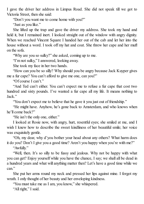I gave the driver her address in Limpus Road. She did not speak till we got to Victoria Street, then she said:

"Don't you want me to come home with you?"

"Just as you like."

She lifted up the trap and gave the driver my address. She took my hand and held it, but I remained inert. I looked straight out of the window with angry dignity. When we reached Vincent Square I handed her out of the cab and let her into the house without a word. I took off my hat and coat. She threw her cape and her muff on the sofa.

"Why are you so sulky?" she asked, coming up to me.

"I'm not sulky," I answered, looking away.

She took my face in her two hands.

"How can you be so silly? Why should you be angry because Jack Kuyper gives me a fur cape? You can't afford to give me one, can you?"

"Of course I can't."

"And Ted can't either. You can't expect me to refuse a fur cape that cost two hundred and sixty pounds. I've wanted a fur cape all my life. It means nothing to Jack."

"You don't expect me to believe that he gave it you just out of friendship."

"He might have. Anyhow, he's gone back to Amsterdam, and who knows when he'll come back?"

"He isn't the only one, either."

I looked at Rosie now, with angry, hurt, resentful eyes; she smiled at me, and I wish I knew how to describe the sweet kindliness of her beautiful smile; her voice was exquisitely gentle.

"Oh, my dear, why d'you bother your head about any others? What harm does it do you? Don't I give you a good time? Aren't you happy when you're with me?"

"Awfully."

"Well, then. It's so silly to be fussy and jealous. Why not be happy with what you can get? Enjoy yourself while you have the chance, I say; we shall all be dead in a hundred years and what will anything matter then? Let's have a good time while we can."

She put her arms round my neck and pressed her lips against mine. I forgot my wrath. I only thought of her beauty and her enveloping kindness.

"You must take me as I am, you know," she whispered.

"All right," I said.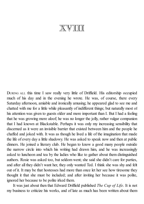## XVIII

DURING ALL this time I saw really very little of Driffield. His editorship occupied much of his day and in the evening he wrote. He was, of course, there every Saturday afternoon, amiable and ironically amusing; he appeared glad to see me and chatted with me for a little while pleasantly of indifferent things; but naturally most of his attention was given to guests older and more important than I. But I had a feeling that he was growing more aloof; he was no longer the jolly, rather vulgar companion that I had known at Blackstable. Perhaps it was only my increasing sensibility that discerned as it were an invisible barrier that existed between him and the people he chaffed and joked with. It was as though he lived a life of the imagination that made the life of every day a little shadowy. He was asked to speak now and then at public dinners. He joined a literary club. He began to know a good many people outside the narrow circle into which his writing had drawn him, and he was increasingly asked to luncheon and tea by the ladies who like to gather about them distinguished authors. Rosie was asked too, but seldom went; she said she didn't care for parties, and after all they didn't want her, they only wanted Ted. I think she was shy and felt out of it. It may be that hostesses had more than once let her see how tiresome they thought it that she must be included; and after inviting her because it was polite, ignored her because to be polite irked them.

It was just about then that Edward Driffield published *The Cup of Life*. It is not my business to criticize his works, and of late as much has been written about them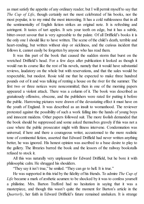as must satisfy the appetite of any ordinary reader; but I will permit myself to say that *The Cup of Life*, though certainly not the most celebrated of his books, nor the most popular, is to my mind the most interesting. It has a cold ruthlessness that in all the sentimentality of English fiction strikes an original note. It is refreshing and astringent. It tastes of tart apples. It sets your teeth on edge, but it has a subtle, bitter-sweet savour that is very agreeable to the palate. Of all Driffield's books it is the only one I should like to have written. The scene of the child's death, terrible and heart-rending, but written without slop or sickliness, and the curious incident that follows it, cannot easily be forgotten by anyone who has read them.

It was this part of the book that caused the sudden storm that burst on the wretched Driffield's head. For a few days after publication it looked as though it would run its course like the rest of his novels, namely that it would have substantial reviews, laudatory on the whole but with reservations, and that the sales would be respectable, but modest. Rosie told me that he expected to make three hundred pounds out of it and was talking of renting a house on the river for the summer. The first two or three notices were noncommittal; then in one of the morning papers appeared a violent attack. There was a column of it. The book was described as gratuitously offensive, obscene, and the publishers were rated for putting it before the public. Harrowing pictures were drawn of the devastating effect it must have on the youth of England. It was described as an insult to womanhood. The reviewer protested against the possibility of such a work falling into the hands of young boys and innocent maidens. Other papers followed suit. The more foolish demanded that the book should be suppressed and some asked themselves gravely if this was not a case where the public prosecutor might with fitness intervene. Condemnation was universal; if here and there a courageous writer, accustomed to the more realistic tone of continental fiction, asserted that Edward Driffield had never written anything better, he was ignored. His honest opinion was ascribed to a base desire to play to the gallery. The libraries barred the book and the lessors of the railway bookstalls refused to stock it.

All this was naturally very unpleasant for Edward Driffield, but he bore it with philosophic calm. He shrugged his shoulders.

"They say it isn't true," he smiled. "They can go to hell. It is true."

He was supported in this trial by the fidelity of his friends. To admire *The Cup of Life* became a mark of æsthetic acumen: to be shocked by it was to confess yourself a philistine. Mrs. Barton Trafford had no hesitation in saying that it was a masterpiece, and though this wasn't quite the moment for Barton's article in the *Quarterly*, her faith in Edward Driffield's future remained unshaken. It is strange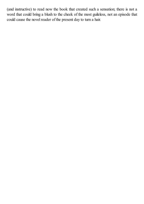(and instructive) to read now the book that created such a sensation; there is not a word that could bring a blush to the cheek of the most guileless, not an episode that could cause the novel reader of the present day to turn a hair.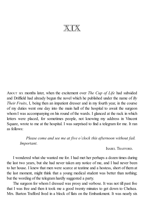XIX

ABOUT SIX months later, when the excitement over *The Cup of Life* had subsided and Driffield had already begun the novel which he published under the name of *By Their Fruits*, I, being then an impatient dresser and in my fourth year, in the course of my duties went one day into the main hall of the hospital to await the surgeon whom I was accompanying on his round of the wards. I glanced at the rack in which letters were placed, for sometimes people, not knowing my address in Vincent Square, wrote to me at the hospital. I was surprised to find a telegram for me. It ran as follows:

*Please come and see me at five o'clock this afternoon without fail. Important.*

ISABEL TRAFFORD.

I wondered what she wanted me for. I had met her perhaps a dozen times during the last two years, but she had never taken any notice of me, and I had never been to her house. I knew that men were scarce at teatime and a hostess, short of them at the last moment, might think that a young medical student was better than nothing; but the wording of the telegram hardly suggested a party.

The surgeon for whom I dressed was prosy and verbose. It was not till past five that I was free and then it took me a good twenty minutes to get down to Chelsea. Mrs. Barton Trafford lived in a block of flats on the Embankment. It was nearly six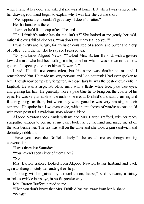when I rang at her door and asked if she was at home. But when I was ushered into her drawing room and began to explain why I was late she cut me short.

"We supposed you couldn't get away. It doesn't matter."

Her husband was there.

"I expect he'd like a cup of tea," he said.

"Oh, I think it's rather late for tea, isn't it?" She looked at me gently, her mild, rather fine eyes full of kindness. "You don't want any tea, do you?"

I was thirsty and hungry, for my lunch consisted of a scone and butter and a cup of coffee, but I did not like to say so. I refused tea.

"Do you know Allgood Newton?" asked Mrs. Barton Trafford, with a gesture toward a man who had been sitting in a big armchair when I was shown in, and now got up. "I expect you've met him at Edward's."

I had. He did not come often, but his name was familiar to me and I remembered him. He made me very nervous and I do not think I had ever spoken to him. Though now completely forgotten, in those days he was the best-known critic in England. He was a large, fat, blond man, with a fleshy white face, pale blue eyes, and graying fair hair. He generally wore a pale blue tie to bring out the colour of his eyes. He was very amiable to the authors he met at Driffield's and said charming and flattering things to them, but when they were gone he was very amusing at their expense. He spoke in a low, even voice, with an apt choice of words: no one could with more point tell a malicious story about a friend.

Allgood Newton shook hands with me and Mrs. Barton Trafford, with her ready sympathy, anxious to put me at my ease, took me by the hand and made me sit on the sofa beside her. The tea was still on the table and she took a jam sandwich and delicately nibbled it.

"Have you seen the Driffields lately?" she asked me as though making conversation.

"I was there last Saturday."

"You haven't seen either of them since?"

"No."

Mrs. Barton Trafford looked from Allgood Newton to her husband and back again as though mutely demanding their help.

"Nothing will be gained by circumlocution, Isabel," said Newton, a faintly malicious twinkle in his eye, in his fat precise way.

Mrs. Barton Trafford turned to me.

"Then you don't know that Mrs. Driffield has run away from her husband." "What!"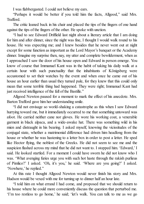I was flabbergasted. I could not believe my ears.

"Perhaps it would be better if you told him the facts, Allgood," said Mrs. Trafford.

The critic leaned back in his chair and placed the tips of the fingers of one hand against the tips of the fingers of the other. He spoke with unction.

"I had to see Edward Driffield last night about a literary article that I am doing for him and after dinner, since the night was fine, I thought I would walk round to his house. He was expecting me; and I knew besides that he never went out at night except for some function as important as the Lord Mayor's banquet or the Academy dinner. Imagine my surprise then, nay, my utter and complete bewilderment, when as I approached I saw the door of his house open and Edward in person emerge. You know of course that Immanuel Kant was in the habit of taking his daily walk at a certain hour with such punctuality that the inhabitants of Königsberg were accustomed to set their watches by the event and when once he came out of his house an hour earlier than usual they turned pale, for they knew that this could only mean that some terrible thing had happened. They were right; Immanuel Kant had just received intelligence of the fall of the Bastille."

Allgood Newton paused for a moment to mark the effect of his anecdote. Mrs. Barton Trafford gave him her understanding smile.

"I did not envisage so world-shaking a catastrophe as this when I saw Edward hurrying toward me, but it immediately occurred to me that something untoward was afoot. He carried neither cane nor gloves. He wore his working coat, a venerable garment in black alpaca, and a wide-awake hat. There was something wild in his mien and distraught in his bearing. I asked myself, knowing the vicissitudes of the conjugal state, whether a matrimonial difference had driven him headlong from the house or whether he was hastening to a letter box in order to post a letter. He sped like Hector flying, the noblest of the Greeks. He did not seem to see me and the suspicion flashed across my mind that he did not want to. I stopped him. 'Edward,' I said. He looked startled. For a moment I could have sworn he did not know who I was. 'What avenging furies urge you with such hot haste through the rakish purlieus of Pimlico?' I asked. 'Oh, it's you,' he said. 'Where are you going?' I asked. 'Nowhere,' he replied."

At this rate I thought Allgood Newton would never finish his story and Mrs. Hudson would be vexed with me for turning up to dinner half an hour late.

"I told him on what errand I had come, and proposed that we should return to his house where he could more conveniently discuss the question that perturbed me. 'I'm too restless to go home,' he said; 'let's walk. You can talk to me as we go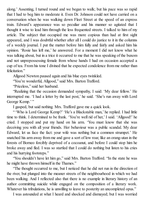along.' Assenting, I turned round and we began to walk; but his pace was so rapid that I had to beg him to moderate it. Even Dr. Johnson could not have carried on a conversation when he was walking down Fleet Street at the speed of an express train. Edward's appearance was so peculiar and his manner so agitated that I thought it wise to lead him through the less frequented streets. I talked to him of my article. The subject that occupied me was more copious than had at first sight appeared, and I was doubtful whether after all I could do justice to it in the columns of a weekly journal. I put the matter before him fully and fairly and asked him his opinion. 'Rosie has left me,' he answered. For a moment I did not know what he was talking about, but in a trice it occurred to me that he was speaking of the buxom and not unprepossessing female from whose hands I had on occasion accepted a cup of tea. From his tone I divined that he expected condolence from me rather than felicitation."

Allgood Newton paused again and his blue eyes twinkled.

"You're wonderful, Allgood," said Mrs. Barton Trafford.

"Priceless," said her husband.

"Realizing that the occasion demanded sympathy, I said: 'My dear fellow.' He interrupted me. 'I had a letter by the last post,' he said. 'She's run away with Lord George Kemp.'"

I gasped, but said nothing. Mrs. Trafford gave me a quick look.

" 'Who is Lord George Kemp?' 'He's a Blackstable man,' he replied. I had little time to think. I determined to be frank. 'You're well rid of her,' I said. 'Allgood!' he cried. I stopped and put my hand on his arm. 'You must know that she was deceiving you with all your friends. Her behaviour was a public scandal. My dear Edward, let us face the fact: your wife was nothing but a common strumpet.' He snatched his arm away from me and gave a sort of low roar, like an orang-utan in the forests of Borneo forcibly deprived of a cocoanut, and before I could stop him he broke away and fled. I was so startled that I could do nothing but listen to his cries and his hurrying footsteps."

"You shouldn't have let him go," said Mrs. Barton Trafford. "In the state he was he might have thrown himself in the Thames."

"The thought occurred to me, but I noticed that he did not run in the direction of the river, but plunged into the meaner streets of the neighbourhood in which we had been walking. And I reflected also that there is no example in literary history of an author committing suicide while engaged on the composition of a literary work. Whatever his tribulations, he is unwilling to leave to posterity an uncompleted opus."

I was astounded at what I heard and shocked and dismayed; but I was worried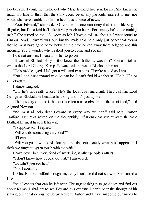too because I could not make out why Mrs. Trafford had sent for me. She knew me much too little to think that the story could be of any particular interest to me; nor would she have troubled to let me hear it as a piece of news.

"Poor Edward," she said. "Of course no one can deny that it is a blessing in disguise, but I'm afraid he'll take it very much to heart. Fortunately he's done nothing rash." She turned to me. "As soon as Mr. Newton told us about it I went round to Limpus Road. Edward was out, but the maid said he'd only just gone; that means that he must have gone home between the time he ran away from Allgood and this morning. You'll wonder why I asked you to come and see me."

I did not answer. I waited for her to go on.

"It was at Blackstable you first knew the Driffields, wasn't it? You can tell us who is this Lord George Kemp. Edward said he was a Blackstable man."

"He's middle-aged. He's got a wife and two sons. They're as old as I am."

"But I don't understand who he can be. I can't find him either in *Who's Who* or in Debrett."

I almost laughed.

"Oh, he's not really a lord. He's the local coal merchant. They call him Lord George at Blackstable because he's so grand. It's just a joke."

"The quiddity of bucolic humour is often a trifle obscure to the uninitiated," said Allgood Newton.

"We must all help dear Edward in every way we can," said Mrs. Barton Trafford. Her eyes rested on me thoughtfully. "If Kemp has run away with Rosie Driffield he must have left his wife."

"I suppose so," I replied.

"Will you do something very kind?"

"If I can."

"Will you go down to Blackstable and find out exactly what has happened? I think we ought to get in touch with the wife."

I have never been very fond of interfering in other people's affairs.

"I don't know how I could do that," I answered.

"Couldn't you see her?"

"No, I couldn't."

If Mrs. Barton Trafford thought my reply blunt she did not show it. She smiled a little.

"At all events that can be left over. The urgent thing is to go down and find out about Kemp. I shall try to see Edward this evening. I can't bear the thought of his staying on in that odious house by himself. Barton and I have made up our minds to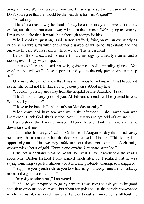bring him here. We have a spare room and I'll arrange it so that he can work there. Don't you agree that that would be the best thing for him, Allgood?"

"Absolutely."

"There's no reason why he shouldn't stay here indefinitely, at all events for a few weeks, and then he can come away with us in the summer. We're going to Brittany. I'm sure he'd like that. It would be a thorough change for him."

"The immediate question," said Barton Trafford, fixing on me an eye nearly as kindly as his wife's, "is whether this young sawbones will go to Blackstable and find out what he can. We must know where we are. That is essential."

Barton Trafford excused his interest in archæology by a hearty manner and a jocose, even slangy way of speech.

"He couldn't refuse," said his wife, giving me a soft, appealing glance. "You won't refuse, will you? It's so important and you're the only person who can help  $\overline{\text{us}}$ ."

Of course she did not know that I was as anxious to find out what had happened as she; she could not tell what a bitter jealous pain stabbed my heart.

"I couldn't possibly get away from the hospital before Saturday," I said.

"That'll do. It's very good of you. All Edward's friends will be grateful to you. When shall you return?"

"I have to be back in London early on Monday morning."

"Then come and have tea with me in the afternoon. I shall await you with impatience. Thank God, that's settled. Now I must try and get hold of Edward."

I understood that I was dismissed. Allgood Newton took his leave and came downstairs with me.

"Our Isabel has *un petit air* of Catherine of Aragon to-day that I find vastly becoming," he murmured when the door was closed behind us. "This is a golden opportunity and I think we may safely trust our friend not to miss it. A charming woman with a heart of gold. *Venus toute entière à sa proie attachée.*"

I did not understand what he meant, for what I have already told the reader about Mrs. Barton Trafford I only learned much later, but I realized that he was saying something vaguely malicious about her, and probably amusing, so I sniggered.

"I suppose your youth inclines you to what my good Dizzy named in an unlucky moment the gondola of London."

"I'm going to take a bus," I answered.

"Oh? Had you proposed to go by hansom I was going to ask you to be good enough to drop me on your way, but if you are going to use the homely conveyance which *I* in my old-fashioned manner still prefer to call an omnibus, I shall hoist my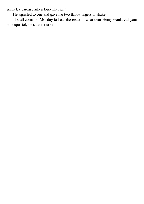unwieldy carcase into a four-wheeler."

He signalled to one and gave me two flabby fingers to shake.

"I shall come on Monday to hear the result of what dear Henry would call your so exquisitely delicate mission."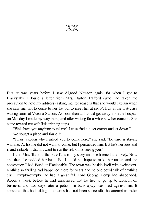$\mathbb{X}\mathbb{X}$ 

BUT IT was years before I saw Allgood Newton again, for when I got to Blackstable I found a letter from Mrs. Barton Trafford (who had taken the precaution to note my address) asking me, for reasons that she would explain when she saw me, not to come to her flat but to meet her at six o'clock in the first-class waiting room at Victoria Station. As soon then as I could get away from the hospital on Monday I made my way there, and after waiting for a while saw her come in. She came toward me with little tripping steps.

"Well, have you anything to tell me? Let us find a quiet corner and sit down."

We sought a place and found it.

"I must explain why I asked you to come here," she said. "Edward is staying with me. At first he did not want to come, but I persuaded him. But he's nervous and ill and irritable. I did not want to run the risk of his seeing you."

I told Mrs. Trafford the bare facts of my story and she listened attentively. Now and then she nodded her head. But I could not hope to make her understand the commotion I had found at Blackstable. The town was beside itself with excitement. Nothing so thrilling had happened there for years and no one could talk of anything else. Humpty-dumpty had had a great fall. Lord George Kemp had absconded. About a week before he had announced that he had to go up to London on business, and two days later a petition in bankruptcy was filed against him. It appeared that his building operations had not been successful, his attempt to make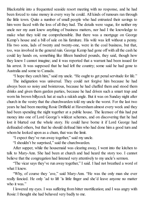Blackstable into a frequented seaside resort meeting with no response, and he had been forced to raise money in every way he could. All kinds of rumours ran through the little town. Quite a number of small people who had entrusted their savings to him were faced with the loss of all they had. The details were vague, for neither my uncle nor my aunt knew anything of business matters, nor had I the knowledge to make what they told me comprehensible. But there was a mortgage on George Kemp's house and a bill of sale on his furniture. His wife was left without a penny. His two sons, lads of twenty and twenty-one, were in the coal business, but that, too, was involved in the general ruin. George Kemp had gone off with all the cash he could lay hands on, something like fifteen hundred pounds, they said, though how they knew I cannot imagine; and it was reported that a warrant had been issued for his arrest. It was supposed that he had left the country; some said he had gone to Australia and some to Canada.

"I hope they catch him," said my uncle. "He ought to get penal servitude for life."

The indignation was universal. They could not forgive him because he had always been so noisy and boisterous, because he had chaffed them and stood them drinks and given them garden parties, because he had driven such a smart trap and worn his brown billycock hat at such a rakish angle. But it was on Sunday night after church in the vestry that the churchwarden told my uncle the worst. For the last two years he had been meeting Rosie Driffield at Haversham almost every week and they had been spending the night together at a public house. The licensee of this had put money into one of Lord George's wildcat schemes, and on discovering that he had lost it blurted out the whole story. He could have borne it if Lord George had defrauded others, but that he should defraud him who had done him a good turn and whom he looked upon as a chum, that was the limit.

"I expect they've run away together," said my uncle.

"I shouldn't be surprised," said the churchwarden.

After supper, while the housemaid was clearing away, I went into the kitchen to talk to Mary-Ann. She had been at church and had heard the story too. I cannot believe that the congregation had listened very attentively to my uncle's sermon.

"The vicar says they've run away together," I said. I had not breathed a word of what I knew.

"Why, of course they 'ave," said Mary-Ann. "He was the only man she ever really fancied. He only 'ad to lift 'is little finger and she'd leave anyone no matter who it was."

I lowered my eyes. I was suffering from bitter mortification; and I was angry with Rosie:I thought she had behaved very badly to me.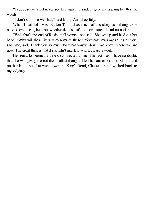"I suppose we shall never see her again," I said. It gave me a pang to utter the words.

"I don't suppose we shall," said Mary-Ann cheerfully.

When I had told Mrs. Barton Trafford as much of this story as I thought she need know, she sighed, but whether from satisfaction or distress I had no notion.

"Well, that's the end of Rosie at all events," she said. She got up and held out her hand. "Why will these literary men make these unfortunate marriages? It's all very sad, very sad. Thank you so much for what you've done. We know where we are now. The great thing is that it shouldn't interfere with Edward's work."

Her remarks seemed a trifle disconnected to me. The fact was, I have no doubt, that she was giving me not the smallest thought. I led her out of Victoria Station and put her into a bus that went down the King's Road, Chelsea; then I walked back to my lodgings.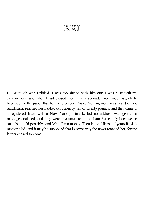$\mathbb{X}\mathbb{Y}$  T

I LOST touch with Driffield. I was too shy to seek him out; I was busy with my examinations, and when I had passed them I went abroad. I remember vaguely to have seen in the paper that he had divorced Rosie. Nothing more was heard of her. Smallsums reached her mother occasionally, ten or twenty pounds, and they came in a registered letter with a New York postmark; but no address was given, no message enclosed, and they were presumed to come from Rosie only because no one else could possibly send Mrs. Gann money. Then in the fullness of years Rosie's mother died, and it may be supposed that in some way the news reached her, for the letters ceased to come.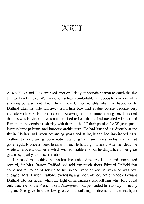XXII

ALROY KEAR and I, as arranged, met on Friday at Victoria Station to catch the five ten to Blackstable. We made ourselves comfortable in opposite corners of a smoking compartment. From him I now learned roughly what had happened to Driffield after his wife ran away from him. Roy had in due course become very intimate with Mrs. Barton Trafford. Knowing him and remembering her, I realized that this was inevitable. I was not surprised to hear that he had travelled with her and Barton on the continent, sharing with them to the full their passion for Wagner, postimpressionist painting, and baroque architecture. He had lunched assiduously at the flat in Chelsea and when advancing years and failing health had imprisoned Mrs. Trafford to her drawing room, notwithstanding the many claims on his time he had gone regularly once a week to sit with her. He had a good heart. After her death he wrote an article about her in which with admirable emotion he did justice to her great gifts ofsympathy and discrimination.

It pleased me to think that his kindliness should receive its due and unexpected reward, for Mrs. Barton Trafford had told him much about Edward Driffield that could not fail to be of service to him in the work of love in which he was now engaged. Mrs. Barton Trafford, exercising a gentle violence, not only took Edward Driffield into her house when the flight of his faithless wife left him what Roy could only describe by the French word *désemparé*, but persuaded him to stay for nearly a year. She gave him the loving care, the unfailing kindness, and the intelligent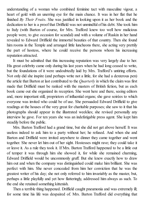understanding of a woman who combined feminine tact with masculine vigour, a heart of gold with an unerring eye for the main chance. It was in her flat that he finished *By Their Fruits*. She was justified in looking upon it as her book and the dedication to her is a proof that Driffield was not unmindful of his debt. She took him to Italy (with Barton of course, for Mrs. Trafford knew too well how malicious people were, to give occasion for scandal) and with a volume of Ruskin in her hand revealed to Edward Driffield the immortal beauties of that country. Then she found him rooms in the Temple and arranged little luncheons there, she acting very prettily the part of hostess, where he could receive the persons whom his increasing reputation attracted.

It must be admitted that this increasing reputation was very largely due to her. His great celebrity came only during his last years when he had long ceased to write, but the foundations of it were undoubtedly laid by Mrs. Trafford's untiring efforts. Not only did she inspire (and perhaps write not a little, for she had a dexterous pen) the article that Barton at last contributed to the *Quarterly* in which the claim was first made that Driffield must be ranked with the masters of British fiction, but as each book came out she organized its reception. She went here and there, seeing editors and, more important still, proprietors of influential organs; she gave soirées to which everyone was invited who could be of use. She persuaded Edward Driffield to give readings at the houses of the very great for charitable purposes; she saw to it that his photographs should appear in the illustrated weeklies; she revised personally any interview he gave. For ten years she was an indefatigable press agent. She kept him steadily before the public.

Mrs. Barton Trafford had a grand time, but she did not get above herself. It was useless indeed to ask him to a party without her; he refused. And when she and Barton and Driffield were invited anywhere to dinner they came together and went together. She never let him out of her sight. Hostesses might rave; they could take it or leave it. As a rule they took it. If Mrs. Barton Trafford happened to be a little out of temper it was through him she showed it, for while she remained charming, Edward Driffield would be uncommonly gruff. But she knew exactly how to draw him out and when the company was distinguished could make him brilliant. She was perfect with him. She never concealed from him her conviction that he was the greatest writer of his day; she not only referred to him invariably as the master, but, perhaps a little playfully and yet how flatteringly, addressed him always as such. To the end she retained something kittenish.

Then a terrible thing happened. Driffield caught pneumonia and was extremely ill; for some time his life was despaired of. Mrs. Barton Trafford did everything that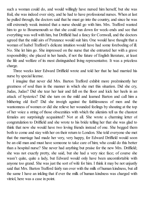such a woman could do, and would willingly have nursed him herself, but she was frail, she was indeed over sixty, and he had to have professional nurses. When at last he pulled through, the doctors said that he must go into the country, and since he was still extremely weak insisted that a nurse should go with him. Mrs. Trafford wanted him to go to Bournemouth so that she could run down for week-ends and see that everything was well with him, but Driffield had a fancy for Cornwall, and the doctors agreed that the mild airs of Penzance would suit him. One would have thought that a woman of Isabel Trafford's delicate intuition would have had some foreboding of ill. No. She let him go. She impressed on the nurse that she entrusted her with a grave responsibility; she placed in her hands, if not the future of English literature, at least the life and welfare of its most distinguished living representative. It was a priceless charge.

Three weeks later Edward Driffield wrote and told her that he had married his nurse by special license.

I imagine that never did Mrs. Barton Trafford exhibit more preëminently her greatness of soul than in the manner in which she met this situation. Did she cry, Judas, Judas? Did she tear her hair and fall on the floor and kick her heels in an attack of hysterics? Did she turn on the mild and learned Barton and call him a blithering old fool? Did she inveigh against the faithlessness of men and the wantonness of women or did she relieve her wounded feelings by shouting at the top of her voice a string of those obscenities with which the alienists tell us the chastest females are surprisingly acquainted? Not at all. She wrote a charming letter of congratulation to Driffield and she wrote to his bride telling her that she was glad to think that now she would have two loving friends instead of one. She begged them both to come and stay with her on their return to London. She told everyone she met that the marriage had made her very, very happy, for Edward Driffield would soon be an old man and must have someone to take care of him; who could do this better than a hospital nurse? She never had anything but praise for the new Mrs. Driffield; she was not exactly pretty, she said, but she had a very nice face; of course she wasn't quite, quite a lady, but Edward would only have been uncomfortable with anyone too grand. She was just the sort of wife for him. I think it may be not unjustly said that Mrs. Barton Trafford fairly ran over with the milk of human kindness, but all the same I have an inkling that if ever the milk of human kindness was charged with vitriol, here was a case in point.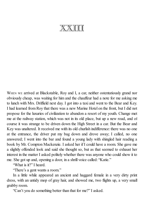## **XXIII**

WHEN WE arrived at Blackstable, Roy and I, a car, neither ostentatiously grand nor obviously cheap, was waiting for him and the chauffeur had a note for me asking me to lunch with Mrs. Driffield next day. I got into a taxi and went to the Bear and Key. I had learned from Roy that there was a new Marine Hotel on the front, but I did not propose for the luxuries of civilization to abandon a resort of my youth. Change met me at the railway station, which was not in its old place, but up a new road, and of course it was strange to be driven down the High Street in a car. But the Bear and Key was unaltered. It received me with its old churlish indifference: there was no one at the entrance, the driver put my bag down and drove away; I called, no one answered; I went into the bar and found a young lady with shingled hair reading a book by Mr. Compton Mackenzie. I asked her if I could have a room. She gave me a slightly offended look and said she thought so, but as that seemed to exhaust her interest in the matter I asked politely whether there was anyone who could show it to me. She got up and, opening a door, in a shrill voice called: "Katie."

"What is it?" I heard.

"There's a gent wants a room."

In a little while appeared an ancient and haggard female in a very dirty print dress, with an untidy mop of gray hair, and showed me, two flights up, a very small grubby room.

"Can't you do something better than that for me?" I asked.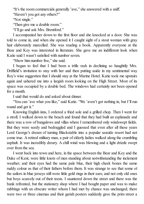"It's the room commercials generally 'ave," she answered with a sniff.

"Haven't you got any others?"

"Not single."

"Then give me a double room."

"I'll go and ask Mrs. Brentford."

I accompanied her down to the first floor and she knocked at a door. She was told to come in, and when she opened it I caught sight of a stout woman with gray hair elaborately marcelled. She was reading a book. Apparently everyone at the Bear and Key was interested in literature. She gave me an indifferent look when Katie said I wasn't satisfied with number seven.

"Show him number five," she said.

I began to feel that I had been a trifle rash in declining so haughtily Mrs. Driffield's invitation to stay with her and then putting aside in my sentimental way Roy's wise suggestion that I should stay at the Marine Hotel. Katie took me upstairs again and ushered me into a largish room looking on the High Street. Most of its space was occupied by a double bed. The windows had certainly not been opened for a month.

I said that would do and asked about dinner.

"You can 'ave what you like," said Katie. "We 'aven't got nothing in, but I'll run round and get it."

Knowing English inns, I ordered a fried sole and a grilled chop. Then I went for a stroll. I walked down to the beach and found that they had built an esplanade and there was a row of bungalows and villas where I remembered only windswept fields. But they were seedy and bedraggled and I guessed that even after all these years Lord George's dream of turning Blackstable into a popular seaside resort had not come true. A retired military man, a pair of elderly ladies walked along the crumbling asphalt. It was incredibly dreary. A chill wind was blowing and a light drizzle swept over from the sea.

I went back into town and here, in the space between the Bear and Key and the Duke of Kent, were little knots of men standing about notwithstanding the inclement weather; and their eyes had the same pale blue, their high cheek bones the same ruddy colour as that of their fathers before them. It was strange to see that some of the sailors in blue jerseys still wore little gold rings in their ears; and not only old ones but boys scarcely out of their teens. I sauntered down the street and there was the bank refronted, but the stationery shop where I had bought paper and wax to make rubbings with an obscure writer whom I had met by chance was unchanged; there were two or three cinemas and their garish posters suddenly gave the prim street a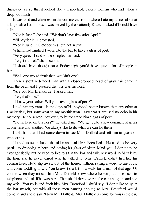dissipated air so that it looked like a respectable elderly woman who had taken a drop too much.

It was cold and cheerless in the commercial room where I ate my dinner alone at a large table laid for six. I was served by the slatternly Katie. I asked if I could have a fire.

"Not in June," she said. "We don't 'ave fires after April."

"I'll pay for it," I protested.

"Not in June. In October, yes, but not in June."

When I had finished I went into the bar to have a glass of port.

"Very quiet," I said to the shingled barmaid.

"Yes, it is quiet," she answered.

"I should have thought on a Friday night you'd have quite a lot of people in here."

"Well, one would think that, wouldn't one?"

Then a stout red-faced man with a close-cropped head of gray hair came in from the back and I guessed that this was my host.

"Are you Mr. Brentford?" I asked him.

"Yes, that's me."

"I knew your father. Will you have a glass of port?"

I told him my name, in the days of his boyhood better known than any other at Blackstable, but somewhat to my mortification I saw that it aroused no echo in his memory. He consented, however, to let me stand him a glass of port.

"Down here on business?" he asked me. "We get quite a few commercial gents at one time and another. We always like to do what we can for them."

I told him that I had come down to see Mrs. Driffield and left him to guess on what errand.

"I used to see a lot of the old man," said Mr. Brentford. "He used to be very partial to dropping in here and having his glass of bitter. Mind you, I don't say he ever got tiddly, but he used to like to sit in the bar and talk. My word, he'd talk by the hour and he never cared who he talked to. Mrs. Driffield didn't half like his coming here. He'd slip away, out of the house, without saying a word to anybody, and come toddling down. You know it's a bit of a walk for a man of that age. Of course when they missed him Mrs. Driffield knew where he was, and she used to telephone and ask if he was here. Then she'd drive over in the car and go in and see my wife. 'You go in and fetch him, Mrs. Brentford,' she'd say; 'I don't like to go in the bar meself, not with all those men hanging about'; so Mrs. Brentford would come in and she'd say, 'Now Mr. Driffield, Mrs. Driffield's come for you in the car,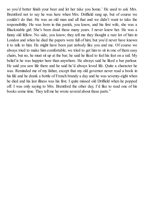so you'd better finish your beer and let her take you home.' He used to ask Mrs. Brentford not to say he was here when Mrs. Driffield rang up, but of course we couldn't do that. He was an old man and all that and we didn't want to take the responsibility. He was born in this parish, you know, and his first wife, she was a Blackstable girl. She's been dead these many years. I never knew her. He was a funny old fellow. No side, you know; they tell me they thought a rare lot of him in London and when he died the papers were full of him; but you'd never have known it to talk to him. He might have been just nobody like you and me. Of course we always tried to make him comfortable; we tried to get him to sit in one of them easy chairs, but no, he must sit up at the bar; he said he liked to feel his feet on a rail. My belief is he was happier here than anywhere. He always said he liked a bar parlour. He said you saw life there and he said he'd always loved life. Quite a character he was. Reminded me of my father, except that my old governor never read a book in his life and he drank a bottle of French brandy a day and he was seventy-eight when he died and his last illness was his first. I quite missed old Driffield when he popped off. I was only saying to Mrs. Brentford the other day, I'd like to read one of his books some time. They tell me he wrote several about these parts."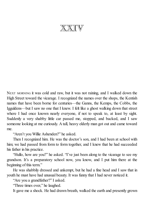XXIV

NEXT MORNING it was cold and raw, but it was not raining, and I walked down the High Street toward the vicarage. I recognized the names over the shops, the Kentish names that have been borne for centuries—the Ganns, the Kemps, the Cobbs, the Igguldens—but I saw no one that I knew. I felt like a ghost walking down that street where I had once known nearly everyone, if not to speak to, at least by sight. Suddenly a very shabby little car passed me, stopped, and backed, and I saw someone looking at me curiously. A tall, heavy elderly man got out and came toward me.

"Aren't you Willie Ashenden?" he asked.

Then I recognized him. He was the doctor's son, and I had been at school with him; we had passed from form to form together, and I knew that he had succeeded his father in his practice.

"Hullo, how are you?" he asked. "I've just been along to the vicarage to see my grandson. It's a preparatory school now, you know, and I put him there at the beginning of this term."

He was shabbily dressed and unkempt, but he had a fine head and I saw that in youth he must have had unusual beauty. It was funny that I had never noticed it.

"Are you a grandfather?" I asked.

"Three times over," he laughed.

It gave me a shock. He had drawn breath, walked the earth and presently grown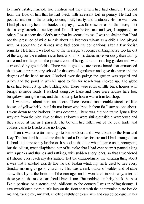to man's estate, married, had children and they in turn had had children; I judged from the look of him that he had lived, with incessant toil, in penury. He had the peculiar manner of the country doctor, bluff, hearty, and unctuous. His life was over. I had plans in my head for books and plays, I was full of schemes for the future; I felt that a long stretch of activity and fun still lay before me; and yet, I supposed, to others I must seem the elderly man that he seemed to me. I was so shaken that I had not the presence of mind to ask about his brothers whom as a child I had played with, or about the old friends who had been my companions; after a few foolish remarks I left him. I walked on to the vicarage, a roomy, rambling house too far out of the way for the modern incumbent who took his duties more seriously than did my uncle and too large for the present cost of living. It stood in a big garden and was surrounded by green fields. There was a great square notice board that announced that it was a preparatory school for the sons of gentlemen and gave the name and the degrees of the head master. I looked over the paling; the garden was squalid and untidy and the pond in which I used to fish for roach was choked up. The glebe fields had been cut up into building lots. There were rows of little brick houses with bumpy ill-made roads. I walked along Joy Lane and there were houses here too, bungalows facing the sea; and the old turnpike house was a trim tea shop.

I wandered about here and there. There seemed innumerable streets of little houses of yellow brick, but I do not know who lived in them for I saw no one about. I went down to the harbour. It was deserted. There was but one tramp lying a little way out from the pier. Two or three sailormen were sitting outside a warehouse and they stared at me as I passed. The bottom had fallen out of the coal trade and colliers came to Blackstable no longer.

Then it was time for me to go to Ferne Court and I went back to the Bear and Key. The landlord had told me that he had a Daimler for hire and I had arranged that it should take me to my luncheon. It stood at the door when I came up, a brougham, but the oldest, most dilapidated car of its make that I had ever seen; it panted along with squeaks and thumps and rattlings, with sudden angry jerks, so that I wondered if I should ever reach my destination. But the extraordinary, the amazing thing about it was that it smelled exactly like the old landau which my uncle used to hire every Sunday morning to go to church in. This was a rank odour of stables and of stale straw that lay at the bottom of the carriage; and I wondered in vain why, after all these years, the motor car should have it too. But nothing can bring back the past like a perfume or a stench, and, oblivious to the country I was trundling through, I saw myself once more a little boy on the front seat with the communion plate beside me and, facing me, my aunt, smelling slightly of clean linen and eau de cologne, in her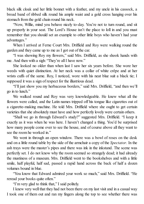black silk cloak and her little bonnet with a feather, and my uncle in his cassock, a broad band of ribbed silk round his ample waist and a gold cross hanging over his stomach from the gold chain round his neck.

"Now, Willie, mind you behave nicely to-day. You're not to turn round, and sit up properly in your seat. The Lord's House isn't the place to loll in and you must remember that you should set an example to other little boys who haven't had your advantages."

When I arrived at Ferne Court Mrs. Driffield and Roy were walking round the garden and they came up to me as I got out of the car.

"I was showing Roy my flowers," said Mrs. Driffield, as she shook hands with me. And then with a sigh: "They're allI have now."

She looked no older than when last I saw her six years before. She wore her weeds with quiet distinction. At her neck was a collar of white crêpe and at her wrists cuffs of the same. Roy, I noticed, wore with his neat blue suit a black tie; I supposed it was a sign of respect for the illustrious dead.

"I'll just show you my herbaceous borders," said Mrs. Driffield, "and then we'll go in to lunch."

We walked round and Roy was very knowledgeable. He knew what all the flowers were called, and the Latin names tripped off his tongue like cigarettes out of a cigarette-making machine. He told Mrs. Driffield where she ought to get certain varieties that she absolutely must have and how perfectly lovely were certain others.

"Shall we go in through Edward's study?" suggested Mrs. Driffield. "I keep it exactly as it was when he was here. I haven't changed a thing. You'd be surprised how many people come over to see the house, and of course above all they want to see the room he worked in."

We went in through an open window. There was a bowl of roses on the desk and on a little round table by the side of the armchair a copy of the *Spectator*. In the ash trays were the master's pipes and there was ink in the inkstand. The scene was perfectly set. I do not know why the room seemed so strangely dead; it had already the mustiness of a museum. Mrs. Driffield went to the bookshelves and with a little smile, half playful, half sad, passed a rapid hand across the back of half a dozen volumes bound in blue.

"You know that Edward admired your work so much," said Mrs. Driffield. "He reread your books quite often."

"I'm very glad to think that," I said politely.

I knew very well that they had not been there on my last visit and in a casual way I took one of them out and ran my fingers along the top to see whether there was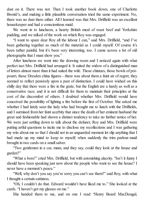dust on it. There was not. Then I took another book down, one of Charlotte Brontë's, and making a little plausible conversation tried the same experiment. No, there was no dust there either. All I learned was that Mrs. Driffield was an excellent housekeeper and had a conscientious maid.

We went in to luncheon, a hearty British meal of roast beef and Yorkshire pudding, and we talked of the work on which Roy was engaged.

"I want to spare dear Roy all the labour I can," said Mrs. Driffield, "and I've been gathering together as much of the material as I could myself. Of course it's been rather painful, but it's been very interesting, too. I came across a lot of old photographs that I must show you."

After luncheon we went into the drawing room and I noticed again with what perfect tact Mrs. Driffield had arranged it. It suited the widow of a distinguished man of letters almost more than it had suited the wife. Those chintzes, those bowls of potpourri, those Dresden china figures—there was about them a faint air of regret; they seemed to reflect pensively upon a past of distinction. I could have wished on this chilly day that there were a fire in the grate, but the English are a hardy as well as a conservative race; and it is not difficult for them to maintain their principles at the cost of the discomfort of others. I doubted whether Mrs. Driffield would have conceived the possibility of lighting a fire before the first of October. She asked me whether I had lately seen the lady who had brought me to lunch with the Driffields, and I surmised from her faint acerbity that since the death of her eminent husband the great and fashionable had shown a distinct tendency to take no further notice of her. We were just settling down to talk about the defunct; Roy and Mrs. Driffield were putting artful questions to incite me to disclose my recollections and I was gathering my wits about me so that I should not in an unguarded moment let slip anything that I had made up my mind to keep to myself; when suddenly the trim parlour-maid brought in two cards on a small salver.

"Two gentlemen in a car, mum, and they say, could they look at the house and garden?"

"What a bore!" cried Mrs. Driffield, but with astonishing alacrity. "Isn't it funny I should have been speaking just now about the people who want to see the house? I never have a moment's peace."

"Well, why don't you say you're sorry you can't see them?" said Roy, with what I thought a certain cattiness.

"Oh, I couldn't do that. Edward wouldn't have liked me to." She looked at the cards. "I haven't got my glasses on me."

She handed them to me, and on one I read "Henry Beard MacDougal,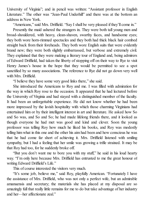University of Virginia"; and in pencil was written: "Assistant professor in English Literature." The other was "Jean-Paul Underhill" and there was at the bottom an address in New York.

"Americans," said Mrs. Driffield. "Say I shall be very pleased if they'll come in."

Presently the maid ushered the strangers in. They were both tall young men and broad-shouldered, with heavy, clean-shaven, swarthy faces, and handsome eyes; they both wore horn-rimmed spectacles and they both had thick black hair combed straight back from their foreheads. They both wore English suits that were evidently brand new; they were both slightly embarrassed, but verbose and extremely civil. They explained that they were making a literary tour of England and, being admirers of Edward Driffield, had taken the liberty of stopping off on their way to Rye to visit Henry James's house in the hope that they would be permitted to see a spot sanctified by so many associations. The reference to Rye did not go down very well with Mrs. Driffield.

"I believe they have some very good links there," she said.

She introduced the Americans to Roy and me. I was filled with admiration for the way in which Roy rose to the occasion. It appeared that he had lectured before the University of Virginia and had stayed with a distinguished member of the faculty. It had been an unforgettable experience. He did not know whether he had been more impressed by the lavish hospitality with which those charming Virginians had entertained him or by their intelligent interest in art and literature. He asked how So and So was, and So and So; he had made lifelong friends there, and it looked as though everyone he had met was good and kind and clever. Soon the young professor was telling Roy how much he liked his books, and Roy was modestly telling him what in this one and the other his aim had been and how conscious he was that he had come far short of achieving it. Mrs. Driffield listened with smiling sympathy, but I had a feeling that her smile was growing a trifle strained. It may be that Roy had too, for he suddenly broke off.

"But you don't want me to bore you with my stuff," he said in his loud hearty way. "I'm only here because Mrs. Driffield has entrusted to me the great honour of writing Edward Driffield's Life."

This of course interested the visitors very much.

"It's some job, believe me," said Roy, playfully American. "Fortunately I have the assistance of Mrs. Driffield, who was not only a perfect wife, but an admirable amanuensis and secretary; the materials she has placed at my disposal are so amazingly full that really little remains for me to do but take advantage of her industry and her—her affectionate zeal."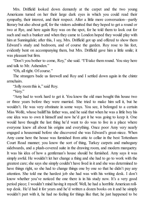Mrs. Driffield looked down demurely at the carpet and the two young Americans turned on her their large dark eyes in which you could read their sympathy, their interest, and their respect. After a little more conversation—partly literary but also about golf, for the visitors admitted that they hoped to get a round or two at Rye, and here again Roy was on the spot, for he told them to look out for such and such a bunker and when they came to London hoped they would play with him at Sunningdale; after this, I say, Mrs. Driffield got up and offered to show them Edward's study and bedroom, and of course the garden. Roy rose to his feet, evidently bent on accompanying them, but Mrs. Driffield gave him a little smile; it was pleasant but firm.

"Don't you bother to come, Roy," she said. "I'll take them round. You stay here and talk to Mr. Ashenden."

"Oh, allright. Of course."

The strangers bade us farewell and Roy and I settled down again in the chintz armchairs.

"Jolly room this is," said Roy.

"Very."

"Amy had to work hard to get it. You know the old man bought this house two or three years before they were married. She tried to make him sell it, but he wouldn't. He was very obstinate in some ways. You see, it belonged to a certain Miss Wolfe, whose bailiff his father was, and he said that when he was a little boy his one idea was to own it himself and now he'd got it he was going to keep it. One would have thought the last thing he'd want to do was to live in a place where everyone knew all about his origins and everything. Once poor Amy very nearly engaged a housemaid before she discovered she was Edward's great-niece. When Amy came here the house was furnished from attic to cellar in the best Tottenham Court Road manner; you know the sort of thing, Turkey carpets and mahogany sideboards, and a plush-covered suite in the drawing room, and modern marquetry. It was his idea of how a gentleman's house should be furnished. Amy says it was simply awful. He wouldn't let her change a thing and she had to go to work with the greatest care; she says she simply couldn't have lived in it and she was determined to have things right, so she had to change things one by one so that he didn't pay any attention. She told me the hardest job she had was with his writing desk. I don't know whether you've noticed the one there is in his study now. It's a very good period piece; I wouldn't mind having it myself. Well, he had a horrible American rolltop desk. He'd had it for years and he'd written a dozen books on it and he simply wouldn't part with it, he had no feeling for things like that; he just happened to be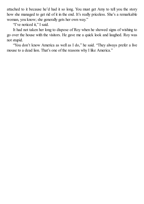attached to it because he'd had it so long. You must get Amy to tell you the story how she managed to get rid of it in the end. It's really priceless. She's a remarkable woman, you know; she generally gets her own way."

'T've noticed it," I said.

It had not taken her long to dispose of Roy when he showed signs of wishing to go over the house with the visitors. He gave me a quick look and laughed. Roy was not stupid.

"You don't know America as well as I do," he said. "They always prefer a live mouse to a dead lion. That's one of the reasons why I like America."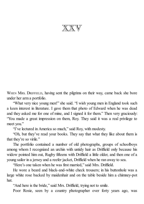$\mathbb{X}\mathbb{X}$ 

WHEN MRS. DRIFFIELD, having sent the pilgrims on their way, came back she bore under her arm a portfolio.

"What very nice young men!" she said. "I wish young men in England took such a keen interest in literature. I gave them that photo of Edward when he was dead and they asked me for one of mine, and I signed it for them." Then very graciously: "You made a great impression on them, Roy. They said it was a real privilege to meet you."

"I've lectured in America so much," said Roy, with modesty.

"Oh, but they've read your books. They say that what they like about them is that they're so virile."

The portfolio contained a number of old photographs, groups of schoolboys among whom I recognized an urchin with untidy hair as Driffield only because his widow pointed him out, Rugby fifteens with Driffield a little older, and then one of a young sailor in a jersey and a reefer jacket, Driffield when he ran away to sea.

"Here's one taken when he was first married," said Mrs. Driffield.

He wore a beard and black-and-white check trousers; in his buttonhole was a large white rose backed by maidenhair and on the table beside him a chimney-pot hat.

"And here is the bride," said Mrs. Driffield, trying not to smile.

Poor Rosie, seen by a country photographer over forty years ago, was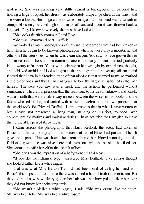grotesque. She was standing very stiffly against a background of baronial hall, holding a large bouquet; her dress was elaborately draped, pinched at the waist, and she wore a bustle. Her fringe came down to her eyes. On her head was a wreath of orange blossoms, perched high on a mass of hair, and from it was thrown back a long veil. Only I knew how lovely she must have looked.

"She looks fearfully common," said Roy.

"She was," murmured Mrs. Driffield.

We looked at more photographs of Edward, photographs that had been taken of him when he began to be known, photographs when he wore only a moustache and others, all the later ones, when he was clean-shaven. You saw his face grown thinner and more lined. The stubborn commonplace of the early portraits melted gradually into a weary refinement. You saw the change in him wrought by experience, thought, and achieved ambition. I looked again at the photograph of the young sailorman and fancied that I saw in it already a trace of that aloofness that seemed to me so marked in the older ones and that I had had years before the vague sensation of in the man himself. The face you saw was a mask and the actions he performed without significance. I had an impression that the real man, to his death unknown and lonely, was a wraith that went a silent way unseen between the writer of his books and the fellow who led his life, and smiled with ironical detachment at the two puppets that the world took for Edward Driffield. I am conscious that in what I have written of him I have not presented a living man, standing on his feet, rounded, with comprehensible motives and logical activities; I have not tried to: I am glad to leave that to the abler pen of Alroy Kear.

I came across the photographs that Harry Retford, the actor, had taken of Rosie, and then a photograph of the picture that Lionel Hillier had painted of her. It gave me a pang. That was how I best remembered her. Notwithstanding the oldfashioned gown, she was alive there and tremulous with the passion that filled her. She seemed to offer herself to the assault of love.

"She gives you the impression of a hefty wench," said Roy.

"If you like the milkmaid type," answered Mrs. Driffield. "I've always thought she looked rather like a white nigger."

That was what Mrs. Barton Trafford had been fond of calling her, and with Rosie's thick lips and broad nose there was indeed a hateful truth in the criticism. But they did not know how silvery golden her hair was, nor how golden silver her skin; they did not know her enchanting smile.

"She wasn't a bit like a white nigger," I said. "She was virginal like the dawn. She was like Hebe. She was like a white rose."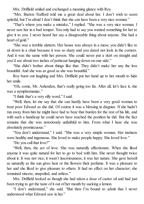Mrs. Driffield smiled and exchanged a meaning glance with Roy.

"Mrs. Barton Trafford told me a great deal about her. I don't wish to seem spiteful, but I'm afraid I don't think that she can have been a very nice woman."

"That's where you make a mistake," I replied. "She was a very nice woman. I never saw her in a bad temper. You only had to say you wanted something for her to give it to you. I never heard her say a disagreeable thing about anyone. She had a heart of gold."

"She was a terrible slattern. Her house was always in a mess; you didn't like to sit down in a chair because it was so dusty and you dared not look in the corners. And it was the same with her person. She could never put a skirt on straight and you'd see about two inches of petticoat hanging down on one side."

"She didn't bother about things like that. They didn't make her any the less beautiful. And she was as good as she was beautiful."

Roy burst out laughing and Mrs. Driffield put her hand up to her mouth to hide her smile.

"Oh, come, Mr. Ashenden, that's really going too far. After all, let's face it, she was a nymphomaniac."

"I think that's a very silly word," I said.

"Well, then, let me say that she can hardly have been a very good woman to treat poor Edward as she did. Of course it was a blessing in disguise. If she hadn't run away from him he might have had to bear that burden for the rest of his life, and with such a handicap he could never have reached the position he did. But the fact remains that she was notoriously unfaithful to him. From what I hear she was absolutely promiscuous."

"You don't understand," I said. "She was a very simple woman. Her instincts were healthy and ingenuous. She loved to make people happy. She loved love."

"Do you call that love?"

"Well, then, the act of love. She was naturally affectionate. When she liked anyone it was quite natural for her to go to bed with him. She never thought twice about it. It was not vice; it wasn't lasciviousness; it was her nature. She gave herself as naturally as the sun gives heat or the flowers their perfume. It was a pleasure to her and she liked to give pleasure to others. It had no effect on her character; she remained sincere, unspoiled, and artless."

Mrs. Driffield looked as though she had taken a dose of castor oil and had just been trying to get the taste of it out of her mouth by sucking a lemon.

"I don't understand," she said. "But then I'm bound to admit that I never understood what Edward saw in her."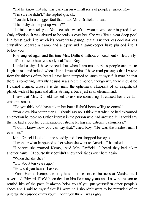"Did he know that she was carrying on with allsorts of people?" asked Roy. "I'm sure he didn't," she replied quickly.

"You think him a bigger fool than I do, Mrs. Driffield," I said.

"Then why did he put up with it?"

"I think I can tell you. You see, she wasn't a woman who ever inspired love. Only affection. It was absurd to be jealous over her. She was like a clear deep pool in a forest glade into which it's heavenly to plunge, but it is neither less cool nor less crystalline because a tramp and a gipsy and a gamekeeper have plunged into it before you."

Roy laughed again and this time Mrs. Driffield without concealment smiled thinly. "It's comic to hear you so lyrical," said Roy.

I stifled a sigh. I have noticed that when I am most serious people are apt to laugh at me, and indeed when after a lapse of time I have read passages that I wrote from the fullness of my heart I have been tempted to laugh at myself. It must be that there is something naturally absurd in a sincere emotion, though why there should be I cannot imagine, unless it is that man, the ephemeral inhabitant of an insignificant planet, with all his pain and all his striving is but a jest in an eternal mind.

I saw that Mrs. Driffield wished to ask me something. It caused her a certain embarrassment.

"Do you think he'd have taken her back if she'd been willing to come?"

"You knew him better than I. I should say no. I think that when he had exhausted an emotion he took no further interest in the person who had aroused it. I should say that he had a peculiar combination of strong feeling and extreme callousness."

"I don't know how you can say that," cried Roy. "He was the kindest man I ever met."

Mrs. Driffield looked at me steadily and then dropped her eyes.

"I wonder what happened to her when she went to America," he asked.

"I believe she married Kemp," said Mrs. Driffield. "I heard they had taken another name. Of course they couldn't show their faces over here again."

"When did she die?"

"Oh, about ten years ago."

"How did you hear?" I asked.

"From Harold Kemp, the son; he's in some sort of business at Maidstone. I never told Edward. She'd been dead to him for many years and I saw no reason to remind him of the past. It always helps you if you put yourself in other people's shoes and I said to myself that if I were he I shouldn't want to be reminded of an unfortunate episode of my youth. Don't you think I was right?"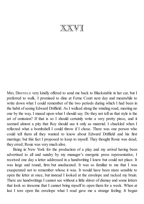XXVI

MRS. DRIFFIELD very kindly offered to send me back to Blackstable in her car, but I preferred to walk. I promised to dine at Ferne Court next day and meanwhile to write down what I could remember of the two periods during which I had been in the habit of seeing Edward Driffield. As I walked along the winding road, meeting no one by the way, I mused upon what I should say. Do they not tell us that style is the art of omission? If that is so I should certainly write a very pretty piece, and it seemed almost a pity that Roy should use it only as material. I chuckled when I reflected what a bombshell I could throw if I chose. There was one person who could tell them all they wanted to know about Edward Driffield and his first marriage; but this fact I proposed to keep to myself. They thought Rosie was dead; they erred; Rosie was very much alive.

Being in New York for the production of a play and my arrival having been advertised to all and sundry by my manager's energetic press representative, I received one day a letter addressed in a handwriting I knew but could not place. It was large and round, firm but uneducated. It was so familiar to me that I was exasperated not to remember whose it was. It would have been more sensible to open the letter at once, but instead I looked at the envelope and racked my brain. There are handwritings I cannot see without a little shiver of dismay and some letters that look so tiresome that I cannot bring myself to open them for a week. When at last I tore open the envelope what I read gave me a strange feeling. It began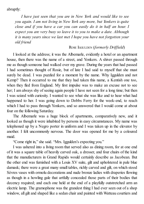abruptly:

*I have just seen that you are in New York and would like to see you again. I am not living in New York any more, but Yonkers is quite close and if you have a car you can easily do it in half an hour. I expect you are very busy so leave it to you to make a date. Although it is many years since we last met I hope you have not forgotten your old friend*

## ROSE IGGULDEN (*formerly Drif ield*)

I looked at the address; it was the Albemarle, evidently a hotel or an apartment house, then there was the name of a street, and Yonkers. A shiver passed through me as though someone had walked over my grave. During the years that had passed I had sometimes thought of Rosie, but of late I had said to myself that she must surely be dead. I was puzzled for a moment by the name. Why Iggulden and not Kemp? Then it occurred to me that they had taken this name, a Kentish one too, when they fled from England. My first impulse was to make an excuse not to see her; I am always shy of seeing again people I have not seen for a long time; but then I was seized with curiosity. I wanted to see what she was like and to hear what had happened to her. I was going down to Dobbs Ferry for the week-end, to reach which I had to pass through Yonkers, and so answered that I would come at about four on the following Saturday.

The Albemarle was a huge block of apartments, comparatively new, and it looked as though it were inhabited by persons in easy circumstances. My name was telephoned up by a Negro porter in uniform and I was taken up in the elevator by another. I felt uncommonly nervous. The door was opened for me by a coloured maid.

"Come right in," she said. "Mrs. Iggulden's expecting you."

I was ushered into a living room that served also as dining room, for at one end of it was a square table of heavily carved oak, a dresser, and four chairs of the kind that the manufacturers in Grand Rapids would certainly describe as Jacobean. But the other end was furnished with a Louis XV suite, gilt and upholstered in pale blue damask; there were a great many small tables, richly carved and gilt, on which stood Sèvres vases with ormolu decorations and nude bronze ladies with draperies flowing as though in a howling gale that artfully concealed those parts of their bodies that decency required; and each one held at the end of a playfully outstretched arm an electric lamp. The gramophone was the grandest thing I had ever seen out of a shop window, all gilt and shaped like a sedan chair and painted with Watteau courtiers and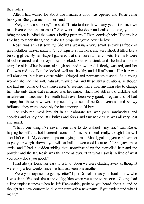their ladies.

After I had waited for about five minutes a door was opened and Rosie came briskly in. She gave me both her hands.

"Well, this is a surprise," she said. "I hate to think how many years it is since we met. Excuse me one moment." She went to the door and called: "Jessie, you can bring the tea in. Mind the water's boiling properly." Then, coming back: "The trouble I've had to teach that girl to make tea properly, you'd never believe."

Rosie was at least seventy. She was wearing a very smart sleeveless frock of green chiffon, heavily *diamanté*, cut square at the neck and very short; it fitted like a bursting glove. By her shape I gathered that she wore rubber corsets. Her nails were blood-coloured and her eyebrows plucked. She was stout, and she had a double chin; the skin of her bosom, although she had powdered it freely, was red, and her face was red too. But she looked well and healthy and full of beans. Her hair was still abundant, but it was quite white, shingled and permanently waved. As a young woman she had had soft, naturally waving hair and these stiff undulations, as though she had just come out of a hairdresser's, seemed more than anything else to change her. The only thing that remained was her smile, which had still its old childlike and mischievous sweetness. Her teeth had never been very good, irregular and of bad shape; but these now were replaced by a set of perfect evenness and snowy brilliance; they were obviously the best money could buy.

The coloured maid brought in an elaborate tea with *pâté* sandwiches and cookies and candy and little knives and forks and tiny napkins. It was all very neat and smart.

"That's one thing I've never been able to do without—my tea," said Rosie, helping herself to a hot buttered scone. "It's my best meal, really, though I know I shouldn't eat it. My doctor keeps on saying to me: 'Mrs. Iggulden, you can't expect to get your weight down if you will eat half a dozen cookies at tea.' " She gave me a smile, and I had a sudden inkling that, notwithstanding the marcelled hair and the powder and the fat, Rosie was the same as ever. "But what I say is: A little of what you fancy does you good."

I had always found her easy to talk to. Soon we were chatting away as though it were only a few weeks since we had last seen one another.

"Were you surprised to get my letter? I put Driffield so as you should know who it was from. We took the name of Iggulden when we came to America. George had a little unpleasantness when he left Blackstable, perhaps you heard about it, and he thought in a new country he'd better start with a new name, if you understand what I mean."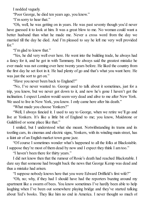I nodded vaguely.

"Poor George, he died ten years ago, you know."

"I'm sorry to hear that."

"Oh, well, he was getting on in years. He was past seventy though you'd never have guessed it to look at him. It was a great blow to me. No woman could want a better husband than what he made me. Never a cross word from the day we married till the day he died. And I'm pleased to say he left me very well provided for."

"I'm glad to know that."

"Yes, he did very well over here. He went into the building trade, he always had a fancy for it, and he got in with Tammany. He always said the greatest mistake he ever made was not coming over here twenty years before. He liked the country from the first day he set foot in it. He had plenty of go and that's what you want here. He was just the sort to get on."

"Have you never been back to England?"

"No, I've never wanted to. George used to talk about it sometimes, just for a trip, you know, but we never got down to it, and now he's gone I haven't got the inclination. I expect London would seem very dead and alive to me after New York. We used to live in New York, you know. I only came here after his death."

"What made you choose Yonkers?"

"Well, I always fancied it. I used to say to George, when we retire we'll go and live at Yonkers. It's like a little bit of England to me; you know, Maidstone or Guildford or some place like that."

I smiled, but I understood what she meant. Notwithstanding its trams and its tootling cars, its cinemas and electric signs, Yonkers, with its winding main street, has a faint air of an English market town gone jazz.

"Of course I sometimes wonder what's happened to all the folks at Blackstable. I suppose they're most of them dead by now and I expect they think I am too."

"I haven't been there for thirty years."

I did not know then that the rumour of Rosie's death had reached Blackstable. I dare say that someone had brought back the news that George Kemp was dead and thus a mistake had arisen.

"I suppose nobody knows here that you were Edward Driffield's first wife?"

"Oh, no; why, if they had I should have had the reporters buzzing around my apartment like a swarm of bees. You know sometimes I've hardly been able to help laughing when I've been out somewhere playing bridge and they've started talking about Ted's books. They like him no end in America. I never thought so much of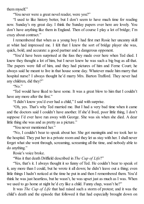them myself."

"You never were a great novel reader, were you?"

"I used to like history better, but I don't seem to have much time for reading now. Sunday's my great day. I think the Sunday papers over here are lovely. You don't have anything like them in England. Then of course I play a lot of bridge; I'm crazy about contract."

I remembered that when as a young boy I had first met Rosie her uncanny skill at whist had impressed me. I felt that I knew the sort of bridge player she was, quick, bold, and accurate: a good partner and a dangerous opponent.

"You'd have been surprised at the fuss they made over here when Ted died. I knew they thought a lot of him, but I never knew he was such a big bug as all that. The papers were full of him, and they had pictures of him and Ferne Court; he always said he meant to live in that house some day. Whatever made him marry that hospital nurse? I always thought he'd marry Mrs. Barton Trafford. They never had any children, did they?"

"No."

"Ted would have liked to have some. It was a great blow to him that I couldn't have any more after the first."

"I didn't know you'd ever had a child," I said with surprise.

"Oh, yes. That's why Ted married me. But I had a very bad time when it came and the doctors said I couldn't have another. If she'd lived, poor little thing, I don't suppose I'd ever have run away with George. She was six when she died. A dear little thing she was and as pretty as a picture."

"You never mentioned her."

"No, I couldn't bear to speak about her. She got meningitis and we took her to the hospital. They put her in a private room and they let us stay with her. I shall never forget what she went through, screaming, screaming all the time, and nobody able to do anything."

Rosie's voice broke.

"Was it that death Driffield described in *The Cup of Life*?"

"Yes, that's it. I always thought it so funny of Ted. He couldn't bear to speak of it, any more than I could, but he wrote it all down; he didn't leave out a thing; even little things I hadn't noticed at the time he put in and then I remembered them. You'd think he was just heartless, but he wasn't, he was upset just as much as I was. When we used to go home at night he'd cry like a child. Funny chap, wasn't he?"

It was *The Cup of Life* that had raised such a storm of protest; and it was the child's death and the episode that followed it that had especially brought down on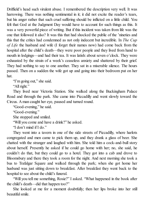Driffield's head such virulent abuse. I remembered the description very well. It was harrowing. There was nothing sentimental in it; it did not excite the reader's tears, but his anger rather that such cruel suffering should be inflicted on a little child. You felt that God at the Judgment Day would have to account for such things as this. It was a very powerful piece of writing. But if this incident was taken from life was the one that followed it also? It was this that had shocked the public of the 'nineties and this that the critics had condemned as not only indecent but incredible. In *The Cup of Life* the husband and wife (I forget their names now) had come back from the hospital after the child's death—they were poor people and they lived from hand to mouth in lodgings—and had their tea. It was latish: about seven o'clock. They were exhausted by the strain of a week's ceaseless anxiety and shattered by their grief. They had nothing to say to one another. They sat in a miserable silence. The hours passed. Then on a sudden the wife got up and going into their bedroom put on her hat.

'T'm going out," she said.

"All right."

They lived near Victoria Station. She walked along the Buckingham Palace Road and through the park. She came into Piccadilly and went slowly toward the Circus. Aman caught her eye, paused and turned round.

"Good-evening," he said.

"Good-evening."

She stopped and smiled.

"Will you come and have a drink?" he asked.

"I don't mind if I do."

They went into a tavern in one of the side streets of Piccadilly, where harlots congregated and men came to pick them up, and they drank a glass of beer. She chatted with the stranger and laughed with him. She told him a cock-and-bull story about herself. Presently he asked if he could go home with her; no, she said, he couldn't do that, but they could go to a hotel. They got into a cab and drove to Bloomsbury and there they took a room for the night. And next morning she took a bus to Trafalgar Square and walked through the park; when she got home her husband was just sitting down to breakfast. After breakfast they went back to the hospital to see about the child's funeral.

"Will you tell me something, Rosie?" I asked. "What happened in the book after the child's death—did that happen too?"

She looked at me for a moment doubtfully; then her lips broke into her still beautifulsmile.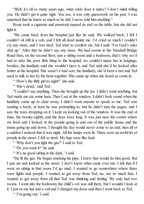"Well, it's all so many years ago, what odds does it make? I don't mind telling you. He didn't get it quite right. You see, it was only guesswork on his part. I was surprised that he knew as much as he did; I never told him anything."

Rosie took a cigarette and pensively tapped its end on the table, but she did not light it.

"We came back from the hospital just like he said. We walked back; I felt I couldn't sit still in a cab, and I felt all dead inside me. I'd cried so much I couldn't cry any more, and I was tired. Ted tried to comfort me, but I said: 'For God's sake shut up.' After that he didn't say any more. We had rooms in the Vauxhall Bridge Road then, on the second floor, just a sitting room and a bedroom, that's why we'd had to take the poor little thing to the hospital; we couldn't nurse her in lodgings; besides, the landlady said she wouldn't have it, and Ted said she'd be looked after better at the hospital. She wasn't a bad sort, the landlady; she'd been a tart and Ted used to talk to her by the hour together. She came up when she heard us come in.

" 'How's the little girl to-night?' she said.

"'She's dead,' said Ted.

"I couldn't say anything. Then she brought up the tea. I didn't want anything, but Ted made me eat some ham. Then I sat at the window. I didn't look round when the landlady came up to clear away, I didn't want anyone to speak to me. Ted was reading a book; at least he was pretending to, but he didn't turn the pages, and I saw the tears dropping on it. I kept on looking out of the window. It was the end of June, the twenty-eighth, and the days were long. It was just near the corner where we lived and I looked at the people going in and out of the public house and the trams going up and down. I thought the day would never come to an end; then all of a sudden I noticed that it was night. All the lamps were lit. There were an awful lot of people in the street. I felt so tired. My legs were like lead.

" 'Why don't you light the gas?' I said to Ted.

" 'Do you want it?' he said.

" 'It's no good sitting in the dark,' I said.

"He lit the gas. He began smoking his pipe. I knew that would do him good. But I just sat and looked at the street. I don't know what came over me. I felt that if I went on sitting in that room I'd go mad. I wanted to go somewhere where there were lights and people. I wanted to get away from Ted; no, not so much that, I wanted to get away from all that Ted was thinking and feeling. We only had two rooms. I went into the bedroom; the child's cot was still there, but I wouldn't look at it. I put on my hat and a veil and I changed my dress and then I went back to Ted.

" 'I'm going out,' I said.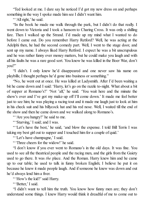"Ted looked at me. I dare say he noticed I'd got my new dress on and perhaps something in the way I spoke made him see I didn't want him.

"'All right,' he said.

"In the book he made me walk through the park, but I didn't do that really. I went down to Victoria and I took a hansom to Charing Cross. It was only a shilling fare. Then I walked up the Strand. I'd made up my mind what I wanted to do before I came out. Do you remember Harry Retford? Well, he was acting at the Adelphi then, he had the second comedy part. Well, I went to the stage door, and sent up my name. I always liked Harry Retford. I expect he was a bit unscrupulous and he was rather funny over money matters, but he could make you laugh and with all his faults he was a rare good sort. You know he was killed in the Boer War, don't you?"

"I didn't. I only knew he'd disappeared and one never saw his name on playbills; I thought perhaps he'd gone into business or something."

"No, he went out at once. He was killed at Ladysmith. After I'd been waiting a bit he came down and I said: 'Harry, let's go on the razzle to-night. What about a bit of supper at Romano's?' 'Not 'alf,' he said. 'You wait here and the minute the show's over and I've got my make-up off I'll come down.' It made me feel better just to see him; he was playing a racing tout and it made me laugh just to look at him in his check suit and his billycock hat and his red nose. Well, I waited till the end of the show and then he came down and we walked along to Romano's.

"'Are you hungry?' he said to me.

" 'Starving,' I said; and I was.

" 'Let's have the best,' he said, 'and blow the expense. I told Bill Terris I was taking my best girl out to supper and I touched him for a couple of quid.'

" 'Let's have champagne,' I said.

" 'Three cheers for the widow!' he said.

"I don't know if you ever went to Romano's in the old days. It was fine. You used to see all the theatrical people and the racing men, and the girls from the Gaiety used to go there. It was *the* place. And the Roman. Harry knew him and he came up to our table; he used to talk in funny broken English; I believe he put it on because he knew it made people laugh. And if someone he knew was down and out he'd always lend him a fiver.

" 'How's the kid?' said Harry.

" 'Better,' I said.

"I didn't want to tell him the truth. You know how funny men are; they don't understand some things. I knew Harry would think it dreadful of me to come out to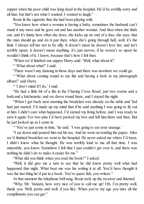supper when the poor child was lying dead in the hospital. He'd be awfully sorry and all that, but that's not what I wanted; I wanted to laugh."

Rosie lit the cigarette that she had been playing with.

"You know how when a woman is having a baby, sometimes the husband can't stand it any more and he goes out and has another woman. And then when she finds out, and it's funny how often she does, she kicks up no end of a fuss; she says, that the man should go and do it just then, when she's going through hell, well, it's the limit. I always tell her not to be silly. It doesn't mean he doesn't love her, and isn't terribly upset, it doesn't mean anything, it's just nerves; if he weren't so upset he wouldn't think of it. I know, because that's how I felt then.

"When we'd finished our supper Harry said:'Well, what about it?'

" 'What about what?' I said.

"There wasn't any dancing in those days and there was nowhere we could go.

" 'What about coming round to my flat and having a look at my photograph album?'said Harry.

" 'I don't mind if I do,' I said.

"He had a little bit of a flat in the Charing Cross Road, just two rooms and a bath and a kitchenette, and we drove round there, and I stayed the night.

"When I got back next morning the breakfast was already on the table and Ted had just started. I'd made up my mind that if he said anything I was going to fly out at him. I didn't care what happened. I'd earned my living before, and I was ready to earn it again. For two pins I'd have packed my box and left him there and then. But he just looked up as I came in.

" 'You've just come in time,' he said. 'I was going to eat your sausage.'

"I sat down and poured him out his tea. And he went on reading the paper. After we'd finished breakfast we went to the hospital. He never asked me where I'd been. I didn't know what he thought. He was terribly kind to me all that time. I was miserable, you know. Somehow I felt that I just couldn't get over it, and there was nothing he didn't do to make it easier for me."

"What did you think when you read the book?" I asked.

"Well, it did give me a turn to see that he did know pretty well what had happened that night. What beat me was his writing it at all. You'd have thought it was the last thing he'd put in a book. You're queer fish, you writers."

At that moment the telephone bell rang. Rosie took up the receiver and listened.

"Why, Mr. Vanuzzi, how very nice of you to call me up! Oh, I'm pretty well, thank you. Well, pretty and well, if you like. When you're my age you take all the compliments you can get."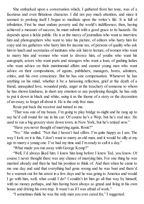She embarked upon a conversation which, I gathered from her tone, was of a facetious and even flirtatious character. I did not pay much attention, and since it seemed to prolong itself I began to meditate upon the writer's life. It is full of tribulation. First he must endure poverty and the world's indifference; then, having achieved a measure of success, he must submit with a good grace to its hazards. He depends upon a fickle public. He is at the mercy of journalists who want to interview him and photographers who want to take his picture, of editors who harry him for copy and tax gatherers who harry him for income tax, of persons of quality who ask him to lunch and secretaries of institutes who ask him to lecture, of women who want to marry him and women who want to divorce him, of youths who want his autograph, actors who want parts and strangers who want a loan, of gushing ladies who want advice on their matrimonial affairs and earnest young men who want advice on their compositions, of agents, publishers, managers, bores, admirers, critics, and his own conscience. But he has one compensation. Whenever he has anything on his mind, whether it be a harassing reflection, grief at the death of a friend, unrequited love, wounded pride, anger at the treachery of someone to whom he has shown kindness, in short any emotion or any perplexing thought, he has only to put it down in black and white, using it as the theme of a story or the decoration of an essay, to forget all about it. He is the only free man.

Rosie put back the receiver and turned to me.

"That was one of my beaux. I'm going to play bridge to-night and he rang up to say he'd call round for me in his car. Of course he's a Wop, but he's real nice. He used to run a big grocery store down town, in New York, but he's retired now."

"Have you never thought of marrying again, Rosie?"

"No." She smiled. "Not that I haven't had offers. I'm quite happy as I am. The way I look on it is this, I don't want to marry an old man, and it would be silly at my age to marry a young one. I've had my time and I'm ready to call it a day."

"What made you run away with George Kemp?"

"Well, I'd always liked him. I knew him long before I knew Ted, you know. Of course I never thought there was any chance of marrying him. For one thing he was married already and then he had his position to think of. And then when he came to me one day and said that everything had gone wrong and he was bust and there'd be a warrant out for his arrest in a few days and he was going to America and would I go with him, well, what could I do? I couldn't let him go all that way by himself, with no money perhaps, and him having been always so grand and living in his own house and driving his own trap. It wasn't as if I was afraid of work."

"I sometimes think he was the only man you ever cared for," I suggested.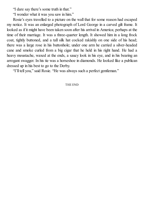"I dare say there's some truth in that."

"I wonder what it was you saw in him."

Rosie's eyes travelled to a picture on the wall that for some reason had escaped my notice. It was an enlarged photograph of Lord George in a carved gilt frame. It looked as if it might have been taken soon after his arrival in America; perhaps at the time of their marriage. It was a three-quarter length. It showed him in a long frock coat, tightly buttoned, and a tall silk hat cocked rakishly on one side of his head; there was a large rose in his buttonhole; under one arm he carried a silver-headed cane and smoke curled from a big cigar that he held in his right hand. He had a heavy moustache, waxed at the ends, a saucy look in his eye, and in his bearing an arrogant swagger. In his tie was a horseshoe in diamonds. He looked like a publican dressed up in his best to go to the Derby.

"I'll tell you," said Rosie. "He was always such a perfect gentleman."

## THE END